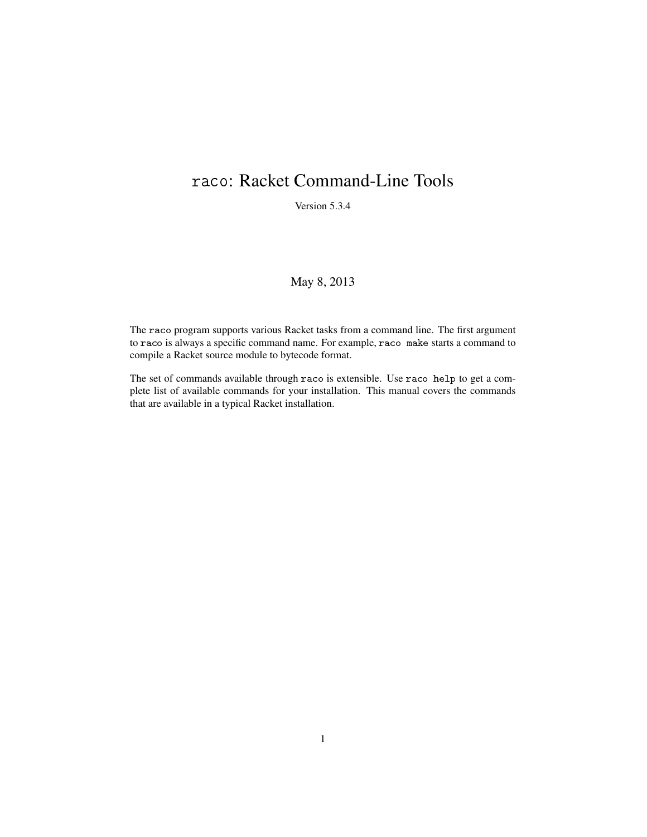# raco: Racket Command-Line Tools

Version 5.3.4

## May 8, 2013

The raco program supports various Racket tasks from a command line. The first argument to raco is always a specific command name. For example, raco make starts a command to compile a Racket source module to bytecode format.

The set of commands available through raco is extensible. Use raco help to get a complete list of available commands for your installation. This manual covers the commands that are available in a typical Racket installation.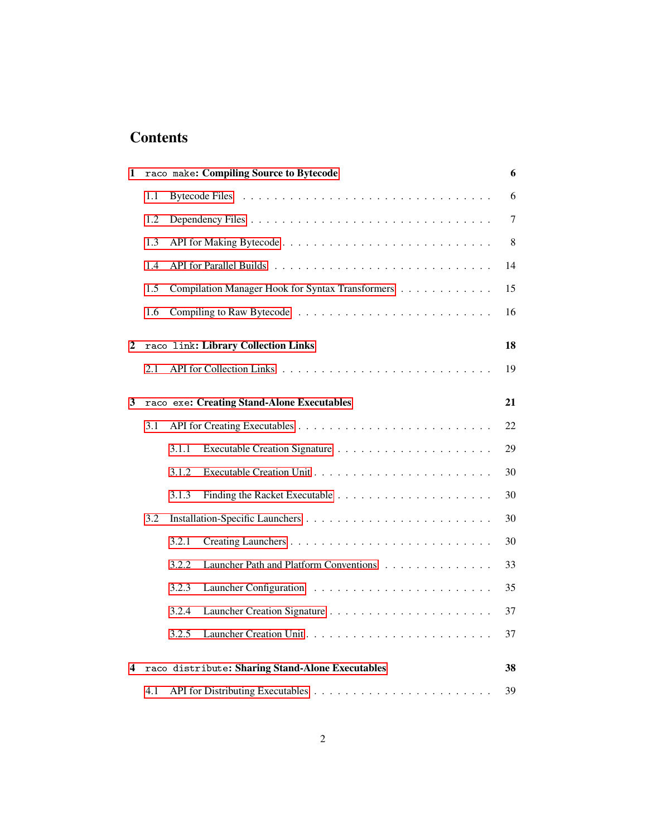# **Contents**

| 1 |     | raco make: Compiling Source to Bytecode          | 6       |
|---|-----|--------------------------------------------------|---------|
|   | 1.1 |                                                  | 6       |
|   | 1.2 |                                                  | $\tau$  |
|   | 1.3 |                                                  | $\,8\,$ |
|   | 1.4 |                                                  | 14      |
|   | 1.5 | Compilation Manager Hook for Syntax Transformers | 15      |
|   | 1.6 |                                                  | 16      |
| 2 |     | raco link: Library Collection Links              | 18      |
|   | 2.1 |                                                  | 19      |
| 3 |     | raco exe: Creating Stand-Alone Executables       | 21      |
|   | 3.1 |                                                  | 22      |
|   |     | 3.1.1                                            | 29      |
|   |     | 3.1.2                                            | 30      |
|   |     | 3.1.3                                            | 30      |
|   | 3.2 |                                                  | 30      |
|   |     | 3.2.1                                            | 30      |
|   |     | 3.2.2<br>Launcher Path and Platform Conventions  | 33      |
|   |     | 3.2.3                                            | 35      |
|   |     | 3.2.4                                            | 37      |
|   |     | 3.2.5                                            | 37      |
| 4 |     | raco distribute: Sharing Stand-Alone Executables | 38      |
|   | 4.1 |                                                  | 39      |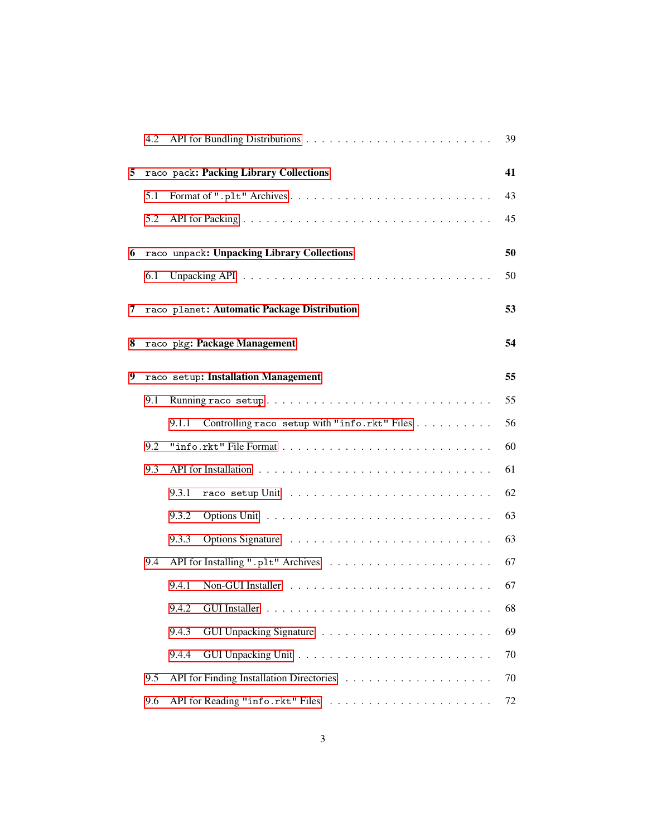|   | 4.2 |                                                       | 39 |
|---|-----|-------------------------------------------------------|----|
| 5 |     | raco pack: Packing Library Collections                | 41 |
|   | 5.1 |                                                       | 43 |
|   | 5.2 |                                                       | 45 |
| 6 |     | raco unpack: Unpacking Library Collections            | 50 |
|   | 6.1 |                                                       | 50 |
| 7 |     | raco planet: Automatic Package Distribution           | 53 |
|   |     |                                                       |    |
| 8 |     | raco pkg: Package Management                          | 54 |
| 9 |     | raco setup: Installation Management                   | 55 |
|   | 9.1 |                                                       | 55 |
|   |     | 9.1.1<br>Controlling raco setup with "info.rkt" Files | 56 |
|   | 9.2 |                                                       | 60 |
|   | 9.3 |                                                       | 61 |
|   |     | 9.3.1                                                 | 62 |
|   |     | 9.3.2                                                 | 63 |
|   |     | 9.3.3                                                 | 63 |
|   | 9.4 |                                                       | 67 |
|   |     | 9.4.1                                                 | 67 |
|   |     |                                                       | 68 |
|   |     | 9.4.3                                                 | 69 |
|   |     | 9.4.4                                                 | 70 |
|   | 9.5 |                                                       | 70 |
|   | 9.6 |                                                       | 72 |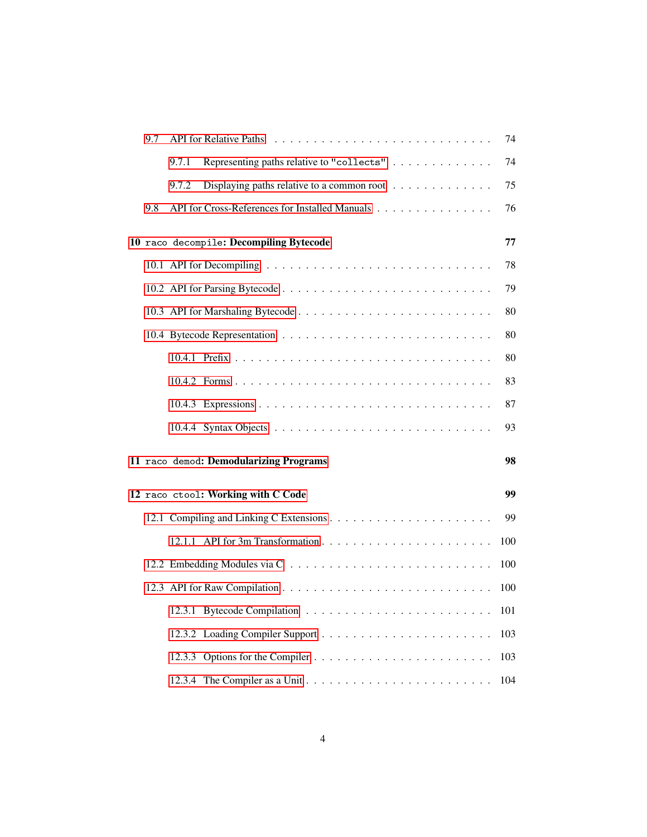| 9.7 | <b>API</b> for Relative Paths                                                 | 74  |
|-----|-------------------------------------------------------------------------------|-----|
|     | Representing paths relative to "collects"<br>9.7.1                            | 74  |
|     | 9.7.2<br>Displaying paths relative to a common root $\dots \dots \dots \dots$ | 75  |
| 9.8 | API for Cross-References for Installed Manuals                                | 76  |
|     | 10 raco decompile: Decompiling Bytecode                                       | 77  |
|     |                                                                               | 78  |
|     |                                                                               | 79  |
|     |                                                                               | 80  |
|     |                                                                               | 80  |
|     |                                                                               | 80  |
|     |                                                                               | 83  |
|     |                                                                               | 87  |
|     |                                                                               | 93  |
|     | 11 raco demod: Demodularizing Programs                                        | 98  |
|     | 12 raco ctool: Working with C Code                                            | 99  |
|     |                                                                               | 99  |
|     |                                                                               | 100 |
|     |                                                                               | 100 |
|     |                                                                               | 100 |
|     |                                                                               | 101 |
|     |                                                                               | 103 |
|     |                                                                               | 103 |
|     |                                                                               | 104 |
|     |                                                                               |     |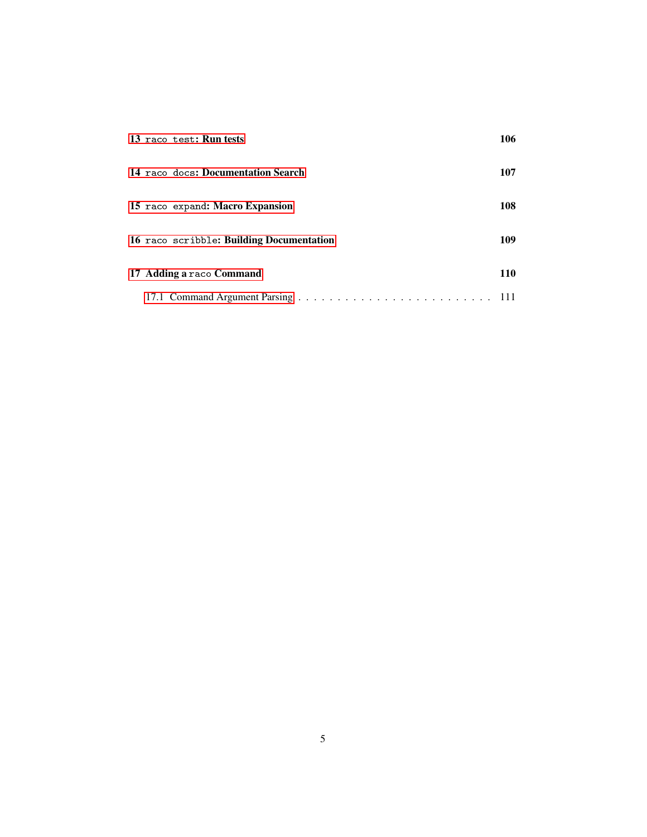|  | 13 raco test: Run tests                  | 106 |
|--|------------------------------------------|-----|
|  | 14 raco docs: Documentation Search       | 107 |
|  | 15 raco expand: Macro Expansion          | 108 |
|  | 16 raco scribble: Building Documentation | 109 |
|  | 17 Adding a raco Command                 | 110 |
|  |                                          |     |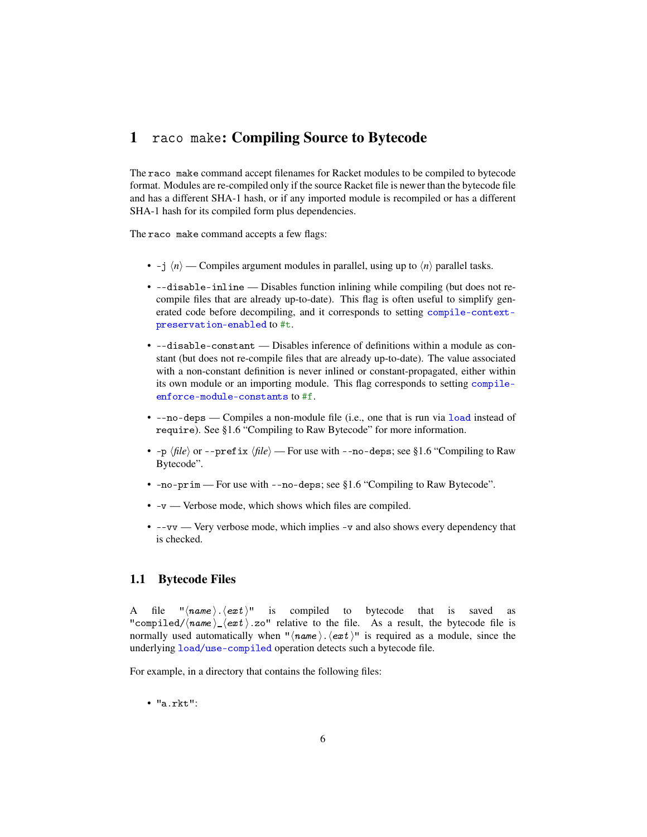# <span id="page-5-0"></span>1 raco make: Compiling Source to Bytecode

The raco make command accept filenames for Racket modules to be compiled to bytecode format. Modules are re-compiled only if the source Racket file is newer than the bytecode file and has a different SHA-1 hash, or if any imported module is recompiled or has a different SHA-1 hash for its compiled form plus dependencies.

The raco make command accepts a few flags:

- -j  $\langle n \rangle$  Compiles argument modules in parallel, using up to  $\langle n \rangle$  parallel tasks.
- --disable-inline Disables function inlining while compiling (but does not recompile files that are already up-to-date). This flag is often useful to simplify generated code before decompiling, and it corresponds to setting compile-contextpreservation-enabled to #t.
- --disable-constant Disables inference of definitions within a module as constant (but does not re-compile files that are already up-to-date). The value associated with a non-constant definition is never inlined or constant-propagated, either within its own module or an importing module. This flag corresponds to setting compileenforce-module-constants to #f.
- --no-deps Compiles a non-module file (i.e., one that is run via load instead of require). See §1.6 "Compiling to Raw Bytecode" for more information.
- $-p \langle file \rangle$  or  $-prefix \langle file \rangle$  For use with  $-p-degree$ ; see §1.6 "Compiling to Raw Bytecode".
- -no-prim For use with --no-deps; see §1.6 "Compiling to Raw Bytecode".
- -v Verbose mode, which shows which files are compiled.
- --vv Very verbose mode, which implies -v and also shows every dependency that is checked.

### <span id="page-5-1"></span>1.1 Bytecode Files

A file " $\langle name \rangle$ .  $\langle ext \rangle$ " is compiled to bytecode that is saved as "compiled/ $\langle name \rangle$   $\langle ext \rangle$ .zo" relative to the file. As a result, the bytecode file is normally used automatically when " $\langle \textit{name} \rangle$ .  $\langle \textit{ext} \rangle$ " is required as a module, since the underlying load/use-compiled operation detects such a bytecode file.

For example, in a directory that contains the following files:

• "a.rkt":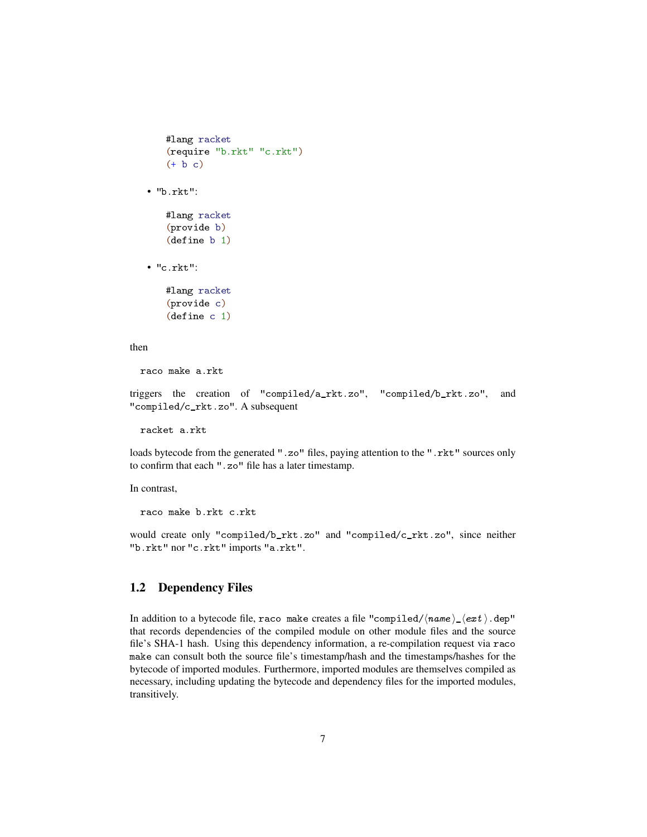```
#lang racket
   (require "b.rkt" "c.rkt")
   (+ b c)• "b.rkt":
   #lang racket
   (provide b)
   (define b 1)
• "c.rkt":
   #lang racket
```

```
(provide c)
(define c 1)
```
#### then

raco make a.rkt

triggers the creation of "compiled/a\_rkt.zo", "compiled/b\_rkt.zo", and "compiled/c\_rkt.zo". A subsequent

racket a.rkt

loads bytecode from the generated ".zo" files, paying attention to the ".rkt" sources only to confirm that each ".zo" file has a later timestamp.

In contrast,

raco make b.rkt c.rkt

would create only "compiled/b\_rkt.zo" and "compiled/c\_rkt.zo", since neither "b.rkt" nor "c.rkt" imports "a.rkt".

## <span id="page-6-0"></span>1.2 Dependency Files

In addition to a bytecode file, raco make creates a file "compiled/ $\langle \textit{name} \rangle_{\textit{-}} \langle \textit{ext} \rangle$ .dep" that records dependencies of the compiled module on other module files and the source file's SHA-1 hash. Using this dependency information, a re-compilation request via raco make can consult both the source file's timestamp/hash and the timestamps/hashes for the bytecode of imported modules. Furthermore, imported modules are themselves compiled as necessary, including updating the bytecode and dependency files for the imported modules, transitively.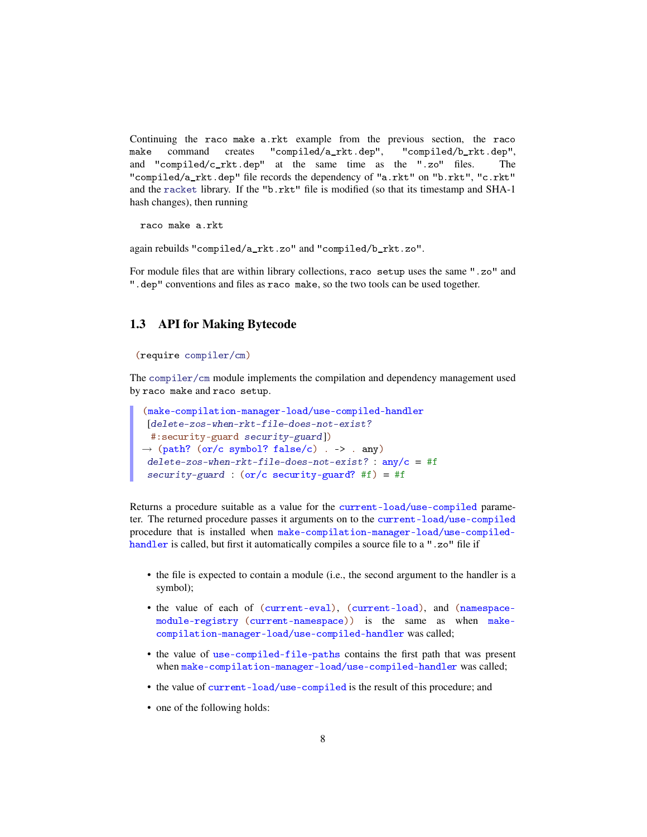Continuing the raco make a.rkt example from the previous section, the raco make command creates "compiled/a\_rkt.dep", "compiled/b\_rkt.dep", and "compiled/c\_rkt.dep" at the same time as the ".zo" files. The "compiled/a\_rkt.dep" file records the dependency of "a.rkt" on "b.rkt", "c.rkt" and the racket library. If the "b.rkt" file is modified (so that its timestamp and SHA-1 hash changes), then running

raco make a.rkt

again rebuilds "compiled/a\_rkt.zo" and "compiled/b\_rkt.zo".

For module files that are within library collections, raco setup uses the same ".zo" and ".dep" conventions and files as raco make, so the two tools can be used together.

### <span id="page-7-0"></span>1.3 API for Making Bytecode

#### (require compiler/cm)

The compiler/cm module implements the compilation and dependency management used by raco make and raco setup.

```
(make-compilation-manager-load/use-compiled-handler
 [delete-zos-when-rkt-file-does-not-exist?
 #:security-guard security-guard])
\rightarrow (path? (or/c symbol? false/c) . -> . any)
delete-zos-when-rkt-file-does-not-exist? : any/c = #f
 security-guard : (or/c security-guard? #f) = #f
```
Returns a procedure suitable as a value for the current-load/use-compiled parameter. The returned procedure passes it arguments on to the current-load/use-compiled procedure that is installed when make-compilation-manager-load/use-compiledhandler is called, but first it automatically compiles a source file to a ".zo" file if

- the file is expected to contain a module (i.e., the second argument to the handler is a symbol);
- the value of each of (current-eval), (current-load), and (namespacemodule-registry (current-namespace)) is the same as when makecompilation-manager-load/use-compiled-handler was called;
- the value of use-compiled-file-paths contains the first path that was present when make-compilation-manager-load/use-compiled-handler was called;
- the value of current-load/use-compiled is the result of this procedure; and
- one of the following holds: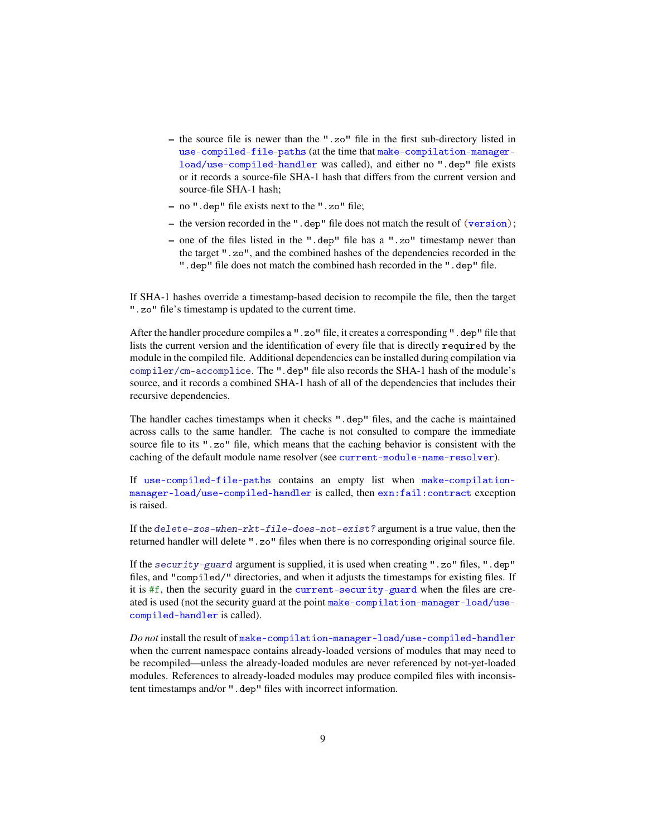- the source file is newer than the ".zo" file in the first sub-directory listed in use-compiled-file-paths (at the time that make-compilation-managerload/use-compiled-handler was called), and either no ".dep" file exists or it records a source-file SHA-1 hash that differs from the current version and source-file SHA-1 hash;
- no ".dep" file exists next to the ".zo" file;
- the version recorded in the ".dep" file does not match the result of (version);
- one of the files listed in the ".dep" file has a ".zo" timestamp newer than the target ".zo", and the combined hashes of the dependencies recorded in the ".dep" file does not match the combined hash recorded in the ".dep" file.

If SHA-1 hashes override a timestamp-based decision to recompile the file, then the target ".zo" file's timestamp is updated to the current time.

After the handler procedure compiles a ".zo" file, it creates a corresponding ".dep" file that lists the current version and the identification of every file that is directly required by the module in the compiled file. Additional dependencies can be installed during compilation via compiler/cm-accomplice. The ".dep" file also records the SHA-1 hash of the module's source, and it records a combined SHA-1 hash of all of the dependencies that includes their recursive dependencies.

The handler caches timestamps when it checks ".dep" files, and the cache is maintained across calls to the same handler. The cache is not consulted to compare the immediate source file to its ".zo" file, which means that the caching behavior is consistent with the caching of the default module name resolver (see current-module-name-resolver).

If use-compiled-file-paths contains an empty list when make-compilationmanager-load/use-compiled-handler is called, then exn:fail:contract exception is raised.

If the delete-zos-when-rkt-file-does-not-exist? argument is a true value, then the returned handler will delete ".zo" files when there is no corresponding original source file.

If the security-guard argument is supplied, it is used when creating ".zo" files, ".dep" files, and "compiled/" directories, and when it adjusts the timestamps for existing files. If it is  $#f$ , then the security guard in the current-security-guard when the files are created is used (not the security guard at the point make-compilation-manager-load/usecompiled-handler is called).

*Do not* install the result of make-compilation-manager-load/use-compiled-handler when the current namespace contains already-loaded versions of modules that may need to be recompiled—unless the already-loaded modules are never referenced by not-yet-loaded modules. References to already-loaded modules may produce compiled files with inconsistent timestamps and/or ".dep" files with incorrect information.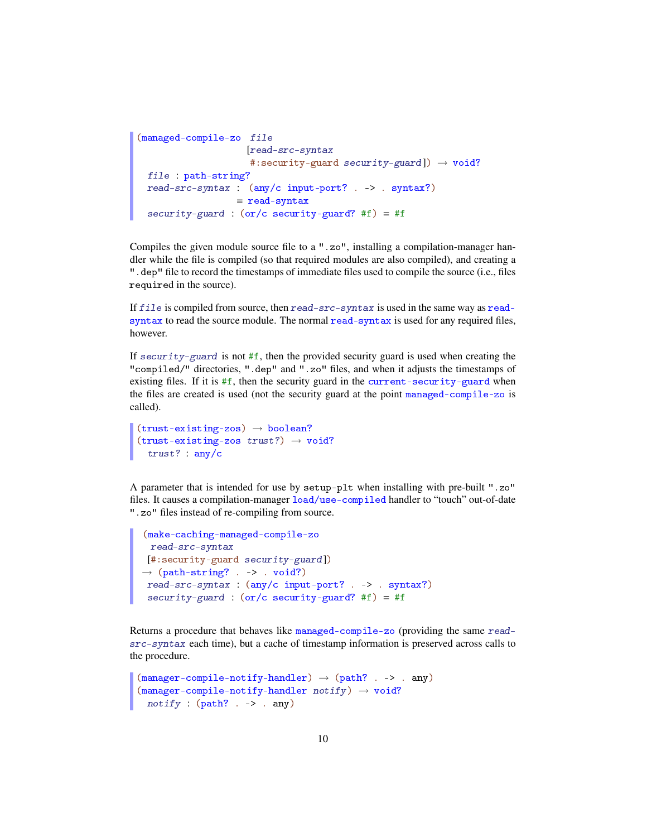```
(managed-compile-zo file
                    [read-src-syntax
                     #:security-guard security-guard]) \rightarrow void?
  file : path-string?
 read-src-syntax : (any/c input-port? . -> . syntax?)
                  = read-syntax
 security-guard : (or/c security-guard? #f) = #f
```
Compiles the given module source file to a ".zo", installing a compilation-manager handler while the file is compiled (so that required modules are also compiled), and creating a ".dep" file to record the timestamps of immediate files used to compile the source (i.e., files required in the source).

If file is compiled from source, then read-src-syntax is used in the same way as readsyntax to read the source module. The normal read-syntax is used for any required files, however.

If  $security$ -guard is not #f, then the provided security guard is used when creating the "compiled/" directories, ".dep" and ".zo" files, and when it adjusts the timestamps of existing files. If it is  $#f$ , then the security guard in the current-security-guard when the files are created is used (not the security guard at the point managed-compile-zo is called).

```
(trust-existing-zos) \rightarrow boolean?(truet-existing-zos trust?) \rightarrow void?trust? : any/c
```
A parameter that is intended for use by setup-plt when installing with pre-built ".zo" files. It causes a compilation-manager load/use-compiled handler to "touch" out-of-date ".zo" files instead of re-compiling from source.

```
(make-caching-managed-compile-zo
 read-src-syntax
[#:security-guard security-guard])
\rightarrow (path-string? . -> . void?)
read-src-syntax : (any/c input-port? . -> . syntax?)
 security-guard : (or/c security-guard? #f) = #f
```
Returns a procedure that behaves like managed-compile-zo (providing the same readsrc-syntax each time), but a cache of timestamp information is preserved across calls to the procedure.

```
(manager-compile-noity-handler) \rightarrow (path? . -> . any)(manager-compile-notify-handler notify) \rightarrow void?notify : (path? . > . any)
```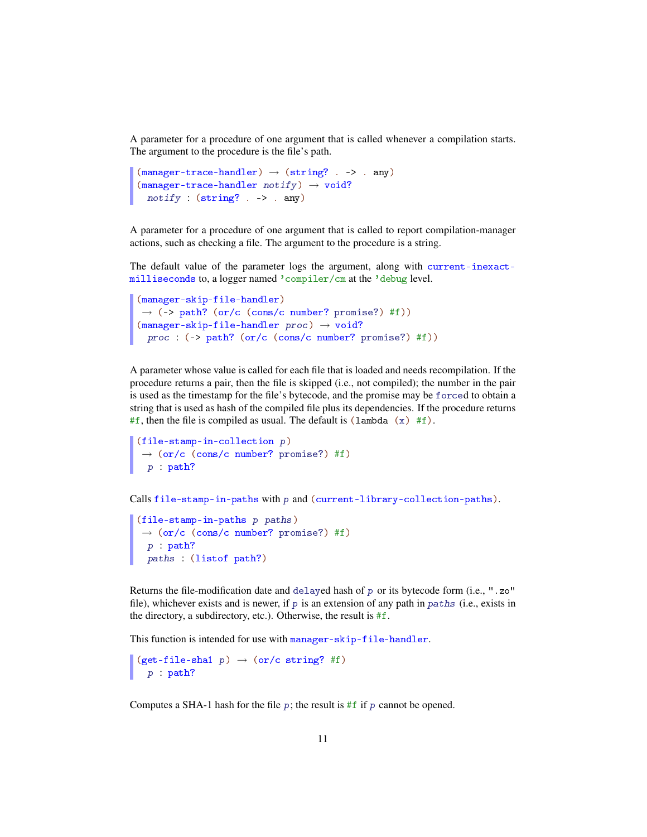A parameter for a procedure of one argument that is called whenever a compilation starts. The argument to the procedure is the file's path.

```
(manager-trace-handler) \rightarrow (string? . -> . any)(manager-trace-handler notify) \rightarrow void?notify : (string? . -> . any)
```
A parameter for a procedure of one argument that is called to report compilation-manager actions, such as checking a file. The argument to the procedure is a string.

The default value of the parameter logs the argument, along with current-inexactmilliseconds to, a logger named 'compiler/cm at the 'debug level.

```
(manager-skip-file-handler)
\rightarrow (-> path? (or/c (cons/c number? promise?) #f))
(manager-skip-file-handler proc) \rightarrow void?proc : (-> path? (or/c (cons/c number? promise?) #f))
```
A parameter whose value is called for each file that is loaded and needs recompilation. If the procedure returns a pair, then the file is skipped (i.e., not compiled); the number in the pair is used as the timestamp for the file's bytecode, and the promise may be forced to obtain a string that is used as hash of the compiled file plus its dependencies. If the procedure returns #f, then the file is compiled as usual. The default is (lambda  $(x)$  #f).

```
(file-stamp-in-collection p)
\rightarrow (or/c (cons/c number? promise?) #f)
  p : path?
```
Calls file-stamp-in-paths with p and (current-library-collection-paths).

```
(file-stamp-in-paths p paths)
\rightarrow (or/c (cons/c number? promise?) #f)
  p : path?
 paths : (listof path?)
```
Returns the file-modification date and delayed hash of p or its bytecode form (i.e., ".zo" file), whichever exists and is newer, if p is an extension of any path in paths (i.e., exists in the directory, a subdirectory, etc.). Otherwise, the result is #f.

This function is intended for use with manager-skip-file-handler.

 $(get-file-shal p) \rightarrow (or/c string? #f)$ p : path?

Computes a SHA-1 hash for the file  $p$ ; the result is #f if p cannot be opened.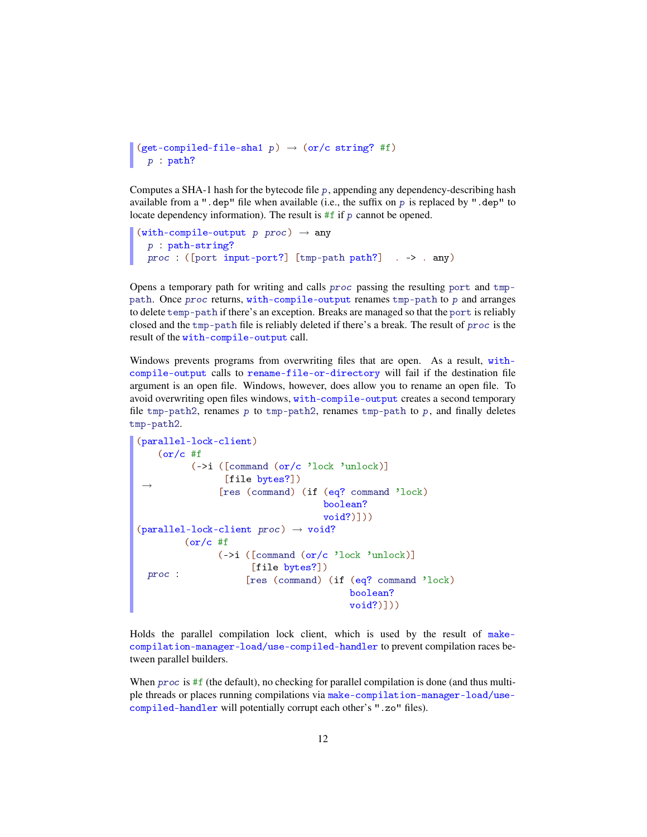```
(get-compiled-file-sha1 p) \rightarrow (or/c string? #f)
  p : path?
```
Computes a SHA-1 hash for the bytecode file p, appending any dependency-describing hash available from a ".dep" file when available (i.e., the suffix on p is replaced by ".dep" to locate dependency information). The result is  $#f$  if  $p$  cannot be opened.

```
(with-compile-output p proc) \rightarrow anyp : path-string?
  proc : ([port input-port?] [tmp-path path?] . -> . any)
```
Opens a temporary path for writing and calls proc passing the resulting port and tmppath. Once proc returns, with-compile-output renames tmp-path to p and arranges to delete temp-path if there's an exception. Breaks are managed so that the port is reliably closed and the tmp-path file is reliably deleted if there's a break. The result of proc is the result of the with-compile-output call.

Windows prevents programs from overwriting files that are open. As a result, withcompile-output calls to rename-file-or-directory will fail if the destination file argument is an open file. Windows, however, does allow you to rename an open file. To avoid overwriting open files windows, with-compile-output creates a second temporary file tmp-path2, renames p to tmp-path2, renames tmp-path to p, and finally deletes tmp-path2.

```
(parallel-lock-client)
 \rightarrow(or/c #f
          (->i ([command (or/c 'lock 'unlock)]
                 [file bytes?])
                [res (command) (if (eq? command 'lock)
                                    boolean?
                                    void?)]))
(parallel-lock-client proc) \rightarrow void?proc :
         (or/c #f
               (->i ([command (or/c 'lock 'unlock)]
                     [file bytes?])
                     [res (command) (if (eq? command 'lock)
                                         boolean?
                                         void?)]))
```
Holds the parallel compilation lock client, which is used by the result of makecompilation-manager-load/use-compiled-handler to prevent compilation races between parallel builders.

When  $proc$  is #f (the default), no checking for parallel compilation is done (and thus multiple threads or places running compilations via make-compilation-manager-load/usecompiled-handler will potentially corrupt each other's ".zo" files).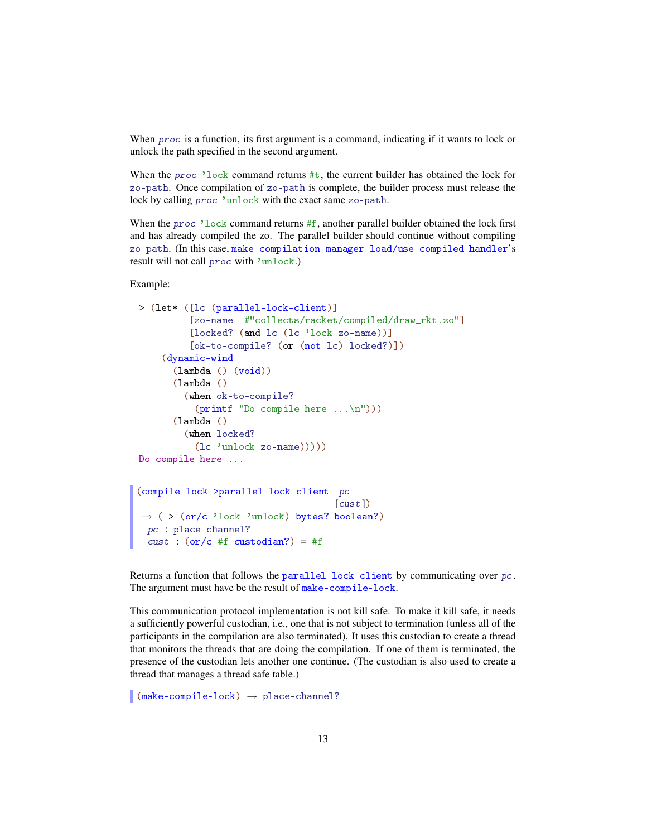When *proc* is a function, its first argument is a command, indicating if it wants to lock or unlock the path specified in the second argument.

When the *proc* 'lock command returns  $\#t$ , the current builder has obtained the lock for zo-path. Once compilation of zo-path is complete, the builder process must release the lock by calling proc 'unlock with the exact same zo-path.

When the proc 'lock command returns  $#f$ , another parallel builder obtained the lock first and has already compiled the zo. The parallel builder should continue without compiling zo-path. (In this case, make-compilation-manager-load/use-compiled-handler's result will not call proc with 'unlock.)

### Example:

```
> (let* ([lc (parallel-lock-client)]
          [zo-name #"collects/racket/compiled/draw_rkt.zo"]
          [locked? (and lc (lc 'lock zo-name))]
          [ok-to-compile? (or (not lc) locked?)])
    (dynamic-wind
       (lambda () (void))
       (lambda ()
         (when ok-to-compile?
           (printf "Do compile here ... \n', n"))(lambda ()
         (when locked?
           (lc 'unlock zo-name)))))
Do compile here ...
(compile-lock->parallel-lock-client pc
                                     [{\it cust}]\rightarrow (-> (or/c 'lock 'unlock) bytes? boolean?)
  pc : place-channel?
 cust : (or/c #f custodian?) = #f
```
Returns a function that follows the parallel-lock-client by communicating over  $pc$ . The argument must have be the result of make-compile-lock.

This communication protocol implementation is not kill safe. To make it kill safe, it needs a sufficiently powerful custodian, i.e., one that is not subject to termination (unless all of the participants in the compilation are also terminated). It uses this custodian to create a thread that monitors the threads that are doing the compilation. If one of them is terminated, the presence of the custodian lets another one continue. (The custodian is also used to create a thread that manages a thread safe table.)

 $\Box$  (make-compile-lock)  $\rightarrow$  place-channel?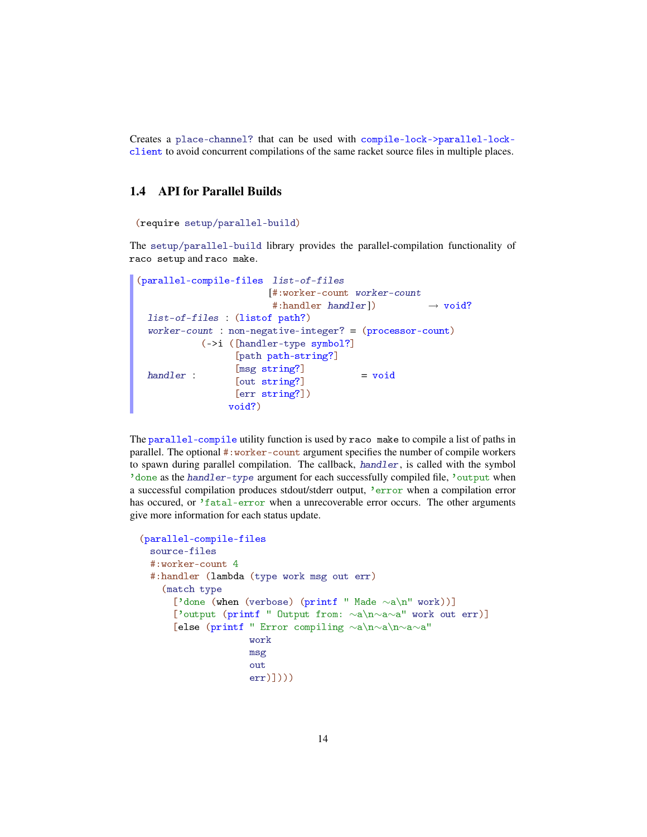Creates a place-channel? that can be used with compile-lock->parallel-lockclient to avoid concurrent compilations of the same racket source files in multiple places.

# <span id="page-13-0"></span>1.4 API for Parallel Builds

```
(require setup/parallel-build)
```
The setup/parallel-build library provides the parallel-compilation functionality of raco setup and raco make.

```
(parallel-compile-files list-of-files
                        [#:worker-count worker-count
                         #:handler handler]) \rightarrow void?
 list-of-files : (listof path?)
  worker-count : non-negative-integer? = (processor-count)
 handler :
           (->i ([handler-type symbol?]
                  [path path-string?]
                  [msg string?]
                  [out string?]
                 [err string?])
                 void?)
                                         = void
```
The parallel-compile utility function is used by raco make to compile a list of paths in parallel. The optional #:worker-count argument specifies the number of compile workers to spawn during parallel compilation. The callback, handler, is called with the symbol 'done as the handler-type argument for each successfully compiled file, 'output when a successful compilation produces stdout/stderr output, 'error when a compilation error has occured, or 'fatal-error when a unrecoverable error occurs. The other arguments give more information for each status update.

```
(parallel-compile-files
 source-files
 #:worker-count 4
 #:handler (lambda (type work msg out err)
    (match type
      ['done (when (verbose) (printf " Made ∼a\n" work))]
      ['output (printf " Output from: ∼a\n∼a∼a" work out err)]
      [else (printf " Error compiling ∼a\n∼a\n∼a∼a"
                    work
                    msg
                    out
                    err)])))
```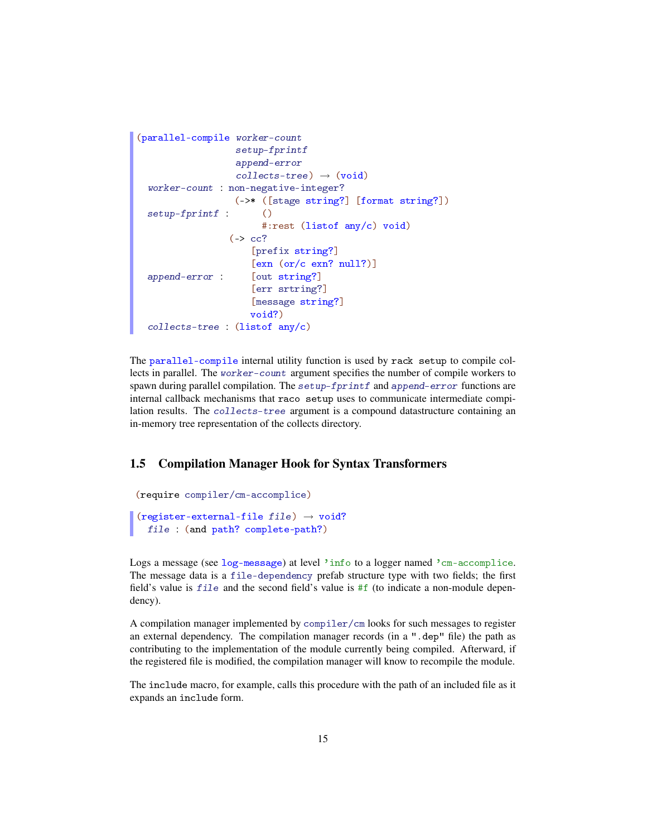```
(parallel-compile worker-count
                   setup-fprintf
                   append-error
                   collects-tree) \rightarrow (void)worker-count : non-negative-integer?
 setup-fprintf :
                   (->* ([stage string?] [format string?])
                        \circ#:rest (listof any/c) void)
 append-error :
                  (\rightarrow cc?
                      [prefix string?]
                      [exn (or/c exn? null?)]
                      [out string?]
                      [err srtring?]
                      [message string?]
                      void?)
 collects-tree : (listof any/c)
```
The parallel-compile internal utility function is used by rack setup to compile collects in parallel. The worker-count argument specifies the number of compile workers to spawn during parallel compilation. The setup-fprintf and append-error functions are internal callback mechanisms that raco setup uses to communicate intermediate compilation results. The collects-tree argument is a compound datastructure containing an in-memory tree representation of the collects directory.

### <span id="page-14-0"></span>1.5 Compilation Manager Hook for Syntax Transformers

```
(require compiler/cm-accomplice)
(register-external-file file) \rightarrow void?
  file : (and path? complete-path?)
```
Logs a message (see log-message) at level 'info to a logger named 'cm-accomplice. The message data is a file-dependency prefab structure type with two fields; the first field's value is  $fil$ e and the second field's value is  $#f$  (to indicate a non-module dependency).

A compilation manager implemented by compiler/cm looks for such messages to register an external dependency. The compilation manager records (in a ".dep" file) the path as contributing to the implementation of the module currently being compiled. Afterward, if the registered file is modified, the compilation manager will know to recompile the module.

The include macro, for example, calls this procedure with the path of an included file as it expands an include form.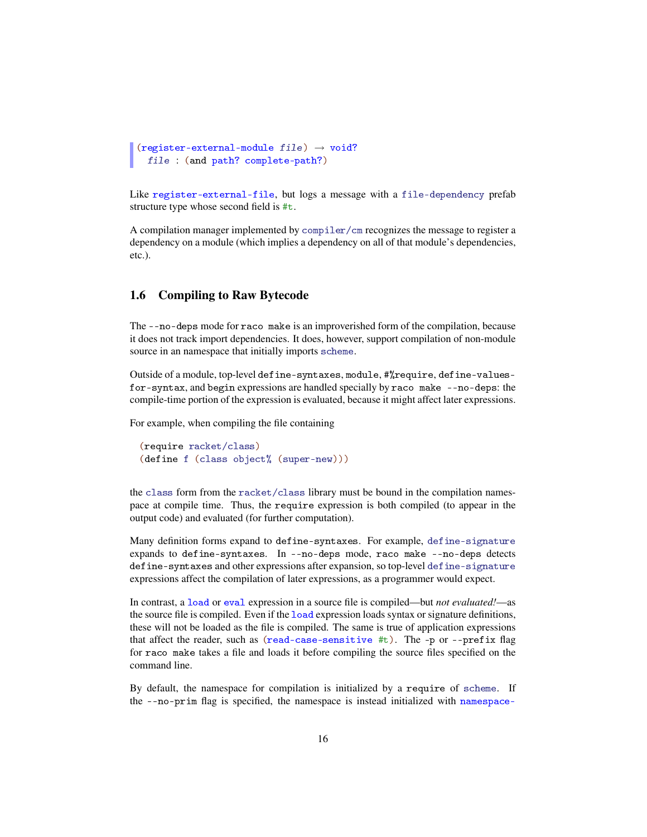```
(register-external-module file) \rightarrow void?file : (and path? complete-path?)
```
Like register-external-file, but logs a message with a file-dependency prefab structure type whose second field is #t.

A compilation manager implemented by compiler/cm recognizes the message to register a dependency on a module (which implies a dependency on all of that module's dependencies, etc.).

### <span id="page-15-0"></span>1.6 Compiling to Raw Bytecode

The --no-deps mode for raco make is an improverished form of the compilation, because it does not track import dependencies. It does, however, support compilation of non-module source in an namespace that initially imports scheme.

Outside of a module, top-level define-syntaxes, module, #%require, define-valuesfor-syntax, and begin expressions are handled specially by raco make --no-deps: the compile-time portion of the expression is evaluated, because it might affect later expressions.

For example, when compiling the file containing

```
(require racket/class)
(define f (class object% (super-new)))
```
the class form from the racket/class library must be bound in the compilation namespace at compile time. Thus, the require expression is both compiled (to appear in the output code) and evaluated (for further computation).

Many definition forms expand to define-syntaxes. For example, define-signature expands to define-syntaxes. In --no-deps mode, raco make --no-deps detects define-syntaxes and other expressions after expansion, so top-level define-signature expressions affect the compilation of later expressions, as a programmer would expect.

In contrast, a load or eval expression in a source file is compiled—but *not evaluated!*—as the source file is compiled. Even if the load expression loads syntax or signature definitions, these will not be loaded as the file is compiled. The same is true of application expressions that affect the reader, such as (read-case-sensitive  $\#t$ ). The -p or --prefix flag for raco make takes a file and loads it before compiling the source files specified on the command line.

By default, the namespace for compilation is initialized by a require of scheme. If the --no-prim flag is specified, the namespace is instead initialized with namespace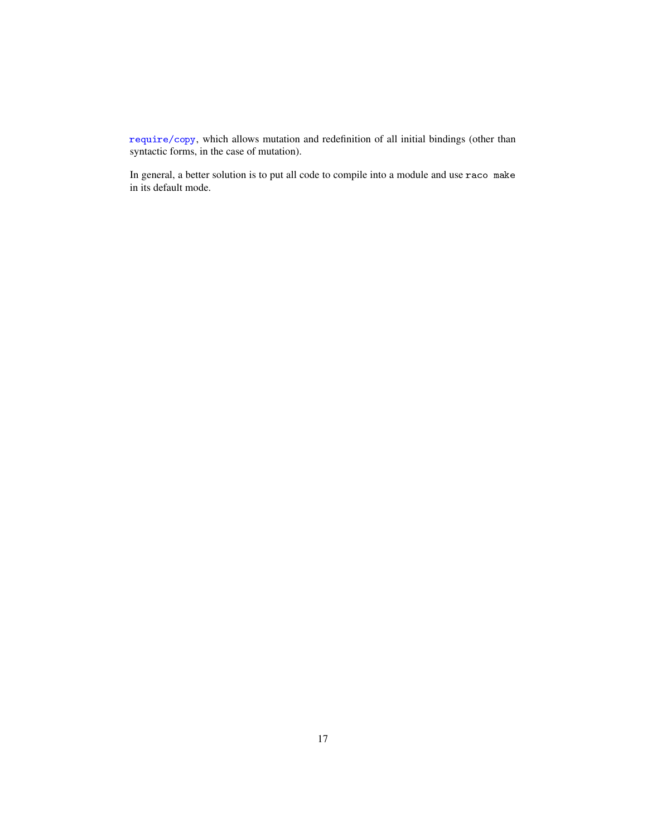require/copy, which allows mutation and redefinition of all initial bindings (other than syntactic forms, in the case of mutation).

In general, a better solution is to put all code to compile into a module and use raco make in its default mode.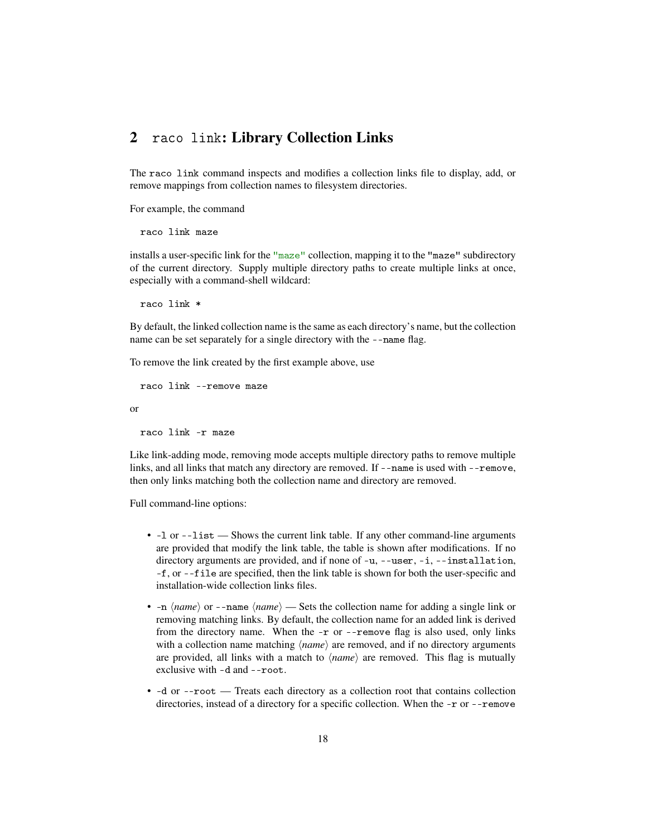# <span id="page-17-0"></span>2 raco link: Library Collection Links

The raco link command inspects and modifies a collection links file to display, add, or remove mappings from collection names to filesystem directories.

For example, the command

```
raco link maze
```
installs a user-specific link for the "maze" collection, mapping it to the "maze" subdirectory of the current directory. Supply multiple directory paths to create multiple links at once, especially with a command-shell wildcard:

raco link \*

By default, the linked collection name is the same as each directory's name, but the collection name can be set separately for a single directory with the --name flag.

To remove the link created by the first example above, use

```
raco link --remove maze
```
or

raco link -r maze

Like link-adding mode, removing mode accepts multiple directory paths to remove multiple links, and all links that match any directory are removed. If --name is used with --remove, then only links matching both the collection name and directory are removed.

Full command-line options:

- -l or --list Shows the current link table. If any other command-line arguments are provided that modify the link table, the table is shown after modifications. If no directory arguments are provided, and if none of -u, --user, -i, --installation, -f, or --file are specified, then the link table is shown for both the user-specific and installation-wide collection links files.
- $\text{-}n \langle \textit{name} \rangle$  or  $\text{-}n$ ame $\langle \textit{name} \rangle$  Sets the collection name for adding a single link or removing matching links. By default, the collection name for an added link is derived from the directory name. When the -r or --remove flag is also used, only links with a collection name matching  $\langle name \rangle$  are removed, and if no directory arguments are provided, all links with a match to  $\langle name \rangle$  are removed. This flag is mutually exclusive with -d and --root.
- -d or --root Treats each directory as a collection root that contains collection directories, instead of a directory for a specific collection. When the -r or --remove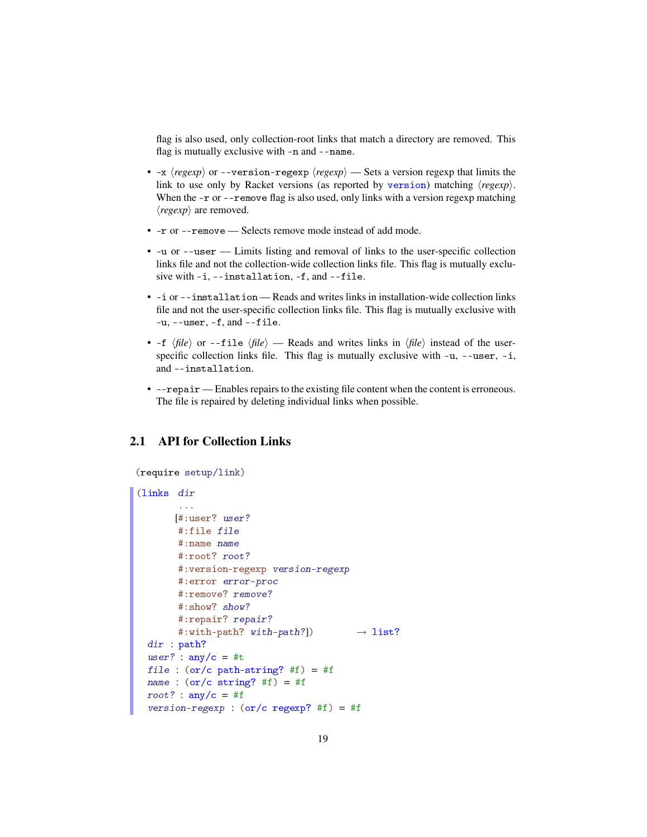flag is also used, only collection-root links that match a directory are removed. This flag is mutually exclusive with -n and --name.

- $-x$   $\langle regexp\rangle$  or  $-$ version-regexp  $\langle regexp\rangle$  Sets a version regexp that limits the link to use only by Racket versions (as reported by version) matching  $\langle regexp \rangle$ . When the  $-$ r or  $-$ -remove flag is also used, only links with a version regexp matching  $\langle \text{regexp} \rangle$  are removed.
- -r or --remove Selects remove mode instead of add mode.
- -u or --user Limits listing and removal of links to the user-specific collection links file and not the collection-wide collection links file. This flag is mutually exclusive with -i, --installation, -f, and --file.
- -i or --installation Reads and writes links in installation-wide collection links file and not the user-specific collection links file. This flag is mutually exclusive with  $-u$ ,  $-v$  -user,  $-f$ , and  $-v$  -file.
- $-f \langle file \rangle$  or  $-file \langle file \rangle$  Reads and writes links in  $\langle file \rangle$  instead of the userspecific collection links file. This flag is mutually exclusive with -u, --user, -i, and --installation.
- --repair Enables repairs to the existing file content when the content is erroneous. The file is repaired by deleting individual links when possible.

# <span id="page-18-0"></span>2.1 API for Collection Links

```
(require setup/link)
(links dir
       ...
       [#:user? user?
       #:file file
       #:name name
       #:root? root?
       #:version-regexp version-regexp
       #:error error-proc
       #:remove? remove?
       #:show? show?
       #: repair? repair?
       #:with-path? with-path?]) \rightarrow list?
 dir : path?
 user? : \text{any/c} = #tfile : (or/c path-string? #f) = #f
 name : (or/c \text{ string? #f}) = #froot? : any/c = #fversion-regexp : (or/c regexp? #f) = #f
```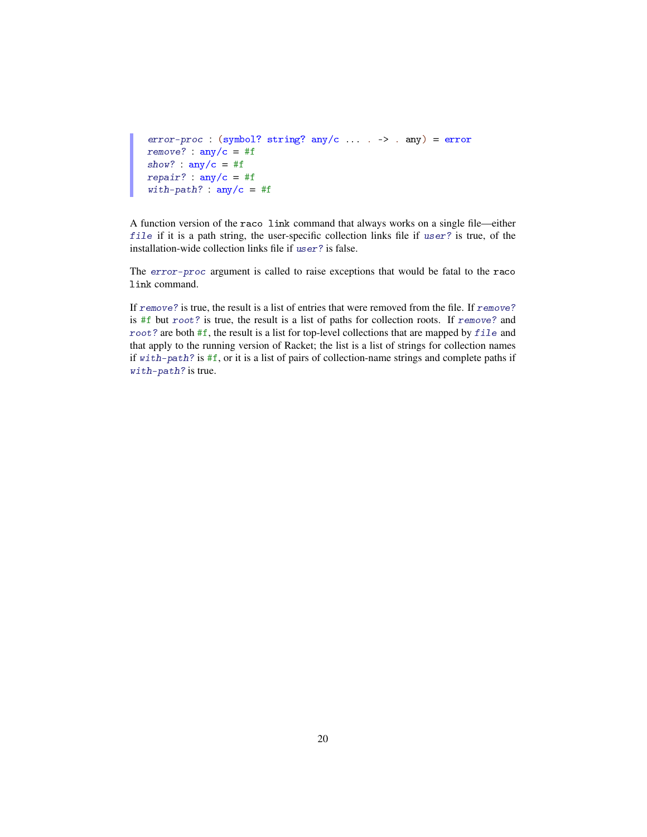```
error-proc : (symbol? string? any/c ... . -> . any) = errorremove? : \text{any/c} = #fshow? : any/c = #frepair? : any/c = #fwith-path? : any/c = #f
```
A function version of the raco link command that always works on a single file—either file if it is a path string, the user-specific collection links file if user? is true, of the installation-wide collection links file if user? is false.

The error-proc argument is called to raise exceptions that would be fatal to the raco link command.

If remove? is true, the result is a list of entries that were removed from the file. If remove? is #f but root? is true, the result is a list of paths for collection roots. If remove? and root? are both #f, the result is a list for top-level collections that are mapped by file and that apply to the running version of Racket; the list is a list of strings for collection names if with-path? is #f, or it is a list of pairs of collection-name strings and complete paths if with-path? is true.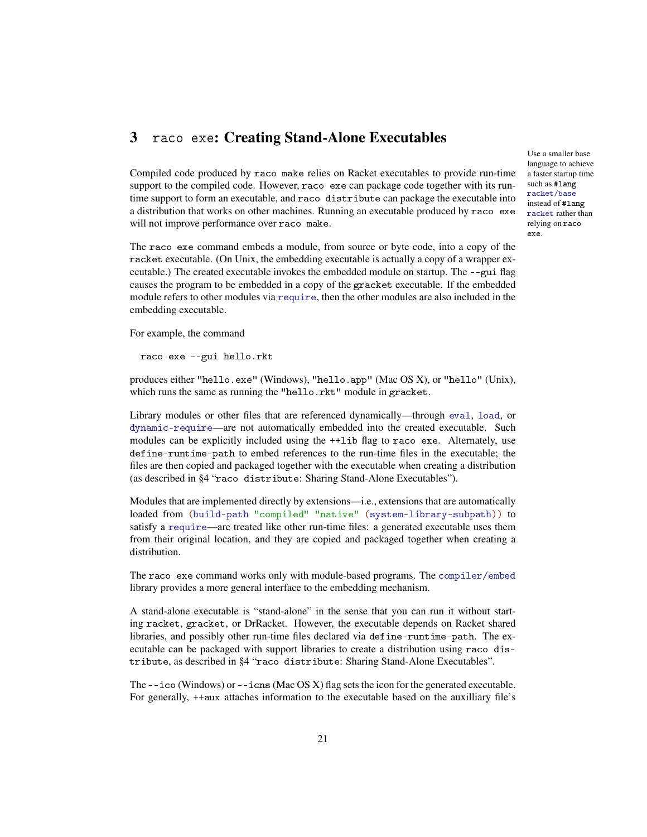# <span id="page-20-0"></span>3 raco exe: Creating Stand-Alone Executables

Compiled code produced by raco make relies on Racket executables to provide run-time support to the compiled code. However, raco exe can package code together with its runtime support to form an executable, and raco distribute can package the executable into a distribution that works on other machines. Running an executable produced by raco exe will not improve performance over raco make.

The raco exe command embeds a module, from source or byte code, into a copy of the racket executable. (On Unix, the embedding executable is actually a copy of a wrapper executable.) The created executable invokes the embedded module on startup. The --gui flag causes the program to be embedded in a copy of the gracket executable. If the embedded module refers to other modules via require, then the other modules are also included in the embedding executable.

For example, the command

raco exe --gui hello.rkt

produces either "hello.exe" (Windows), "hello.app" (Mac OS X), or "hello" (Unix), which runs the same as running the "hello.rkt" module in gracket.

Library modules or other files that are referenced dynamically—through eval, load, or dynamic-require—are not automatically embedded into the created executable. Such modules can be explicitly included using the ++lib flag to raco exe. Alternately, use define-runtime-path to embed references to the run-time files in the executable; the files are then copied and packaged together with the executable when creating a distribution (as described in §4 "raco distribute: Sharing Stand-Alone Executables").

Modules that are implemented directly by extensions—i.e., extensions that are automatically loaded from (build-path "compiled" "native" (system-library-subpath)) to satisfy a require—are treated like other run-time files: a generated executable uses them from their original location, and they are copied and packaged together when creating a distribution.

The raco exe command works only with module-based programs. The compiler/embed library provides a more general interface to the embedding mechanism.

A stand-alone executable is "stand-alone" in the sense that you can run it without starting racket, gracket, or DrRacket. However, the executable depends on Racket shared libraries, and possibly other run-time files declared via define-runtime-path. The executable can be packaged with support libraries to create a distribution using raco distribute, as described in §4 "raco distribute: Sharing Stand-Alone Executables".

The  $-\text{i}$  co (Windows) or  $-\text{i}$  cns (Mac OS X) flag sets the icon for the generated executable. For generally, ++aux attaches information to the executable based on the auxilliary file's Use a smaller base language to achieve a faster startup time such as #lang racket/base instead of #lang racket rather than relying on raco exe.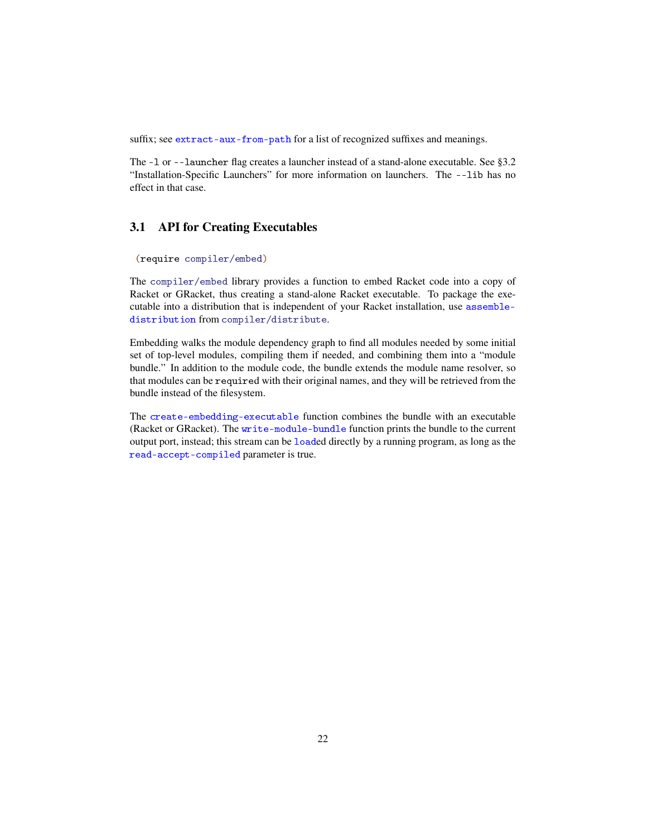suffix; see extract-aux-from-path for a list of recognized suffixes and meanings.

The -l or --launcher flag creates a launcher instead of a stand-alone executable. See §3.2 "Installation-Specific Launchers" for more information on launchers. The --lib has no effect in that case.

# <span id="page-21-0"></span>3.1 API for Creating Executables

```
(require compiler/embed)
```
The compiler/embed library provides a function to embed Racket code into a copy of Racket or GRacket, thus creating a stand-alone Racket executable. To package the executable into a distribution that is independent of your Racket installation, use assembledistribution from compiler/distribute.

Embedding walks the module dependency graph to find all modules needed by some initial set of top-level modules, compiling them if needed, and combining them into a "module bundle." In addition to the module code, the bundle extends the module name resolver, so that modules can be required with their original names, and they will be retrieved from the bundle instead of the filesystem.

The create-embedding-executable function combines the bundle with an executable (Racket or GRacket). The write-module-bundle function prints the bundle to the current output port, instead; this stream can be loaded directly by a running program, as long as the read-accept-compiled parameter is true.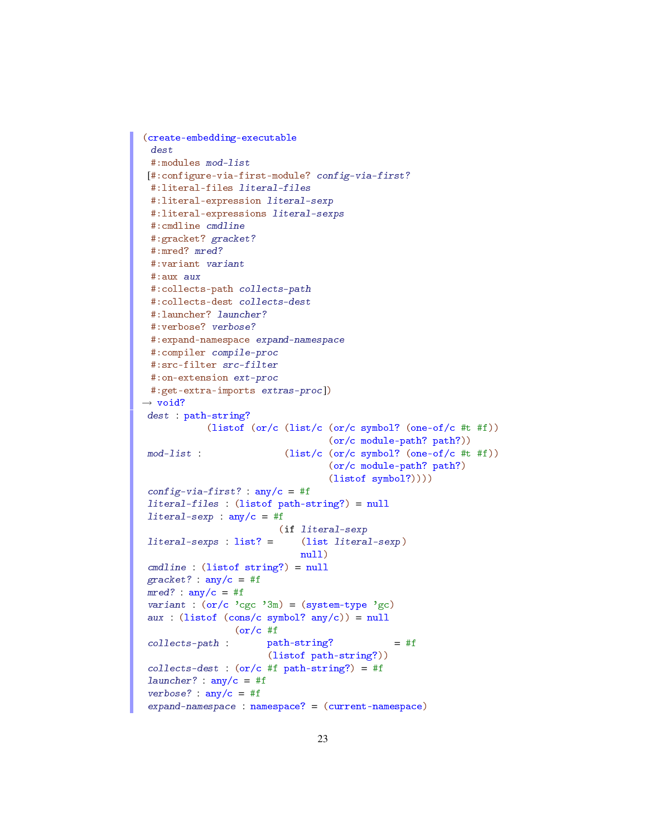```
(create-embedding-executable
 dest
 #:modules mod-list
[#:configure-via-first-module? config-via-first?
 #:literal-files literal-files
 #:literal-expression literal-sexp
 #:literal-expressions literal-sexps
 #:cmdline cmdline
 #:gracket? gracket?
 #:mred? mred?
 #:variant variant
 #:aux aux
 #:collects-path collects-path
 #:collects-dest collects-dest
 #:launcher? launcher?
 #:verbose? verbose?
 #:expand-namespace expand-namespace
 #:compiler compile-proc
 #:src-filter src-filter
 #:on-extension ext-proc
 #:get-extra-imports extras-proc])
\rightarrow void?
 dest : path-string?
 mod-list :
            (listof (or/c (list/c (or/c symbol? (one-of/c #t #f))
                                  (or/c module-path? path?))
                          (list/c (or/c symbol? (one-of/c #t #f))
                                  (or/c module-path? path?)
                                  (listof symbol?))))
 config-via-first? : any/c = #fliteral-files : (listof path-string?) = null
 literal-sexp : any/c = #fliteral-sexps : list? =
                         (if literal-sexp
                            (list literal-sexp)
                             null)
cmdline : (listof string?) = null
 gracket? : any/c = #fmred? : any/c = #fvariant : (or/c)'cgc'3m) = (system-type'gc)aux : (listof (cons/c symbol? any/c)) = nullcollects-path :
                 (or/c #f
                       path-string?
                       (listof path-string?))
                                              = #f
 collects-dest : (or/c #f path-string?) = #f
 launcher? : any/c = #f
 verbose? : any/c = #fexpand-namespace : namespace? = (current-namespace)
```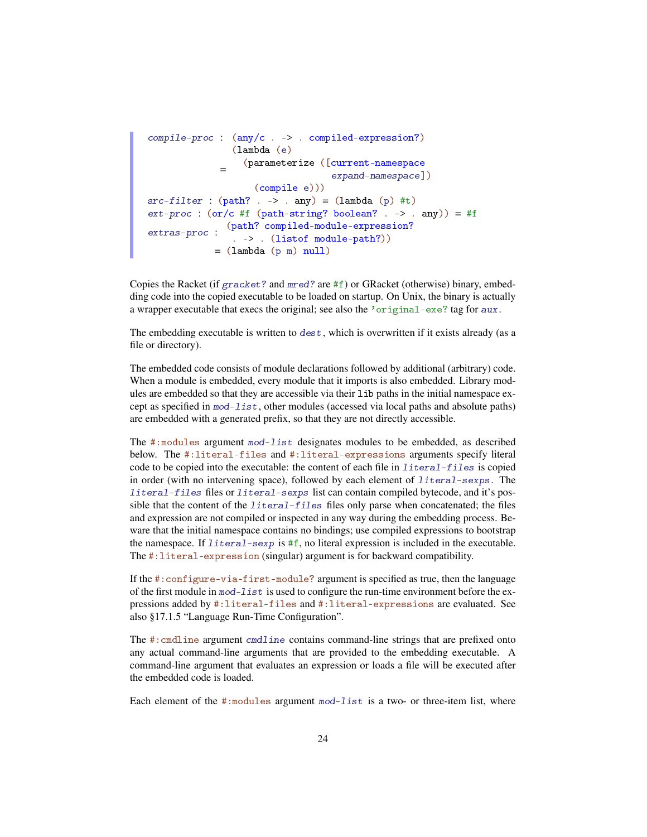```
compile-proc : (any/c . -> . compiled-expression?)
              =
                (lambda (e)
                  (parameterize ([current-namespace
                                  expand-namespace])
                   (compile e)))
src-filter : (path? . -> . any) = (lambda (p) #t)ext\text{-}proc : (or/c #f (path-string? boolean? . -> . any)) = #fextras-proc :
              (path? compiled-module-expression?
               . -> . (listof module-path?))
            = (lambda (p m) null)
```
Copies the Racket (if  $gracket$ ? and  $mred$ ? are #f) or GRacket (otherwise) binary, embedding code into the copied executable to be loaded on startup. On Unix, the binary is actually a wrapper executable that execs the original; see also the 'original-exe? tag for aux.

The embedding executable is written to dest, which is overwritten if it exists already (as a file or directory).

The embedded code consists of module declarations followed by additional (arbitrary) code. When a module is embedded, every module that it imports is also embedded. Library modules are embedded so that they are accessible via their lib paths in the initial namespace except as specified in mod-list, other modules (accessed via local paths and absolute paths) are embedded with a generated prefix, so that they are not directly accessible.

The #:modules argument mod-list designates modules to be embedded, as described below. The #:literal-files and #:literal-expressions arguments specify literal code to be copied into the executable: the content of each file in literal-files is copied in order (with no intervening space), followed by each element of literal-sexps. The literal-files files or literal-sexps list can contain compiled bytecode, and it's possible that the content of the  $l$ iteral-files files only parse when concatenated; the files and expression are not compiled or inspected in any way during the embedding process. Beware that the initial namespace contains no bindings; use compiled expressions to bootstrap the namespace. If  $literal-sexp$  is #f, no literal expression is included in the executable. The #:literal-expression (singular) argument is for backward compatibility.

If the #:configure-via-first-module? argument is specified as true, then the language of the first module in mod-list is used to configure the run-time environment before the expressions added by #:literal-files and #:literal-expressions are evaluated. See also §17.1.5 "Language Run-Time Configuration".

The #:cmdline argument cmdline contains command-line strings that are prefixed onto any actual command-line arguments that are provided to the embedding executable. A command-line argument that evaluates an expression or loads a file will be executed after the embedded code is loaded.

Each element of the  $\#$ : modules argument mod-list is a two- or three-item list, where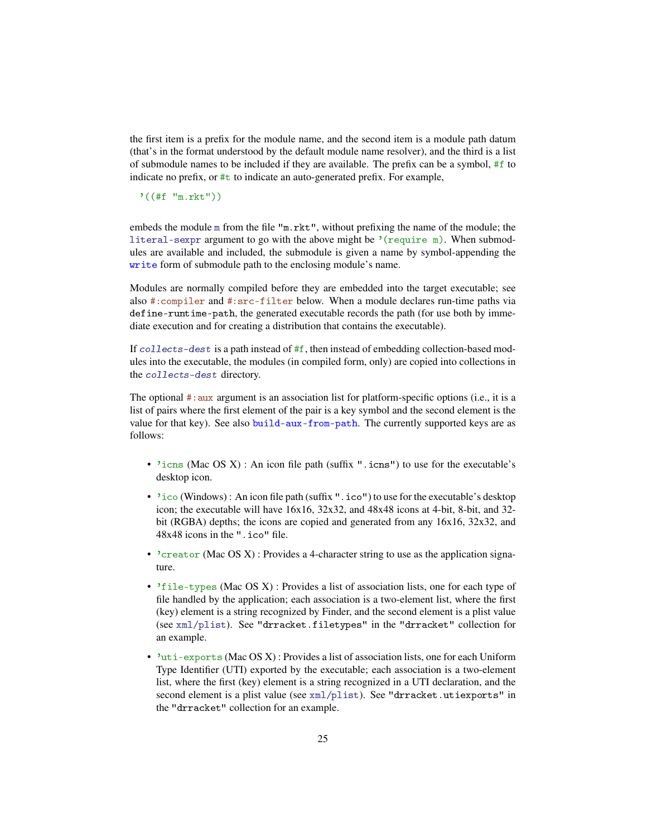the first item is a prefix for the module name, and the second item is a module path datum (that's in the format understood by the default module name resolver), and the third is a list of submodule names to be included if they are available. The prefix can be a symbol, #f to indicate no prefix, or  $\#t$  to indicate an auto-generated prefix. For example,

'((#f "m.rkt"))

embeds the module m from the file "m.rkt", without prefixing the name of the module; the literal-sexpr argument to go with the above might be '(require m). When submodules are available and included, the submodule is given a name by symbol-appending the write form of submodule path to the enclosing module's name.

Modules are normally compiled before they are embedded into the target executable; see also #:compiler and #:src-filter below. When a module declares run-time paths via define-runtime-path, the generated executable records the path (for use both by immediate execution and for creating a distribution that contains the executable).

If  $collects-dest$  is a path instead of  $#f$ , then instead of embedding collection-based modules into the executable, the modules (in compiled form, only) are copied into collections in the collects-dest directory.

The optional #:aux argument is an association list for platform-specific options (i.e., it is a list of pairs where the first element of the pair is a key symbol and the second element is the value for that key). See also build-aux-from-path. The currently supported keys are as follows:

- 'icns (Mac OS X) : An icon file path (suffix ".icns") to use for the executable's desktop icon.
- 'ico (Windows) : An icon file path (suffix ". i co") to use for the executable's desktop icon; the executable will have 16x16, 32x32, and 48x48 icons at 4-bit, 8-bit, and 32 bit (RGBA) depths; the icons are copied and generated from any 16x16, 32x32, and 48x48 icons in the ".ico" file.
- $\bullet$  'creator (Mac OS X): Provides a 4-character string to use as the application signature.
- 'file-types (Mac OS X) : Provides a list of association lists, one for each type of file handled by the application; each association is a two-element list, where the first (key) element is a string recognized by Finder, and the second element is a plist value (see xml/plist). See "drracket.filetypes" in the "drracket" collection for an example.
- 'uti-exports (Mac OS X) : Provides a list of association lists, one for each Uniform Type Identifier (UTI) exported by the executable; each association is a two-element list, where the first (key) element is a string recognized in a UTI declaration, and the second element is a plist value (see xml/plist). See "drracket.utiexports" in the "drracket" collection for an example.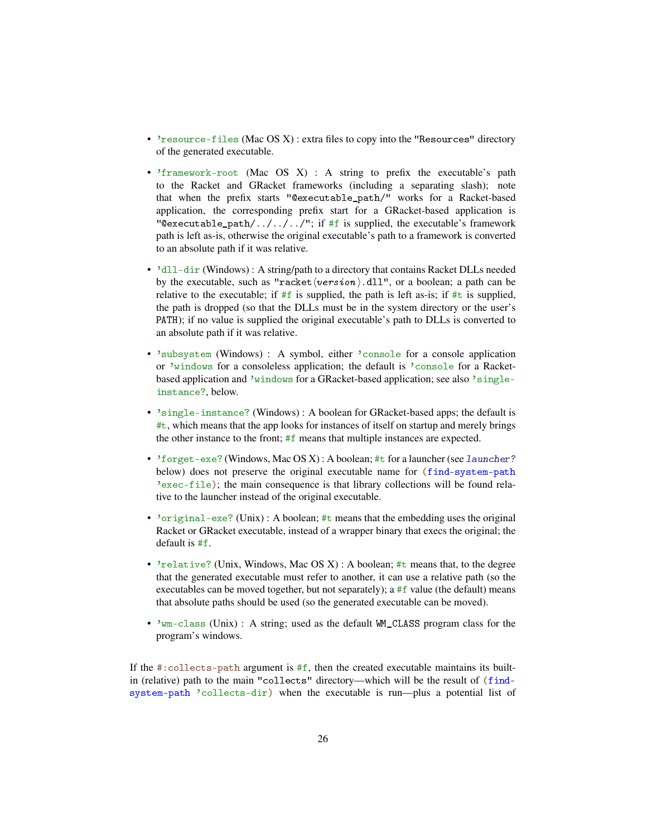- 'resource-files (Mac OS X) : extra files to copy into the "Resources" directory of the generated executable.
- 'framework-root (Mac OS X) : A string to prefix the executable's path to the Racket and GRacket frameworks (including a separating slash); note that when the prefix starts "@executable\_path/" works for a Racket-based application, the corresponding prefix start for a GRacket-based application is "@executable\_path/../../../"; if #f is supplied, the executable's framework path is left as-is, otherwise the original executable's path to a framework is converted to an absolute path if it was relative.
- 'dll-dir (Windows) : A string/path to a directory that contains Racket DLLs needed by the executable, such as "racket $\langle version \rangle$ .dll", or a boolean; a path can be relative to the executable; if  $#f$  is supplied, the path is left as-is; if  $#t$  is supplied, the path is dropped (so that the DLLs must be in the system directory or the user's PATH); if no value is supplied the original executable's path to DLLs is converted to an absolute path if it was relative.
- 'subsystem (Windows) : A symbol, either 'console for a console application or 'windows for a consoleless application; the default is 'console for a Racketbased application and 'windows for a GRacket-based application; see also 'singleinstance?, below.
- 'single-instance? (Windows) : A boolean for GRacket-based apps; the default is #t, which means that the app looks for instances of itself on startup and merely brings the other instance to the front; #f means that multiple instances are expected.
- 'forget-exe? (Windows, Mac OS X) : A boolean; #t for a launcher (see launcher? below) does not preserve the original executable name for (find-system-path 'exec-file); the main consequence is that library collections will be found relative to the launcher instead of the original executable.
- 'original-exe? (Unix) : A boolean; #t means that the embedding uses the original Racket or GRacket executable, instead of a wrapper binary that execs the original; the default is #f.
- 'relative? (Unix, Windows, Mac OS X): A boolean; #t means that, to the degree that the generated executable must refer to another, it can use a relative path (so the executables can be moved together, but not separately); a #f value (the default) means that absolute paths should be used (so the generated executable can be moved).
- 'wm-class (Unix) : A string; used as the default WM\_CLASS program class for the program's windows.

If the  $\#$ : collects-path argument is  $\#f$ , then the created executable maintains its builtin (relative) path to the main "collects" directory—which will be the result of (findsystem-path 'collects-dir) when the executable is run—plus a potential list of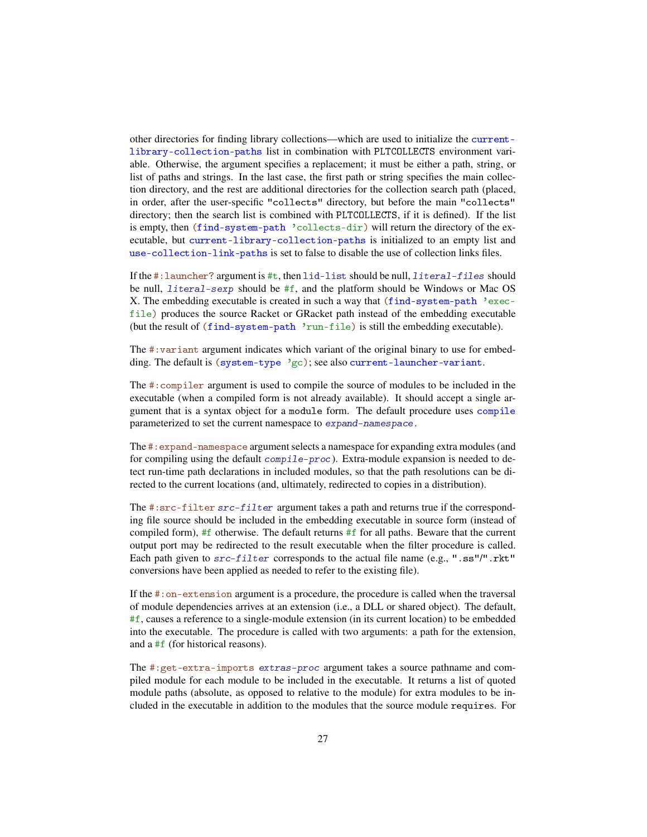other directories for finding library collections—which are used to initialize the currentlibrary-collection-paths list in combination with PLTCOLLECTS environment variable. Otherwise, the argument specifies a replacement; it must be either a path, string, or list of paths and strings. In the last case, the first path or string specifies the main collection directory, and the rest are additional directories for the collection search path (placed, in order, after the user-specific "collects" directory, but before the main "collects" directory; then the search list is combined with PLTCOLLECTS, if it is defined). If the list is empty, then (find-system-path 'collects-dir) will return the directory of the executable, but current-library-collection-paths is initialized to an empty list and use-collection-link-paths is set to false to disable the use of collection links files.

If the  $\#$ : launcher? argument is  $\#$ t, then lid-list should be null, literal-files should be null, literal-sexp should be #f, and the platform should be Windows or Mac OS X. The embedding executable is created in such a way that (find-system-path 'execfile) produces the source Racket or GRacket path instead of the embedding executable (but the result of (find-system-path 'run-file) is still the embedding executable).

The #:variant argument indicates which variant of the original binary to use for embedding. The default is (system-type  $\gamma$ gc); see also current-launcher-variant.

The #:compiler argument is used to compile the source of modules to be included in the executable (when a compiled form is not already available). It should accept a single argument that is a syntax object for a module form. The default procedure uses compile parameterized to set the current namespace to expand-namespace.

The #:expand-namespace argument selects a namespace for expanding extra modules (and for compiling using the default compile-proc). Extra-module expansion is needed to detect run-time path declarations in included modules, so that the path resolutions can be directed to the current locations (and, ultimately, redirected to copies in a distribution).

The #:src-filter src-filter argument takes a path and returns true if the corresponding file source should be included in the embedding executable in source form (instead of compiled form), #f otherwise. The default returns  $#f$  for all paths. Beware that the current output port may be redirected to the result executable when the filter procedure is called. Each path given to  $src-filter$  corresponds to the actual file name (e.g., ".ss"/".rkt" conversions have been applied as needed to refer to the existing file).

If the #:on-extension argument is a procedure, the procedure is called when the traversal of module dependencies arrives at an extension (i.e., a DLL or shared object). The default, #f, causes a reference to a single-module extension (in its current location) to be embedded into the executable. The procedure is called with two arguments: a path for the extension, and a #f (for historical reasons).

The #:get-extra-imports extras-proc argument takes a source pathname and compiled module for each module to be included in the executable. It returns a list of quoted module paths (absolute, as opposed to relative to the module) for extra modules to be included in the executable in addition to the modules that the source module requires. For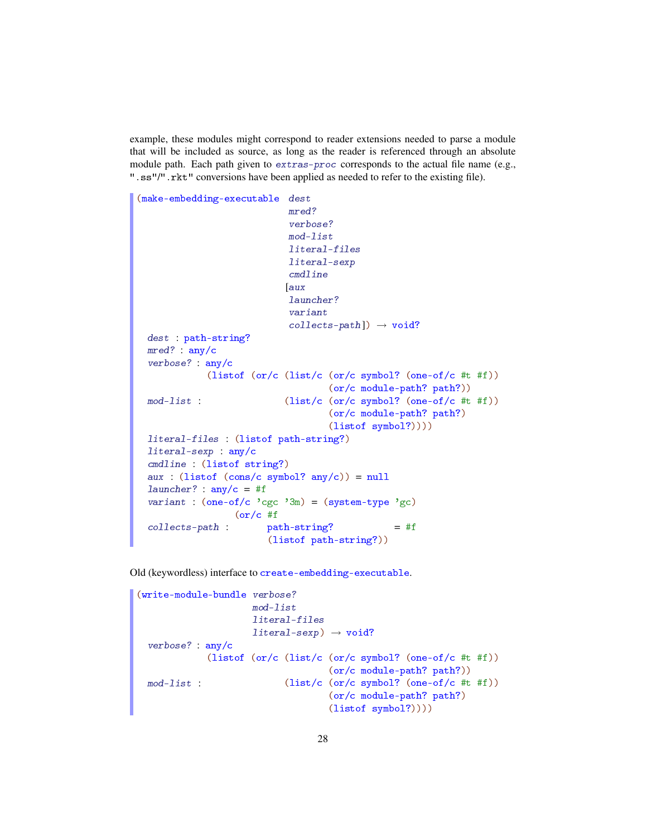example, these modules might correspond to reader extensions needed to parse a module that will be included as source, as long as the reader is referenced through an absolute module path. Each path given to extras-proc corresponds to the actual file name (e.g., ".ss"/".rkt" conversions have been applied as needed to refer to the existing file).

```
(make-embedding-executable dest
                            mred?
                            verbose?
                            mod-list
                            literal-files
                            literal-sexp
                            cmdline
                           [aux
                            launcher?
                            variant
                            collects-path]) \rightarrow void?dest : path-string?
 mred? : any/c
  verbose? : any/c
  mod-list :
             (listof (or/c (list/c (or/c symbol? (one-of/c #t #f))
                                    (or/c module-path? path?))
                           (list/c (or/c symbol? (one-of/c #t #f))
                                    (or/c module-path? path?)
                                    (listof symbol?))))
  literal-files : (listof path-string?)
  literal-sexp : any/c
  cmdline : (listof string?)
  aux : (listof (cons/c symbol? any/c)) = nulllauncher? : any/c = #f
  variant : (one-of/c)'cgc'3m) = (system-type'gc)collects-path :
                  (or/c #f
                        path-string?
                        (listof path-string?))
                                                = #f
```
Old (keywordless) interface to create-embedding-executable.

```
(write-module-bundle verbose?
                      mod-list
                      literal-files
                      literal-sexp \rightarrow void?
  verbose? : any/c
 mod-list :
             (listof (or/c (list/c (or/c symbol? (one-of/c #t #f))
                                      (or/c module-path? path?))
                             (list/c (or/c symbol? (one-of/c <math>\#t \#f</math>))(or/c module-path? path?)
                                      (listof symbol?))))
```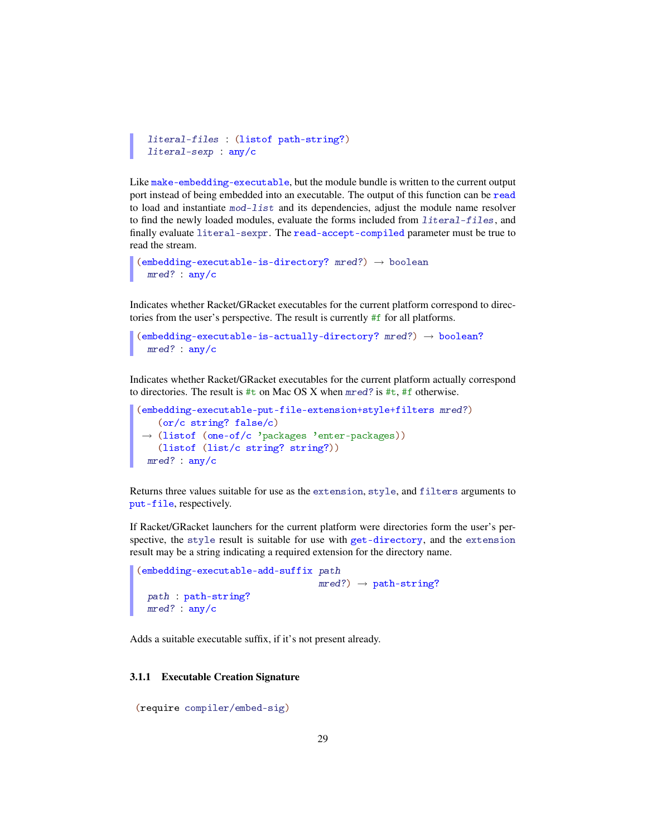```
literal-files : (listof path-string?)
literal-sexp : any/c
```
Like make-embedding-executable, but the module bundle is written to the current output port instead of being embedded into an executable. The output of this function can be read to load and instantiate  $mod-1$  ist and its dependencies, adjust the module name resolver to find the newly loaded modules, evaluate the forms included from literal-files, and finally evaluate literal-sexpr. The read-accept-compiled parameter must be true to read the stream.

```
(embedding-executable-is-directory? mred?) \rightarrow booleanmred? : any/c
```
Indicates whether Racket/GRacket executables for the current platform correspond to directories from the user's perspective. The result is currently #f for all platforms.

```
(embedding-executable-is-actually-directory? <i>mred?</i>) \rightarrow boolean?mred? : any/c
```
Indicates whether Racket/GRacket executables for the current platform actually correspond to directories. The result is  $\#t$  on Mac OS X when mred? is  $\#t$ ,  $\#f$  otherwise.

```
(embedding-executable-put-file-extension+style+filters mred?)
 →
(listof (one-of/c 'packages 'enter-packages))
   (or/c string? false/c)
   (listof (list/c string? string?))
 mred? : any/c
```
Returns three values suitable for use as the extension, style, and filters arguments to put-file, respectively.

If Racket/GRacket launchers for the current platform were directories form the user's perspective, the style result is suitable for use with get-directory, and the extension result may be a string indicating a required extension for the directory name.

```
(embedding-executable-add-suffix path
                                    mred? \rightarrow path-string?
  path : path-string?
 mred? : any/c
```
Adds a suitable executable suffix, if it's not present already.

#### <span id="page-28-0"></span>3.1.1 Executable Creation Signature

```
(require compiler/embed-sig)
```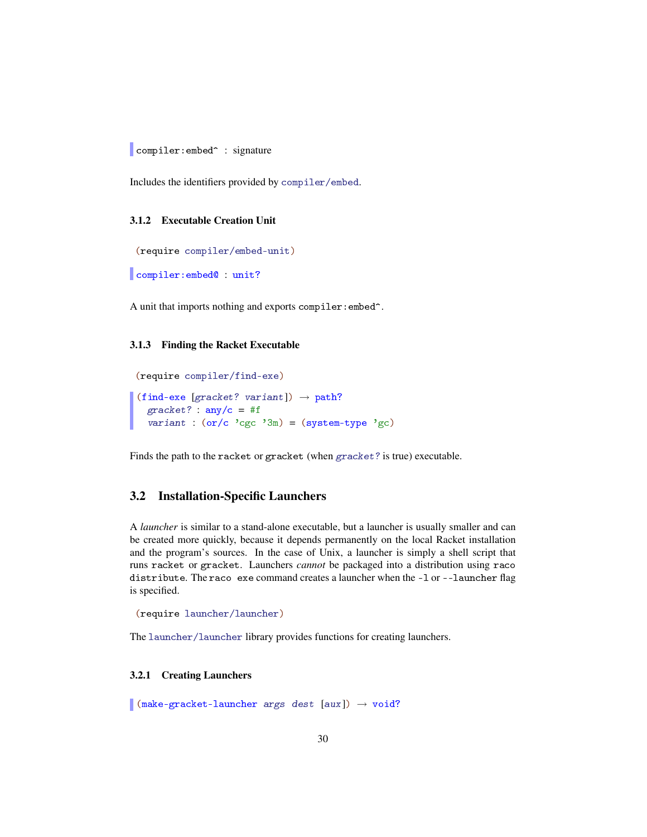compiler: embed<sup>o</sup> : signature

Includes the identifiers provided by compiler/embed.

### <span id="page-29-0"></span>3.1.2 Executable Creation Unit

```
(require compiler/embed-unit)
```
compiler:embed@ : unit?

A unit that imports nothing and exports compiler:embed^.

### <span id="page-29-1"></span>3.1.3 Finding the Racket Executable

```
(require compiler/find-exe)
(find-exe [gracket? variant]) \rightarrow path?
  gracket?: any/c = #fvariant : (or/c)'cgc'3m) = (system-type'gc)
```
Finds the path to the racket or gracket (when gracket? is true) executable.

### <span id="page-29-2"></span>3.2 Installation-Specific Launchers

A *launcher* is similar to a stand-alone executable, but a launcher is usually smaller and can be created more quickly, because it depends permanently on the local Racket installation and the program's sources. In the case of Unix, a launcher is simply a shell script that runs racket or gracket. Launchers *cannot* be packaged into a distribution using raco distribute. The raco exe command creates a launcher when the -l or --launcher flag is specified.

```
(require launcher/launcher)
```
The launcher/launcher library provides functions for creating launchers.

### <span id="page-29-3"></span>3.2.1 Creating Launchers

 $\Box$  (make-gracket-launcher args dest [aux])  $\rightarrow$  void?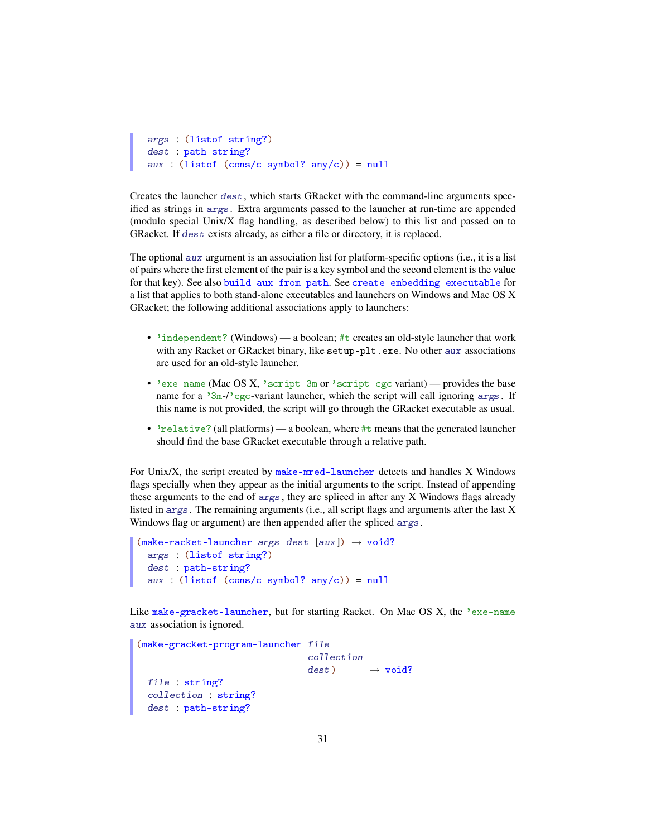```
args : (listof string?)
dest : path-string?
aux : (listof (cons/c symbol? any/c)) = null
```
Creates the launcher dest, which starts GRacket with the command-line arguments specified as strings in args. Extra arguments passed to the launcher at run-time are appended (modulo special Unix/X flag handling, as described below) to this list and passed on to GRacket. If dest exists already, as either a file or directory, it is replaced.

The optional aux argument is an association list for platform-specific options (i.e., it is a list of pairs where the first element of the pair is a key symbol and the second element is the value for that key). See also build-aux-from-path. See create-embedding-executable for a list that applies to both stand-alone executables and launchers on Windows and Mac OS X GRacket; the following additional associations apply to launchers:

- 'independent? (Windows) a boolean; #t creates an old-style launcher that work with any Racket or GRacket binary, like setup-plt.exe. No other aux associations are used for an old-style launcher.
- 'exe-name (Mac OS X, 'script-3m or 'script-cgc variant) provides the base name for a '3m-/'cgc-variant launcher, which the script will call ignoring args. If this name is not provided, the script will go through the GRacket executable as usual.
- 'relative? (all platforms) a boolean, where #t means that the generated launcher should find the base GRacket executable through a relative path.

For Unix/X, the script created by make-mred-launcher detects and handles X Windows flags specially when they appear as the initial arguments to the script. Instead of appending these arguments to the end of args, they are spliced in after any X Windows flags already listed in args. The remaining arguments (i.e., all script flags and arguments after the last X Windows flag or argument) are then appended after the spliced args.

```
(make-racket-launcher <i>args</i> <i>dest</i> <math>[aux]</math>) <math>\rightarrow</math> <i>void</i>?args : (listof string?)
  dest : path-string?
  aux : (listof (cons/c symbol? any/c)) = null
```
Like make-gracket-launcher, but for starting Racket. On Mac OS X, the 'exe-name aux association is ignored.

```
(make-gracket-program-launcher file
                               collection
                               dest) \rightarrow void?file : string?
collection : string?
 dest : path-string?
```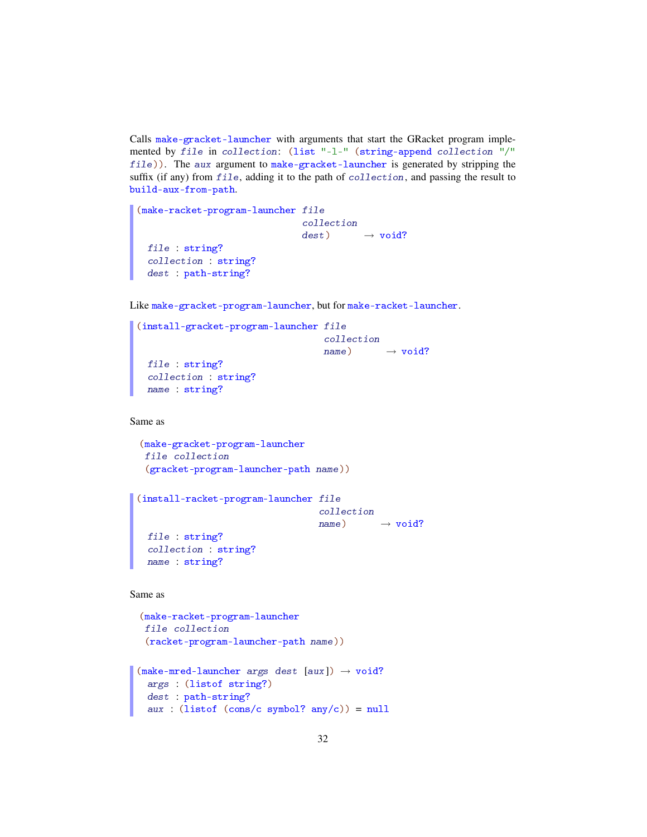Calls make-gracket-launcher with arguments that start the GRacket program implemented by file in collection: (list "-l-" (string-append collection "/" file)). The aux argument to make-gracket-launcher is generated by stripping the suffix (if any) from file, adding it to the path of collection, and passing the result to build-aux-from-path.

```
(make-racket-program-launcher file
                              collection
                              dest) \rightarrow void?file : string?
 collection : string?
 dest : path-string?
```
Like make-gracket-program-launcher, but for make-racket-launcher.

```
(install-gracket-program-launcher file
                                  collection
                                  name) \rightarrow void?file : string?
 collection : string?
 name : string?
```
Same as

```
(make-gracket-program-launcher
file collection
(gracket-program-launcher-path name))
```

```
(install-racket-program-launcher file
                                 collection
                                 name) \rightarrow void?file : string?
 collection : string?
 name : string?
```
Same as

```
(make-racket-program-launcher
file collection
 (racket-program-launcher-path name))
```

```
(make-mred-launcher <i>args dest [aux])</i> \rightarrow void?args : (listof string?)
  dest : path-string?
  aux : (listof (cons/c symbol? any/c)) = null
```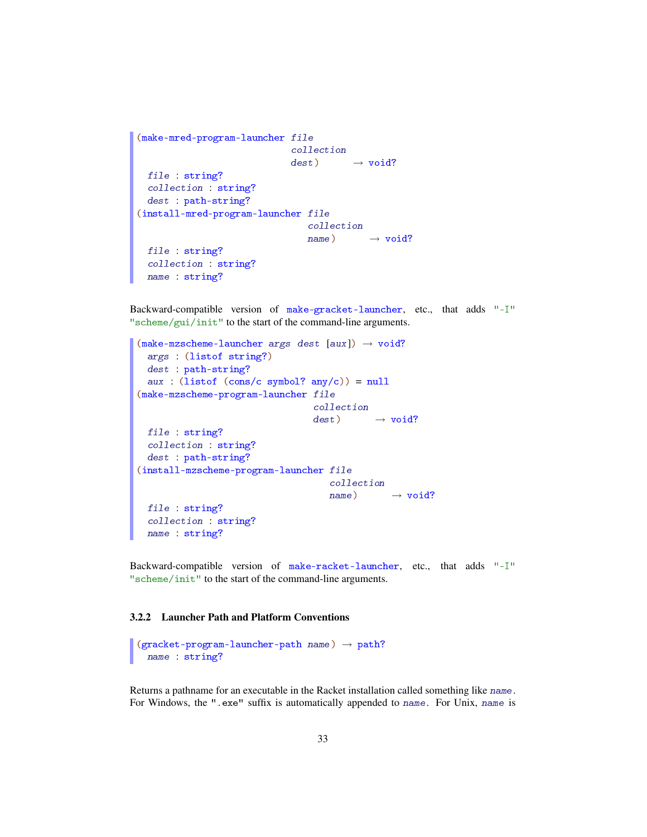```
(make-mred-program-launcher file
                             collection
                             dest) \longrightarrow void?file : string?
 collection : string?
 dest : path-string?
(install-mred-program-launcher file
                                collection
                                name) \rightarrow void?file : string?
 collection : string?
 name : string?
```
Backward-compatible version of make-gracket-launcher, etc., that adds "-I" "scheme/gui/init" to the start of the command-line arguments.

```
(make-mzscheme-launcher args dest [aux]) \rightarrow void?args : (listof string?)
  dest : path-string?
 aux : (listof (cons/c symbol? any/c)) = null(make-mzscheme-program-launcher file
                                 collection
                                 dest) \longrightarrow void?file : string?
 collection : string?
  dest : path-string?
(install-mzscheme-program-launcher file
                                    collection
                                    name) \rightarrow void?file : string?
  collection : string?
 name : string?
```
Backward-compatible version of make-racket-launcher, etc., that adds "-I" "scheme/init" to the start of the command-line arguments.

### <span id="page-32-0"></span>3.2.2 Launcher Path and Platform Conventions

```
(gracket-pregram-lauen-path name) \rightarrow path?name : string?
```
Returns a pathname for an executable in the Racket installation called something like name. For Windows, the ".exe" suffix is automatically appended to name. For Unix, name is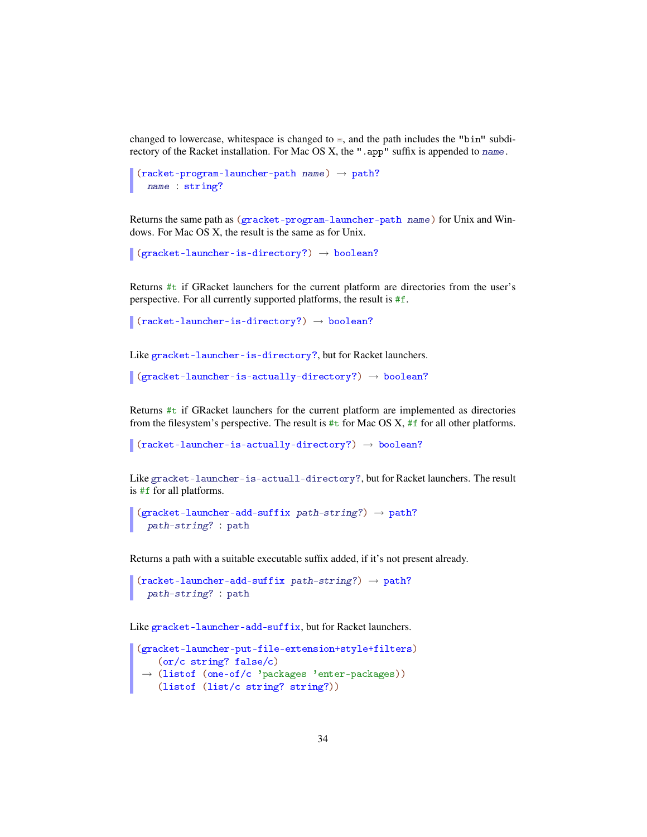changed to lowercase, whitespace is changed to  $-$ , and the path includes the "bin" subdirectory of the Racket installation. For Mac OS X, the ". app" suffix is appended to name.

```
(rocket-program-launcher-path name) \rightarrow path?name : string?
```
Returns the same path as (gracket-program-launcher-path name) for Unix and Windows. For Mac OS X, the result is the same as for Unix.

```
\vert (gracket-launcher-is-directory?) \rightarrow boolean?
```
Returns #t if GRacket launchers for the current platform are directories from the user's perspective. For all currently supported platforms, the result is #f.

```
\Box (racket-launcher-is-directory?) \rightarrow boolean?
```
Like gracket-launcher-is-directory?, but for Racket launchers.

```
\vert (gracket-launcher-is-actually-directory?) \rightarrow boolean?
```
Returns #t if GRacket launchers for the current platform are implemented as directories from the filesystem's perspective. The result is  $\#t$  for Mac OS X,  $\#f$  for all other platforms.

```
\vert (racket-launcher-is-actually-directory?) \rightarrow boolean?
```
Like gracket-launcher-is-actuall-directory?, but for Racket launchers. The result is #f for all platforms.

```
(gracket-lawcher-add-suffix path-string?) \rightarrow path?path-string? : path
```
Returns a path with a suitable executable suffix added, if it's not present already.

```
(racket\text{-}lawcher\text{-}add\text{-}suffix path\text{-}string?) \rightarrow path?path-string? : path
```
Like gracket-launcher-add-suffix, but for Racket launchers.

```
(gracket-launcher-put-file-extension+style+filters)
 →
(listof (one-of/c 'packages 'enter-packages))
   (or/c string? false/c)
   (listof (list/c string? string?))
```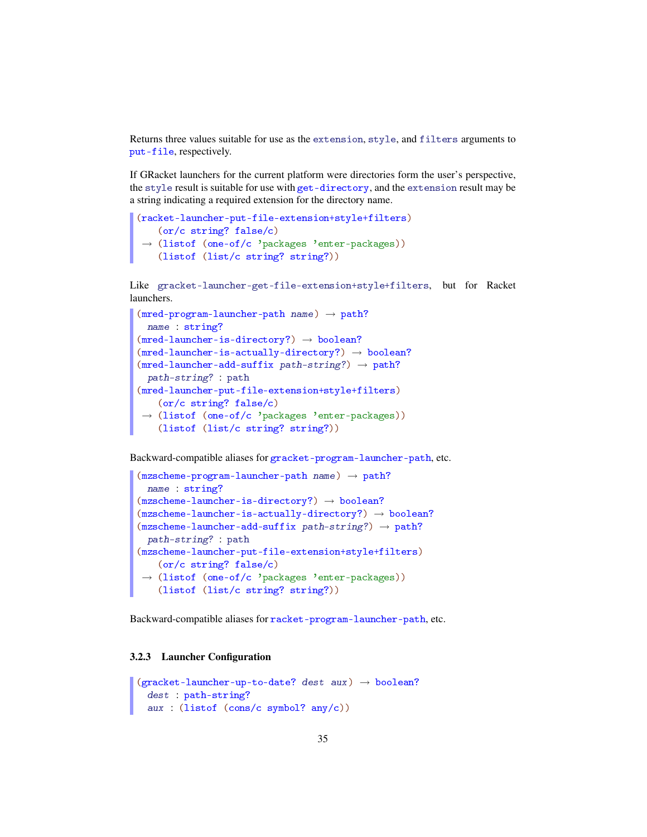Returns three values suitable for use as the extension, style, and filters arguments to put-file, respectively.

If GRacket launchers for the current platform were directories form the user's perspective, the style result is suitable for use with get-directory, and the extension result may be a string indicating a required extension for the directory name.

```
(racket-launcher-put-file-extension+style+filters)
 →
(listof (one-of/c 'packages 'enter-packages))
   (or/c string? false/c)
   (listof (list/c string? string?))
```
Like gracket-launcher-get-file-extension+style+filters, but for Racket launchers.

```
(mred-program-launcher-path name) \rightarrow path?name : string?
(mred-lawcher-is-directory?) \rightarrow boolean?(mred-launcher-is-actually-directory?) \rightarrow boolean?(mred-lawcher-add-suffix path-string?) \rightarrow path?path-string? : path
(mred-launcher-put-file-extension+style+filters)
 →
(listof (one-of/c 'packages 'enter-packages))
   (or/c string? false/c)
    (listof (list/c string? string?))
```
Backward-compatible aliases for gracket-program-launcher-path, etc.

```
(mzscheme-program-launcher-path name) \rightarrow path?name : string?
(mzscheme-lawcher-is-directory?) \rightarrow boolean?(mzscheme-launcher-is-actually-directory?) \rightarrow boolean?(mzscheme-launcher-add-suffix path-string?) \rightarrow path?path-string? : path
(mzscheme-launcher-put-file-extension+style+filters)
 →
(listof (one-of/c 'packages 'enter-packages))
   (or/c string? false/c)
    (listof (list/c string? string?))
```
Backward-compatible aliases for racket-program-launcher-path, etc.

### <span id="page-34-0"></span>3.2.3 Launcher Configuration

```
(gracket-lawcher-up-to-date? dest aux) \rightarrow boolean?dest : path-string?
  aux : (listof (cons/c symbol? any/c))
```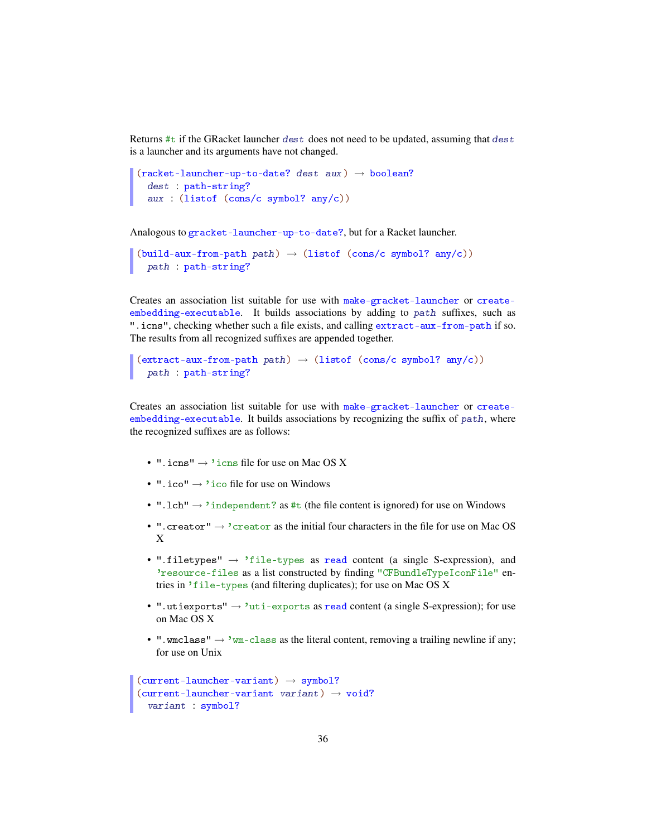Returns  $\#t$  if the GRacket launcher dest does not need to be updated, assuming that dest is a launcher and its arguments have not changed.

```
(racket-launcher-up-to-date? dest aux) \rightarrow boolean?
  dest : path-string?
  aux : (listof (cons/c symbol? any/c))
```
Analogous to gracket-launcher-up-to-date?, but for a Racket launcher.

```
(build-aux-from-path path) \rightarrow (listof (cons/c symbol? any/c))
  path : path-string?
```
Creates an association list suitable for use with make-gracket-launcher or createembedding-executable. It builds associations by adding to path suffixes, such as ".icns", checking whether such a file exists, and calling extract-aux-from-path if so. The results from all recognized suffixes are appended together.

```
(\text{extract-aux-from-path path}) \rightarrow (\text{listof } (\text{cons/c symbol? any/c}))path : path-string?
```
Creates an association list suitable for use with make-gracket-launcher or createembedding-executable. It builds associations by recognizing the suffix of path, where the recognized suffixes are as follows:

- ". icns"  $\rightarrow$  'icns file for use on Mac OS X
- ". ico"  $\rightarrow$  'ico file for use on Windows
- ". 1ch"  $\rightarrow$  'independent? as #t (the file content is ignored) for use on Windows
- ". creator"  $\rightarrow$  'creator as the initial four characters in the file for use on Mac OS X
- ".filetypes"  $\rightarrow$  'file-types as read content (a single S-expression), and 'resource-files as a list constructed by finding "CFBundleTypeIconFile" entries in 'file-types (and filtering duplicates); for use on Mac OS X
- ".utiexports"  $\rightarrow$  'uti-exports as read content (a single S-expression); for use on Mac OS X
- ".wmclass"  $\rightarrow$  'wm-class as the literal content, removing a trailing newline if any; for use on Unix

```
(current-lawacher-variant) \rightarrow symbol?(current-lawcher-variant variant) \rightarrow void?variant : symbol?
```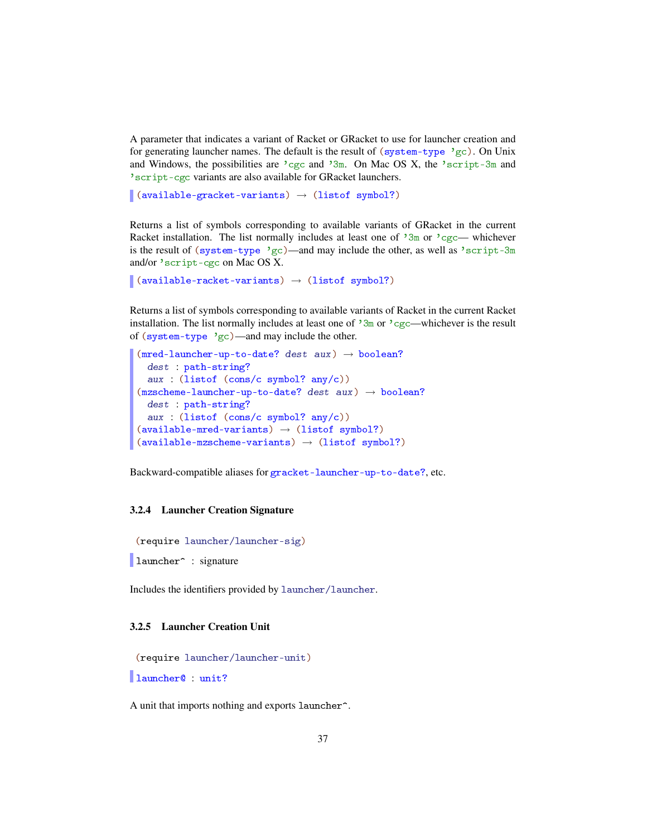A parameter that indicates a variant of Racket or GRacket to use for launcher creation and for generating launcher names. The default is the result of (system-type 'gc). On Unix and Windows, the possibilities are  $\log c$  and  $\sin$ . On Mac OS X, the  $\sec$  script-3m and 'script-cgc variants are also available for GRacket launchers.

```
\vert (available-gracket-variants) \rightarrow (listof symbol?)
```
Returns a list of symbols corresponding to available variants of GRacket in the current Racket installation. The list normally includes at least one of  $3m$  or  $cgc$ — whichever is the result of (system-type 'gc)—and may include the other, as well as 'script-3m and/or 'script-cgc on Mac OS X.

```
\vert (available-racket-variants) \rightarrow (listof symbol?)
```
Returns a list of symbols corresponding to available variants of Racket in the current Racket installation. The list normally includes at least one of  $\frac{3m}{2m}$  or  $\frac{3c}{2c}$ —whichever is the result of (system-type 'gc)—and may include the other.

```
(mred-lawcher-up-to-date? dest aux) \rightarrow boolean?dest : path-string?
  aux : (listof (cons/c symbol? any/c))
(mzscheme-launcher-up-to-date? dest aux) \rightarrow boolean?dest : path-string?
  aux : (listof (cons/c symbol? any/c))
(\text{available-mred-variants}) \rightarrow (\text{listof symbol?})(\text{available-mzscheme-variants}) \rightarrow (\text{listof symbol?})
```
Backward-compatible aliases for gracket-launcher-up-to-date?, etc.

#### 3.2.4 Launcher Creation Signature

```
(require launcher/launcher-sig)
```

```
launcher<sup>o</sup> : signature
```
Includes the identifiers provided by launcher/launcher.

## 3.2.5 Launcher Creation Unit

```
(require launcher/launcher-unit)
```
launcher@ : unit?

A unit that imports nothing and exports launcher^.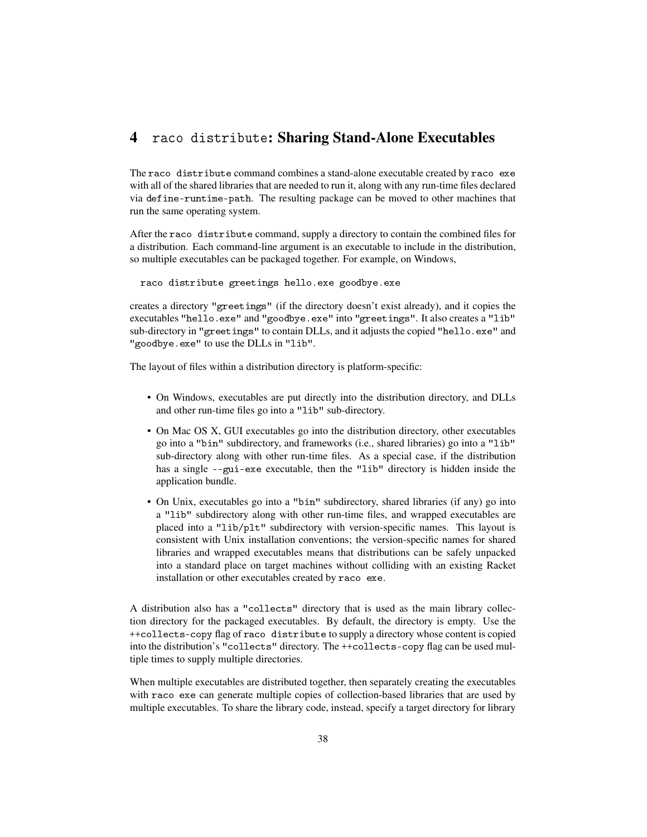# 4 raco distribute: Sharing Stand-Alone Executables

The raco distribute command combines a stand-alone executable created by raco exe with all of the shared libraries that are needed to run it, along with any run-time files declared via define-runtime-path. The resulting package can be moved to other machines that run the same operating system.

After the raco distribute command, supply a directory to contain the combined files for a distribution. Each command-line argument is an executable to include in the distribution, so multiple executables can be packaged together. For example, on Windows,

raco distribute greetings hello.exe goodbye.exe

creates a directory "greetings" (if the directory doesn't exist already), and it copies the executables "hello.exe" and "goodbye.exe" into "greetings". It also creates a "lib" sub-directory in "greetings" to contain DLLs, and it adjusts the copied "hello.exe" and "goodbye.exe" to use the DLLs in "lib".

The layout of files within a distribution directory is platform-specific:

- On Windows, executables are put directly into the distribution directory, and DLLs and other run-time files go into a "lib" sub-directory.
- On Mac OS X, GUI executables go into the distribution directory, other executables go into a "bin" subdirectory, and frameworks (i.e., shared libraries) go into a "lib" sub-directory along with other run-time files. As a special case, if the distribution has a single --gui-exe executable, then the "lib" directory is hidden inside the application bundle.
- On Unix, executables go into a "bin" subdirectory, shared libraries (if any) go into a "lib" subdirectory along with other run-time files, and wrapped executables are placed into a "lib/plt" subdirectory with version-specific names. This layout is consistent with Unix installation conventions; the version-specific names for shared libraries and wrapped executables means that distributions can be safely unpacked into a standard place on target machines without colliding with an existing Racket installation or other executables created by raco exe.

A distribution also has a "collects" directory that is used as the main library collection directory for the packaged executables. By default, the directory is empty. Use the ++collects-copy flag of raco distribute to supply a directory whose content is copied into the distribution's "collects" directory. The ++collects-copy flag can be used multiple times to supply multiple directories.

When multiple executables are distributed together, then separately creating the executables with raco exe can generate multiple copies of collection-based libraries that are used by multiple executables. To share the library code, instead, specify a target directory for library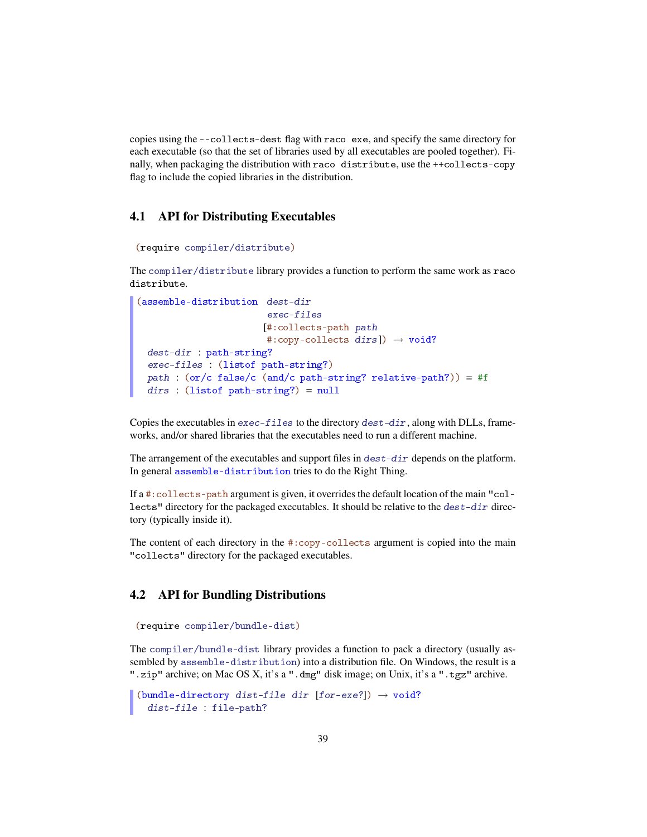copies using the --collects-dest flag with raco exe, and specify the same directory for each executable (so that the set of libraries used by all executables are pooled together). Finally, when packaging the distribution with raco distribute, use the ++collects-copy flag to include the copied libraries in the distribution.

## 4.1 API for Distributing Executables

```
(require compiler/distribute)
```
The compiler/distribute library provides a function to perform the same work as raco distribute.

```
(assemble-distribution dest-dir
                       exec-files
                       [#:collects-path path
                       #:copy-collects dirs]) \rightarrow void?
 dest-dir : path-string?
 exec-files : (listof path-string?)
 path : (or/c false/c (and/c path-string? relative-path?)) = #f
 dirs : (listof path-string?) = null
```
Copies the executables in  $exec-files$  to the directory  $dest-dir$ , along with DLLs, frameworks, and/or shared libraries that the executables need to run a different machine.

The arrangement of the executables and support files in  $dest-dir$  depends on the platform. In general assemble-distribution tries to do the Right Thing.

If a #:collects-path argument is given, it overrides the default location of the main "collects" directory for the packaged executables. It should be relative to the dest-dir directory (typically inside it).

The content of each directory in the #:copy-collects argument is copied into the main "collects" directory for the packaged executables.

# 4.2 API for Bundling Distributions

```
(require compiler/bundle-dist)
```
The compiler/bundle-dist library provides a function to pack a directory (usually assembled by assemble-distribution) into a distribution file. On Windows, the result is a ".zip" archive; on Mac OS X, it's a ".dmg" disk image; on Unix, it's a ".tgz" archive.

```
(bundle-directory dist-file dir [for-exe?]) \rightarrow void?
  dist-file : file-path?
```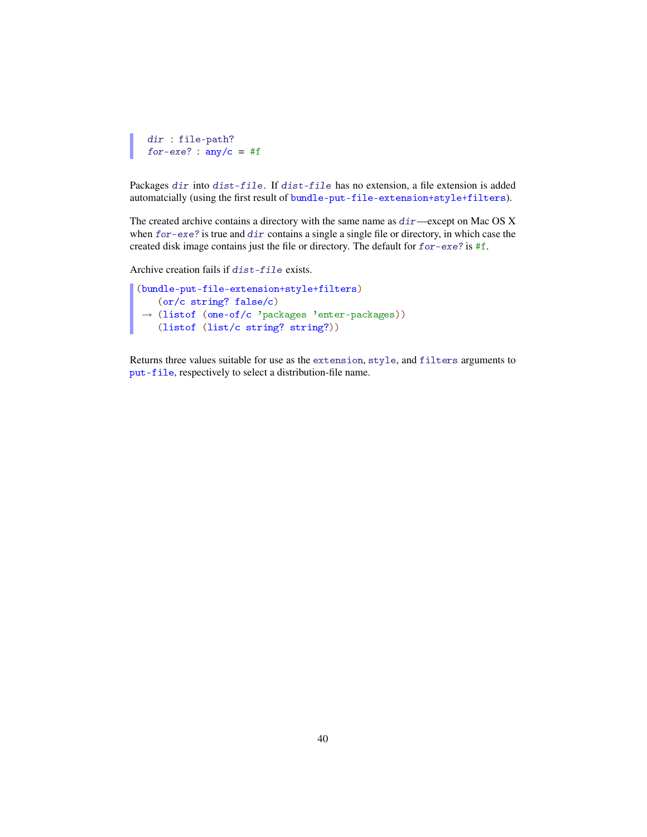```
dir : file-path?
for-exe? : any/c = #f
```
Packages dir into dist-file. If dist-file has no extension, a file extension is added automatcially (using the first result of bundle-put-file-extension+style+filters).

The created archive contains a directory with the same name as  $dir$ —except on Mac OS X when for-exe? is true and dir contains a single a single file or directory, in which case the created disk image contains just the file or directory. The default for for-exe? is #f.

Archive creation fails if dist-file exists.

```
(bundle-put-file-extension+style+filters)
 →
(listof (one-of/c 'packages 'enter-packages))
   (or/c string? false/c)
   (listof (list/c string? string?))
```
Returns three values suitable for use as the extension, style, and filters arguments to put-file, respectively to select a distribution-file name.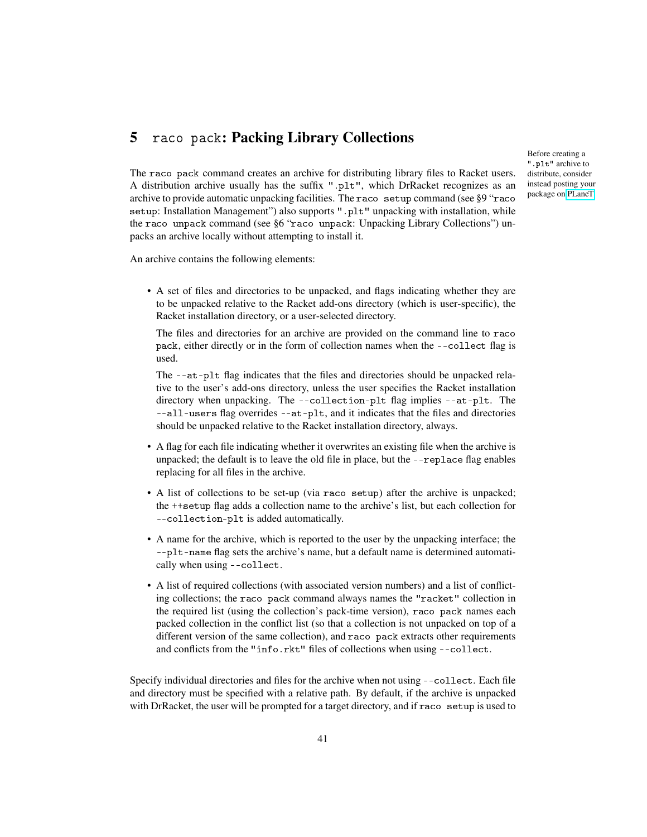# 5 raco pack: Packing Library Collections

Before creating a ".plt" archive to distribute, consider instead posting your package on [PLaneT.](http://planet.racket-lang.org/)

The raco pack command creates an archive for distributing library files to Racket users. A distribution archive usually has the suffix ".plt", which DrRacket recognizes as an archive to provide automatic unpacking facilities. The raco setup command (see §9 "raco setup: Installation Management") also supports ".plt" unpacking with installation, while the raco unpack command (see §6 "raco unpack: Unpacking Library Collections") unpacks an archive locally without attempting to install it.

An archive contains the following elements:

• A set of files and directories to be unpacked, and flags indicating whether they are to be unpacked relative to the Racket add-ons directory (which is user-specific), the Racket installation directory, or a user-selected directory.

The files and directories for an archive are provided on the command line to raco pack, either directly or in the form of collection names when the --collect flag is used.

The --at-plt flag indicates that the files and directories should be unpacked relative to the user's add-ons directory, unless the user specifies the Racket installation directory when unpacking. The --collection-plt flag implies --at-plt. The --all-users flag overrides --at-plt, and it indicates that the files and directories should be unpacked relative to the Racket installation directory, always.

- A flag for each file indicating whether it overwrites an existing file when the archive is unpacked; the default is to leave the old file in place, but the --replace flag enables replacing for all files in the archive.
- A list of collections to be set-up (via raco setup) after the archive is unpacked; the ++setup flag adds a collection name to the archive's list, but each collection for --collection-plt is added automatically.
- A name for the archive, which is reported to the user by the unpacking interface; the --plt-name flag sets the archive's name, but a default name is determined automatically when using --collect.
- A list of required collections (with associated version numbers) and a list of conflicting collections; the raco pack command always names the "racket" collection in the required list (using the collection's pack-time version), raco pack names each packed collection in the conflict list (so that a collection is not unpacked on top of a different version of the same collection), and raco pack extracts other requirements and conflicts from the "info.rkt" files of collections when using --collect.

Specify individual directories and files for the archive when not using --collect. Each file and directory must be specified with a relative path. By default, if the archive is unpacked with DrRacket, the user will be prompted for a target directory, and if raco setup is used to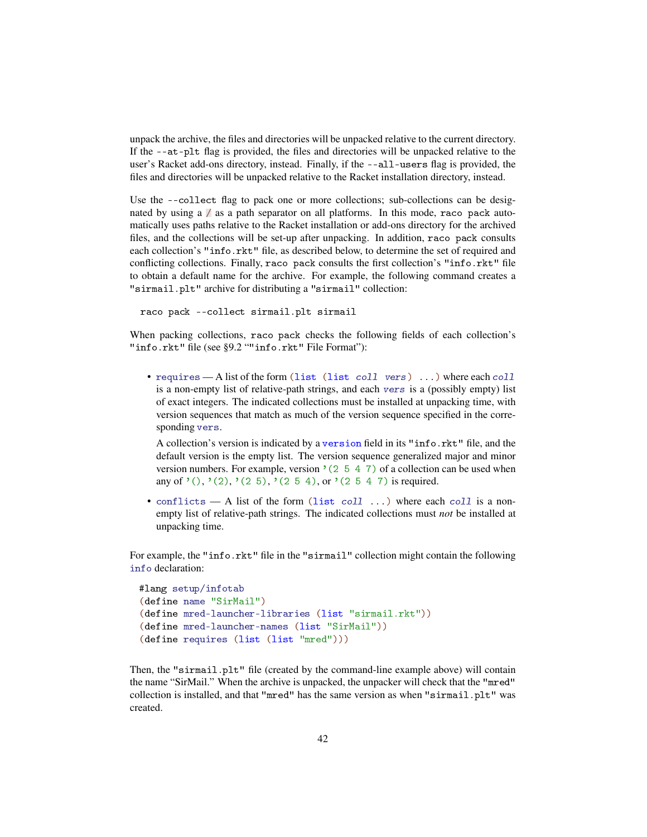unpack the archive, the files and directories will be unpacked relative to the current directory. If the --at-plt flag is provided, the files and directories will be unpacked relative to the user's Racket add-ons directory, instead. Finally, if the --all-users flag is provided, the files and directories will be unpacked relative to the Racket installation directory, instead.

Use the --collect flag to pack one or more collections; sub-collections can be designated by using a / as a path separator on all platforms. In this mode, raco pack automatically uses paths relative to the Racket installation or add-ons directory for the archived files, and the collections will be set-up after unpacking. In addition, raco pack consults each collection's "info.rkt" file, as described below, to determine the set of required and conflicting collections. Finally, raco pack consults the first collection's "info.rkt" file to obtain a default name for the archive. For example, the following command creates a "sirmail.plt" archive for distributing a "sirmail" collection:

```
raco pack --collect sirmail.plt sirmail
```
When packing collections, raco pack checks the following fields of each collection's "info.rkt" file (see §9.2 ""info.rkt" File Format"):

• requires — A list of the form (list (list coll vers) ...) where each coll is a non-empty list of relative-path strings, and each vers is a (possibly empty) list of exact integers. The indicated collections must be installed at unpacking time, with version sequences that match as much of the version sequence specified in the corresponding vers.

A collection's version is indicated by a version field in its "info.rkt" file, and the default version is the empty list. The version sequence generalized major and minor version numbers. For example, version  $(2 5 4 7)$  of a collection can be used when any of '(), '(2), '(2 5), '(2 5 4), or '(2 5 4 7) is required.

• conflicts — A list of the form (list coll  $\dots$ ) where each coll is a nonempty list of relative-path strings. The indicated collections must *not* be installed at unpacking time.

For example, the "info.rkt" file in the "sirmail" collection might contain the following info declaration:

```
#lang setup/infotab
(define name "SirMail")
(define mred-launcher-libraries (list "sirmail.rkt"))
(define mred-launcher-names (list "SirMail"))
(define requires (list (list "mred")))
```
Then, the "sirmail.plt" file (created by the command-line example above) will contain the name "SirMail." When the archive is unpacked, the unpacker will check that the "mred" collection is installed, and that "mred" has the same version as when "sirmail.plt" was created.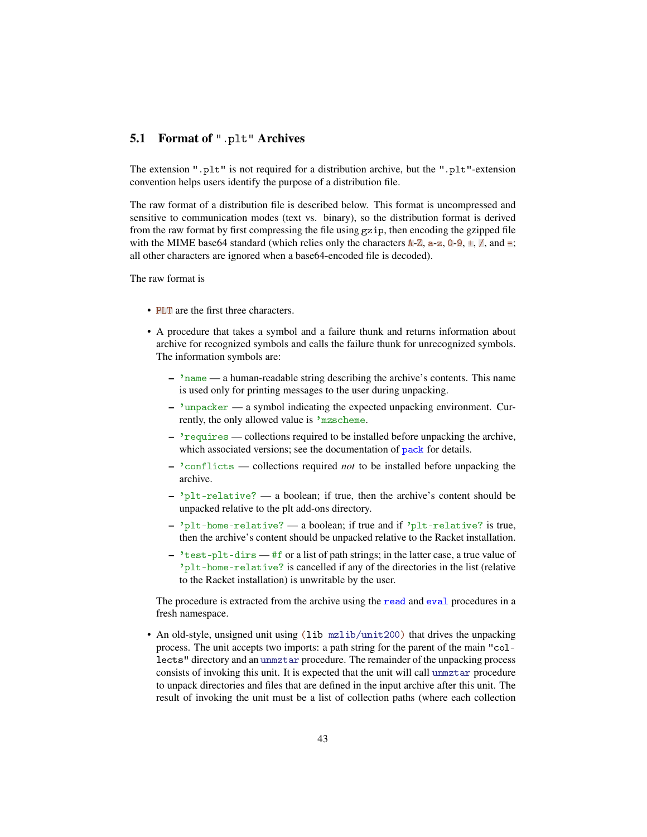# 5.1 Format of ".plt" Archives

The extension ".plt" is not required for a distribution archive, but the ".plt"-extension convention helps users identify the purpose of a distribution file.

The raw format of a distribution file is described below. This format is uncompressed and sensitive to communication modes (text vs. binary), so the distribution format is derived from the raw format by first compressing the file using gzip, then encoding the gzipped file with the MIME base64 standard (which relies only the characters  $A-Z$ ,  $a-z$ ,  $0-9$ ,  $\pm$ ,  $\frac{7}{4}$ , and  $\pm$ ; all other characters are ignored when a base64-encoded file is decoded).

The raw format is

- PLT are the first three characters.
- A procedure that takes a symbol and a failure thunk and returns information about archive for recognized symbols and calls the failure thunk for unrecognized symbols. The information symbols are:
	- 'name a human-readable string describing the archive's contents. This name is used only for printing messages to the user during unpacking.
	- 'unpacker a symbol indicating the expected unpacking environment. Currently, the only allowed value is 'mzscheme.
	- 'requires collections required to be installed before unpacking the archive, which associated versions; see the documentation of pack for details.
	- 'conflicts collections required *not* to be installed before unpacking the archive.
	- $-$  'plt-relative? a boolean; if true, then the archive's content should be unpacked relative to the plt add-ons directory.
	- 'plt-home-relative? a boolean; if true and if 'plt-relative? is true, then the archive's content should be unpacked relative to the Racket installation.
	- $\frac{1}{2}$  + test-plt-dirs #f or a list of path strings; in the latter case, a true value of 'plt-home-relative? is cancelled if any of the directories in the list (relative to the Racket installation) is unwritable by the user.

The procedure is extracted from the archive using the read and eval procedures in a fresh namespace.

• An old-style, unsigned unit using (lib mzlib/unit200) that drives the unpacking process. The unit accepts two imports: a path string for the parent of the main "collects" directory and an unmztar procedure. The remainder of the unpacking process consists of invoking this unit. It is expected that the unit will call unmztar procedure to unpack directories and files that are defined in the input archive after this unit. The result of invoking the unit must be a list of collection paths (where each collection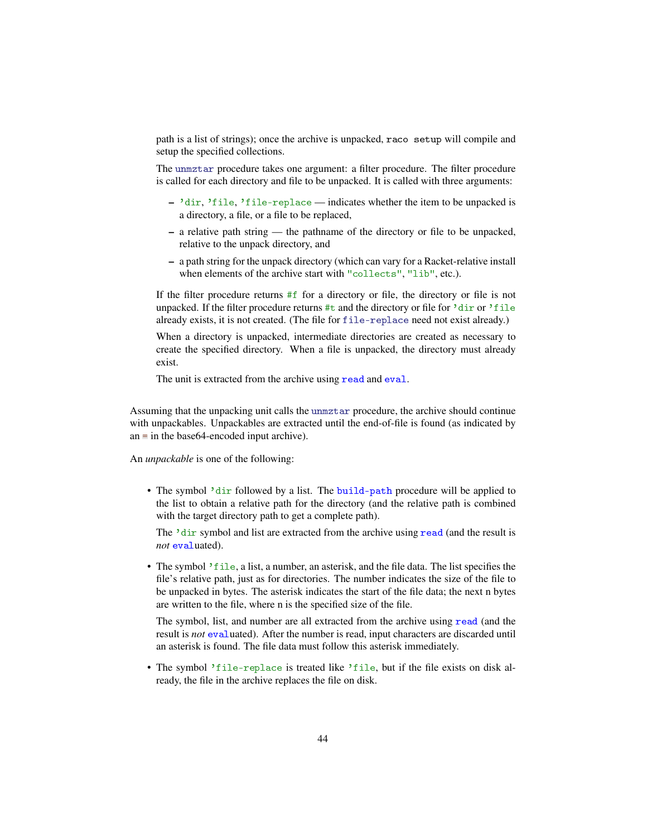path is a list of strings); once the archive is unpacked, raco setup will compile and setup the specified collections.

The unmztar procedure takes one argument: a filter procedure. The filter procedure is called for each directory and file to be unpacked. It is called with three arguments:

- 'dir, 'file, 'file-replace indicates whether the item to be unpacked is a directory, a file, or a file to be replaced,
- a relative path string the pathname of the directory or file to be unpacked, relative to the unpack directory, and
- a path string for the unpack directory (which can vary for a Racket-relative install when elements of the archive start with "collects", "lib", etc.).

If the filter procedure returns #f for a directory or file, the directory or file is not unpacked. If the filter procedure returns #t and the directory or file for 'dir or 'file already exists, it is not created. (The file for file-replace need not exist already.)

When a directory is unpacked, intermediate directories are created as necessary to create the specified directory. When a file is unpacked, the directory must already exist.

The unit is extracted from the archive using read and eval.

Assuming that the unpacking unit calls the unmztar procedure, the archive should continue with unpackables. Unpackables are extracted until the end-of-file is found (as indicated by an  $\equiv$  in the base64-encoded input archive).

An *unpackable* is one of the following:

• The symbol 'dir followed by a list. The build-path procedure will be applied to the list to obtain a relative path for the directory (and the relative path is combined with the target directory path to get a complete path).

The 'dir symbol and list are extracted from the archive using read (and the result is *not* evaluated).

• The symbol 'file, a list, a number, an asterisk, and the file data. The list specifies the file's relative path, just as for directories. The number indicates the size of the file to be unpacked in bytes. The asterisk indicates the start of the file data; the next n bytes are written to the file, where n is the specified size of the file.

The symbol, list, and number are all extracted from the archive using read (and the result is *not* evaluated). After the number is read, input characters are discarded until an asterisk is found. The file data must follow this asterisk immediately.

• The symbol 'file-replace is treated like 'file, but if the file exists on disk already, the file in the archive replaces the file on disk.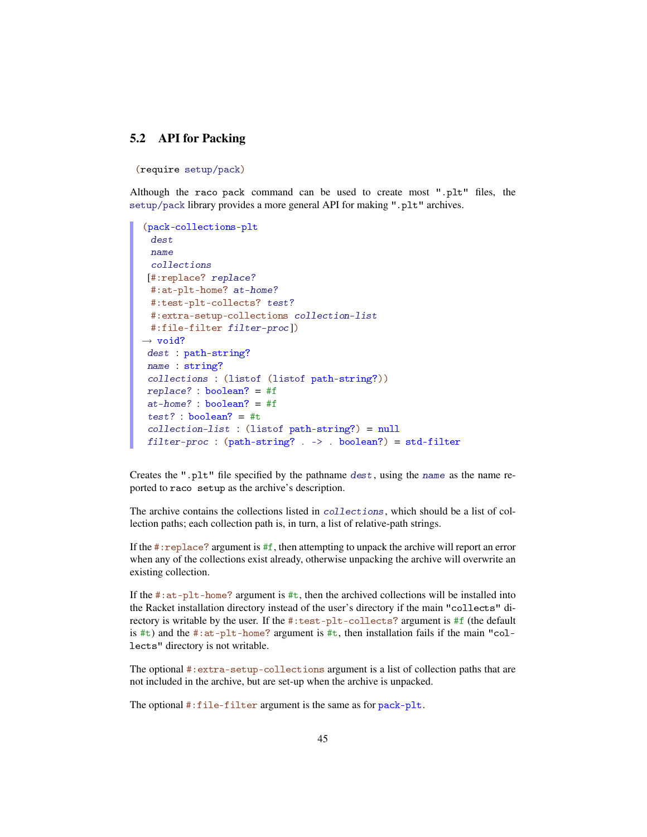# 5.2 API for Packing

(require setup/pack)

Although the raco pack command can be used to create most ".plt" files, the setup/pack library provides a more general API for making ".plt" archives.

```
(pack-collections-plt
 dest
 name
 collections
 [#:replace? replace?
 #:at-plt-home? at-home?
 #:test-plt-collects? test?
 #:extra-setup-collections collection-list
 #:file-filter filter-proc])
\rightarrow void?
dest : path-string?
name : string?
 collections : (listof (listof path-string?))
replace? : boolean? = #f
at-home? : boolean? = #f
test? : boolean? = #t
 collection-list : (listof path-string?) = null
 filter-proc : (path-string? . -> . boolean?) = std-filter
```
Creates the ".plt" file specified by the pathname dest, using the name as the name reported to raco setup as the archive's description.

The archive contains the collections listed in collections, which should be a list of collection paths; each collection path is, in turn, a list of relative-path strings.

If the  $\#$ : replace? argument is  $\#$ f, then attempting to unpack the archive will report an error when any of the collections exist already, otherwise unpacking the archive will overwrite an existing collection.

If the  $\#$ : at-plt-home? argument is  $\#$ t, then the archived collections will be installed into the Racket installation directory instead of the user's directory if the main "collects" directory is writable by the user. If the #:test-plt-collects? argument is #f (the default is #t) and the #:at-plt-home? argument is #t, then installation fails if the main "collects" directory is not writable.

The optional #:extra-setup-collections argument is a list of collection paths that are not included in the archive, but are set-up when the archive is unpacked.

The optional #:file-filter argument is the same as for pack-plt.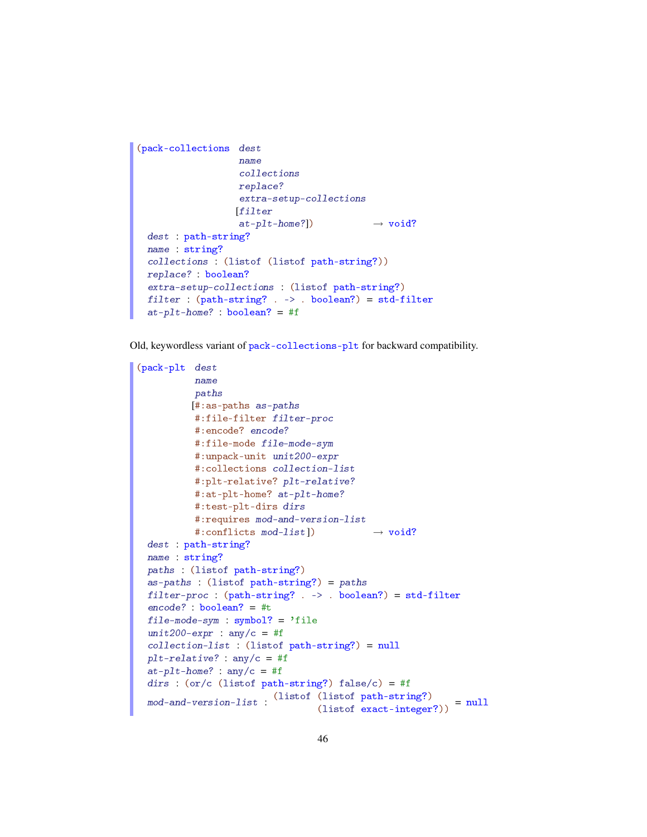```
(pack-collections dest
                   name
                   collections
                  replace?
                   extra-setup-collections
                  [filter
                   at\text{-}plt\text{-}home?) \rightarrow void?dest : path-string?
 name : string?
 collections : (listof (listof path-string?))
 replace? : boolean?
 extra-setup-collections : (listof path-string?)
 filter : (path-string? . -> . boolean?) = std-filter
 at-plt-home? : boolean? = #f
```
Old, keywordless variant of pack-collections-plt for backward compatibility.

```
(pack-plt dest
         name
          paths
         [#:as-paths as-paths
          #:file-filter filter-proc
          #:encode? encode?
          #:file-mode file-mode-sym
          #:unpack-unit unit200-expr
          #:collections collection-list
          #:plt-relative? plt-relative?
          #:at-plt-home? at-plt-home?
          #:test-plt-dirs dirs
          #:requires mod-and-version-list
          #:conflicts mod-list]) \rightarrow void?
 dest : path-string?
 name : string?
 paths : (listof path-string?)
 as-paths : (listof path-string?) = paths
 filter-proc : (path-string? . -> . boolean?) = std-filter
 encode? : boolean? = #t
 file-mode-sym : symbol? = 'file
 unit200-expr : any/c = #f
 collection-list : (listof path-string?) = null
 p1t-relative? : any/c = #f
 at-plt-home? : any/c = #f
 dirs : (or/c (listof path-string?) false/c) = #f
  mod-and-version-list :
(listof (listof path-string?)
                                  (lisot part of a string.) = null<br>(lisot exact-integer?)
```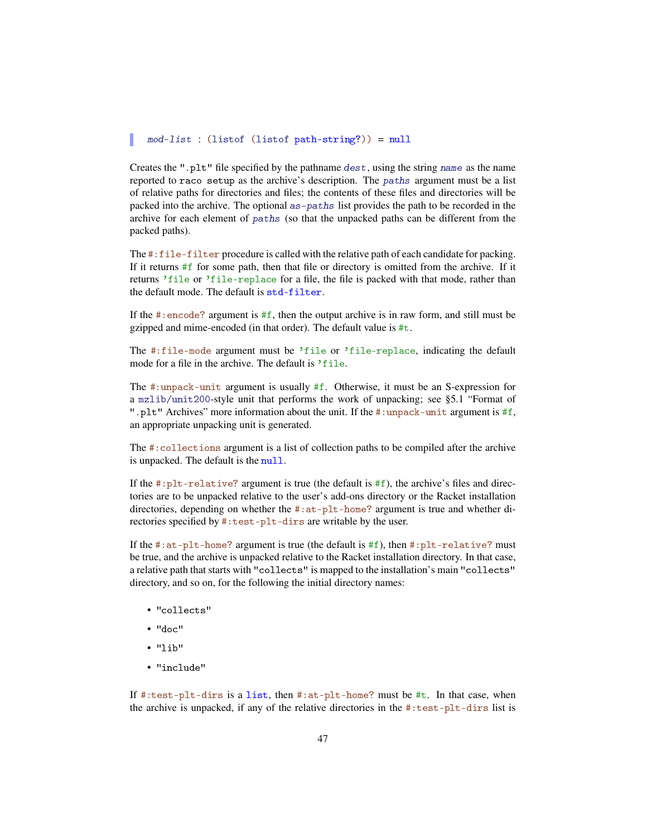#### mod-list : (listof (listof path-string?)) = null

Creates the ".plt" file specified by the pathname dest, using the string name as the name reported to raco setup as the archive's description. The paths argument must be a list of relative paths for directories and files; the contents of these files and directories will be packed into the archive. The optional as-paths list provides the path to be recorded in the archive for each element of paths (so that the unpacked paths can be different from the packed paths).

The #:file-filter procedure is called with the relative path of each candidate for packing. If it returns #f for some path, then that file or directory is omitted from the archive. If it returns 'file or 'file-replace for a file, the file is packed with that mode, rather than the default mode. The default is std-filter.

If the #: encode? argument is  $#f$ , then the output archive is in raw form, and still must be gzipped and mime-encoded (in that order). The default value is #t.

The #:file-mode argument must be 'file or 'file-replace, indicating the default mode for a file in the archive. The default is 'file.

The #:unpack-unit argument is usually #f. Otherwise, it must be an S-expression for a mzlib/unit200-style unit that performs the work of unpacking; see §5.1 "Format of ".plt" Archives" more information about the unit. If the #:unpack-unit argument is #f, an appropriate unpacking unit is generated.

The #:collections argument is a list of collection paths to be compiled after the archive is unpacked. The default is the null.

If the  $\#:\text{plt-relative? argument}$  is true (the default is  $\#f$ ), the archive's files and directories are to be unpacked relative to the user's add-ons directory or the Racket installation directories, depending on whether the #:at-plt-home? argument is true and whether directories specified by #:test-plt-dirs are writable by the user.

If the  $\#$ : at-plt-home? argument is true (the default is  $\#$ f), then  $\#$ : plt-relative? must be true, and the archive is unpacked relative to the Racket installation directory. In that case, a relative path that starts with "collects" is mapped to the installation's main "collects" directory, and so on, for the following the initial directory names:

- "collects"
- "doc"
- "lib"
- "include"

If  $\#$ : test-plt-dirs is a list, then  $\#$ : at-plt-home? must be  $\#$ t. In that case, when the archive is unpacked, if any of the relative directories in the #:test-plt-dirs list is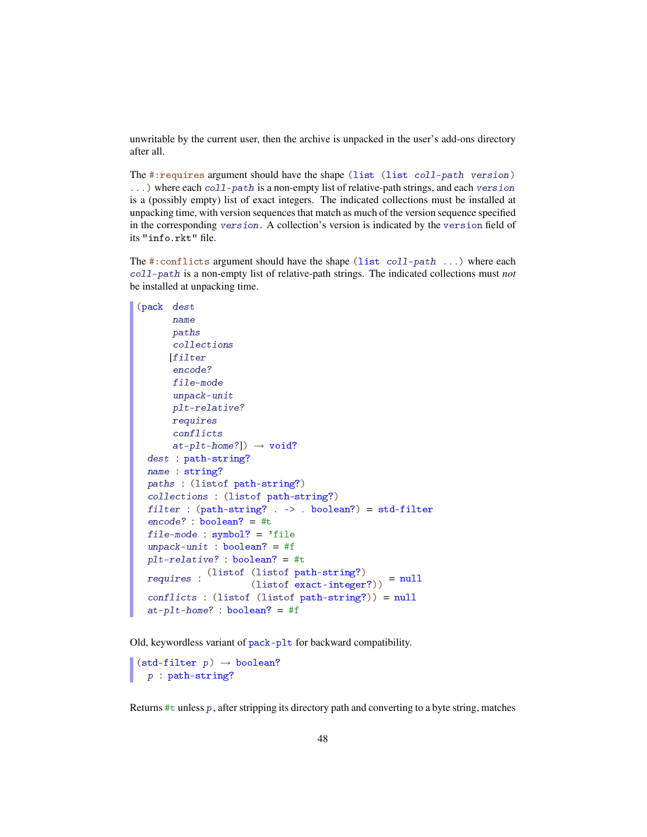unwritable by the current user, then the archive is unpacked in the user's add-ons directory after all.

The #:requires argument should have the shape (list (list coll-path version) ...) where each coll-path is a non-empty list of relative-path strings, and each version is a (possibly empty) list of exact integers. The indicated collections must be installed at unpacking time, with version sequences that match as much of the version sequence specified in the corresponding version. A collection's version is indicated by the version field of its "info.rkt" file.

The #:conflicts argument should have the shape (list coll-path ...) where each coll-path is a non-empty list of relative-path strings. The indicated collections must *not* be installed at unpacking time.

```
(pack dest
      name
      paths
      collections
      [filter
      encode?
      file-mode
      unpack-unit
      plt-relative?
      requires
      conflicts
       at-plt-home?] \rightarrow void?
  dest : path-string?
 name : string?
 paths : (listof path-string?)
  collections : (listof path-string?)
 filter : (path-string? . -> . boolean?) = std-filterencode? : boolean? = #t
 file-mode : symbol? = 'file
  unpack-unit : boolean? = #fplt-relative? : boolean? = #t
  requires :
(listof (listof path-string?)
                      (lisot part of) = null<br>(listof exact-integer?)) = null
  conflicts : (listof (listof path-string?)) = null
  at-plt-home? : boolean? = #f
```
Old, keywordless variant of pack-plt for backward compatibility.

```
\vert (std-filter p) \rightarrow boolean?
   p : path-string?
```
Returns  $\#t$  unless p, after stripping its directory path and converting to a byte string, matches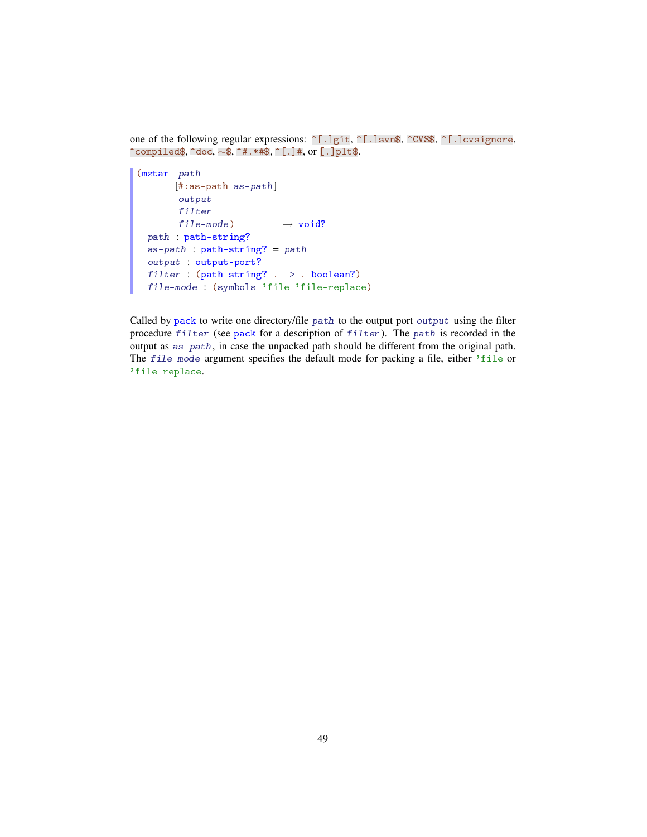one of the following regular expressions:  $\lceil . \rceil$ git,  $\lceil . \rceil$ svn\$,  $\lceil . \rceil$ cvS\$,  $\lceil . \rceil$ cvsignore, ^compiled\$, ^doc, ∼\$, ^#.\*#\$, ^[.]#, or [.]plt\$.

```
(mztar path
      [#:as-path as-path]
      output
       filter
       file-mode) \longrightarrow void?path : path-string?
 as-path : path - string? = pathoutput : output-port?
 filter : (path-string? . -> . boolean?)
 file-mode : (symbols 'file 'file-replace)
```
Called by pack to write one directory/file path to the output port output using the filter procedure filter (see pack for a description of filter). The path is recorded in the output as as-path, in case the unpacked path should be different from the original path. The file-mode argument specifies the default mode for packing a file, either 'file or 'file-replace.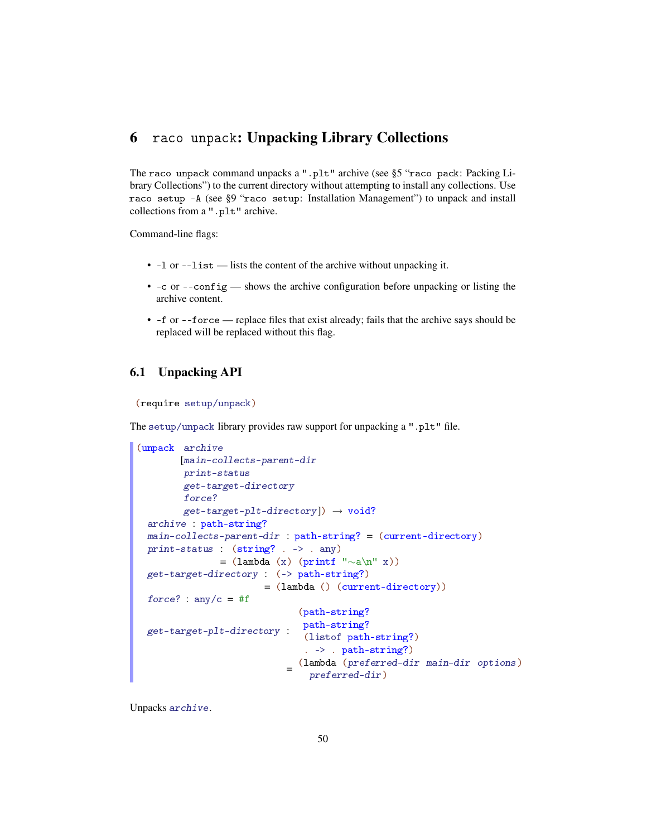# 6 raco unpack: Unpacking Library Collections

The raco unpack command unpacks a ".plt" archive (see §5 "raco pack: Packing Library Collections") to the current directory without attempting to install any collections. Use raco setup -A (see §9 "raco setup: Installation Management") to unpack and install collections from a ".plt" archive.

Command-line flags:

- -l or --list lists the content of the archive without unpacking it.
- $\bullet$  -c or --config shows the archive configuration before unpacking or listing the archive content.
- -f or --force replace files that exist already; fails that the archive says should be replaced will be replaced without this flag.

# 6.1 Unpacking API

```
(require setup/unpack)
```
The setup/unpack library provides raw support for unpacking a ".plt" file.

```
(unpack archive
       [main-collects-parent-dir
        print-status
        get-target-directory
        force?
        get-target-plit-directory]) \rightarrow void?archive : path-string?
 main-collects-parent-dir : path-string? = (current-directory)
 print-status : (string? . -> . any)
              = (lambda (x) (printf "∼a\n" x))
 get-target-directory : (-> path-string?)
                       = (lambda () (current-directory))
 force? : any/c = #fget-target-plt-directory :
path-string?
                             (path-string?
                              (listof path-string?)
                              . -> . path-string?)
                           =
(lambda (preferred-dir main-dir options)
                               preferred-dir)
```
Unpacks archive.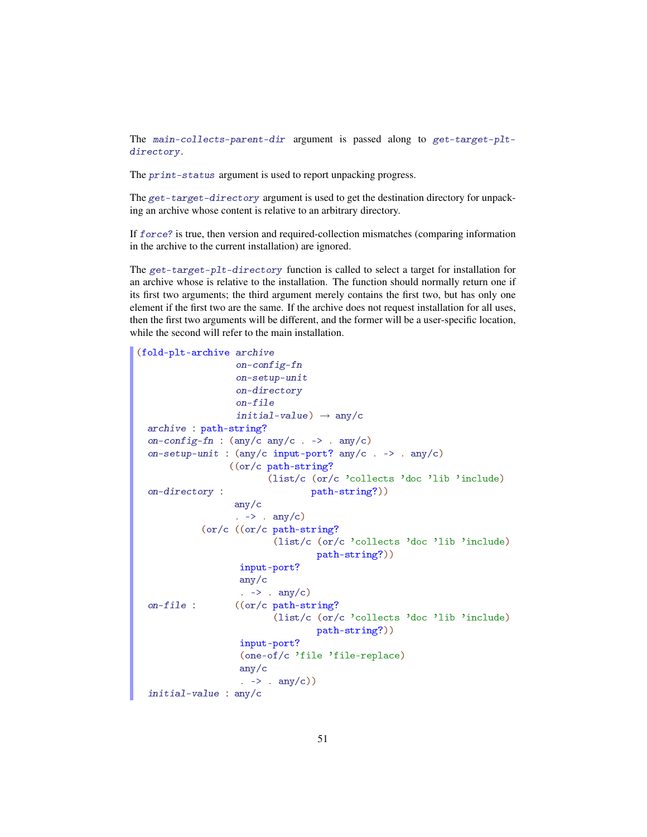The main-collects-parent-dir argument is passed along to get-target-pltdirectory.

The print-status argument is used to report unpacking progress.

The get-target-directory argument is used to get the destination directory for unpacking an archive whose content is relative to an arbitrary directory.

If force? is true, then version and required-collection mismatches (comparing information in the archive to the current installation) are ignored.

The get-target-plt-directory function is called to select a target for installation for an archive whose is relative to the installation. The function should normally return one if its first two arguments; the third argument merely contains the first two, but has only one element if the first two are the same. If the archive does not request installation for all uses, then the first two arguments will be different, and the former will be a user-specific location, while the second will refer to the main installation.

```
(fold-plt-archive archive
                    on-config-fn
                    on-setup-unit
                    on-directory
                    on-file
                    initial-value) \rightarrow any/c
 archive : path-string?
 on-config-fn : (\text{any}/c \text{ any}/c \cdot \rightarrow \text{ any}/c)on-setup-unit : (any/c input-port? any/c . -> . any/c)
 on-directory :
                  ((or/c path-string?
                          (list/c (or/c 'collects 'doc 'lib 'include)
                                   path-string?))
                    any/c
                    . \rightarrow . any/c)
 on-file :
             (or/c ((or/c path-string?
                            (list/c (or/c 'collects 'doc 'lib 'include)
                                    path-string?))
                     input-port?
                     any/c
                     . \rightarrow . any/c)
                    ((or/c path-string?
                           (list/c (or/c 'collects 'doc 'lib 'include)
                                    path-string?))
                     input-port?
                     (one-of/c 'file 'file-replace)
                     any/c
                     \cdot -> \cdot any/c))
 initial-value : any/c
```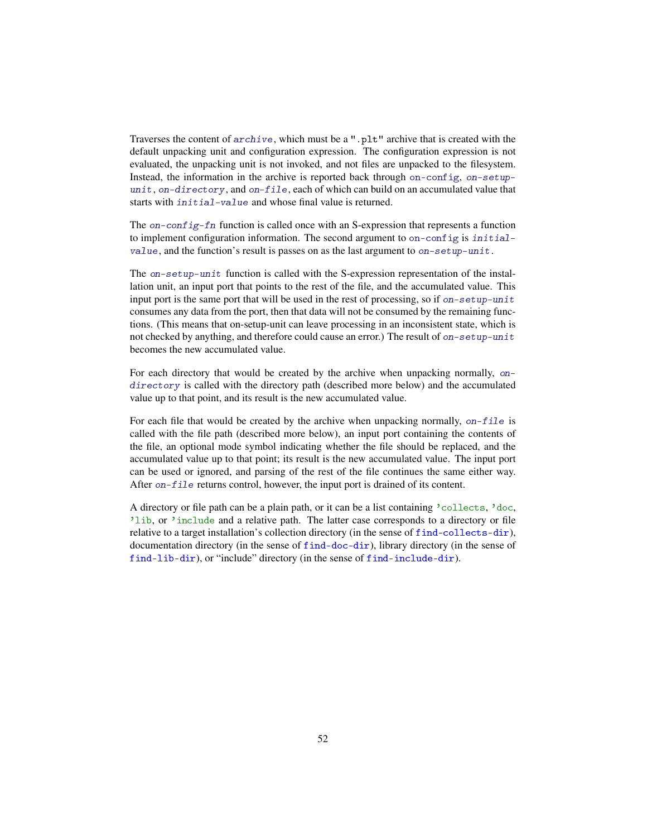Traverses the content of archive, which must be a ".plt" archive that is created with the default unpacking unit and configuration expression. The configuration expression is not evaluated, the unpacking unit is not invoked, and not files are unpacked to the filesystem. Instead, the information in the archive is reported back through on-config, on-setupunit, on-directory, and on-file, each of which can build on an accumulated value that starts with *initial*-value and whose final value is returned.

The on-config-fn function is called once with an S-expression that represents a function to implement configuration information. The second argument to on-config is initialvalue, and the function's result is passes on as the last argument to on-setup-unit.

The on-setup-unit function is called with the S-expression representation of the installation unit, an input port that points to the rest of the file, and the accumulated value. This input port is the same port that will be used in the rest of processing, so if on-setup-unit consumes any data from the port, then that data will not be consumed by the remaining functions. (This means that on-setup-unit can leave processing in an inconsistent state, which is not checked by anything, and therefore could cause an error.) The result of on-setup-unit becomes the new accumulated value.

For each directory that would be created by the archive when unpacking normally, ondirectory is called with the directory path (described more below) and the accumulated value up to that point, and its result is the new accumulated value.

For each file that would be created by the archive when unpacking normally,  $on$ -file is called with the file path (described more below), an input port containing the contents of the file, an optional mode symbol indicating whether the file should be replaced, and the accumulated value up to that point; its result is the new accumulated value. The input port can be used or ignored, and parsing of the rest of the file continues the same either way. After on-file returns control, however, the input port is drained of its content.

A directory or file path can be a plain path, or it can be a list containing 'collects, 'doc, 'lib, or 'include and a relative path. The latter case corresponds to a directory or file relative to a target installation's collection directory (in the sense of find-collects-dir), documentation directory (in the sense of find-doc-dir), library directory (in the sense of find-lib-dir), or "include" directory (in the sense of find-include-dir).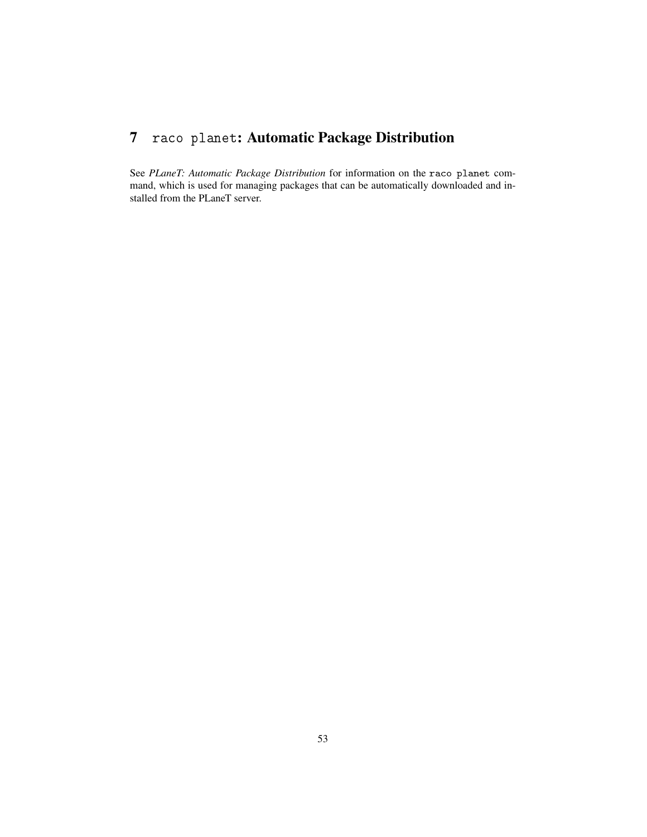# 7 raco planet: Automatic Package Distribution

See *PLaneT: Automatic Package Distribution* for information on the raco planet command, which is used for managing packages that can be automatically downloaded and installed from the PLaneT server.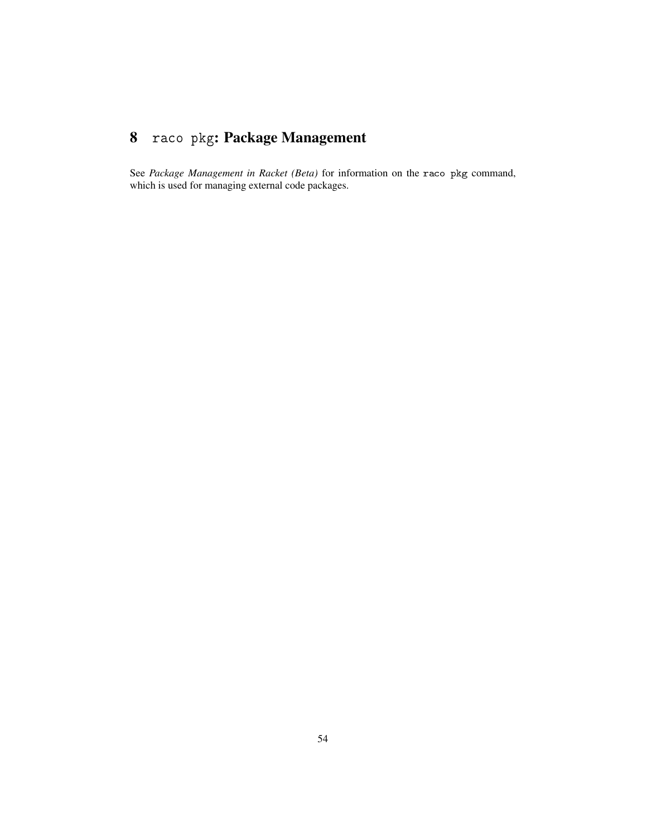# 8 raco pkg: Package Management

See *Package Management in Racket (Beta)* for information on the raco pkg command, which is used for managing external code packages.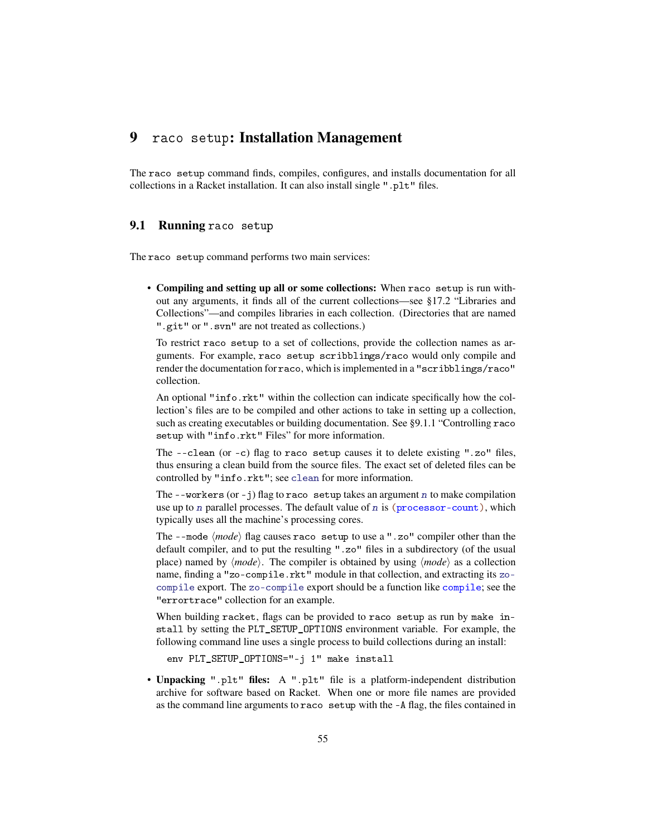# 9 raco setup: Installation Management

The raco setup command finds, compiles, configures, and installs documentation for all collections in a Racket installation. It can also install single ".plt" files.

# 9.1 Running raco setup

The raco setup command performs two main services:

• Compiling and setting up all or some collections: When raco setup is run without any arguments, it finds all of the current collections—see §17.2 "Libraries and Collections"—and compiles libraries in each collection. (Directories that are named ".git" or ".svn" are not treated as collections.)

To restrict raco setup to a set of collections, provide the collection names as arguments. For example, raco setup scribblings/raco would only compile and render the documentation for raco, which is implemented in a "scribblings/raco" collection.

An optional "info.rkt" within the collection can indicate specifically how the collection's files are to be compiled and other actions to take in setting up a collection, such as creating executables or building documentation. See §9.1.1 "Controlling raco setup with "info.rkt" Files" for more information.

The --clean (or -c) flag to raco setup causes it to delete existing ".zo" files, thus ensuring a clean build from the source files. The exact set of deleted files can be controlled by "info.rkt"; see clean for more information.

The  $-$ -workers (or  $-$ j) flag to raco setup takes an argument n to make compilation use up to n parallel processes. The default value of n is  $(p_{\text{rocessor-count}})$ , which typically uses all the machine's processing cores.

The  $-$ -mode  $\langle mode \rangle$  flag causes raco setup to use a ".zo" compiler other than the default compiler, and to put the resulting ".zo" files in a subdirectory (of the usual place) named by  $\langle mode \rangle$ . The compiler is obtained by using  $\langle mode \rangle$  as a collection name, finding a "zo-compile.rkt" module in that collection, and extracting its zocompile export. The zo-compile export should be a function like compile; see the "errortrace" collection for an example.

When building racket, flags can be provided to raco setup as run by make install by setting the PLT\_SETUP\_OPTIONS environment variable. For example, the following command line uses a single process to build collections during an install:

env PLT\_SETUP\_OPTIONS="-j 1" make install

• Unpacking ".plt" files: A ".plt" file is a platform-independent distribution archive for software based on Racket. When one or more file names are provided as the command line arguments to raco setup with the -A flag, the files contained in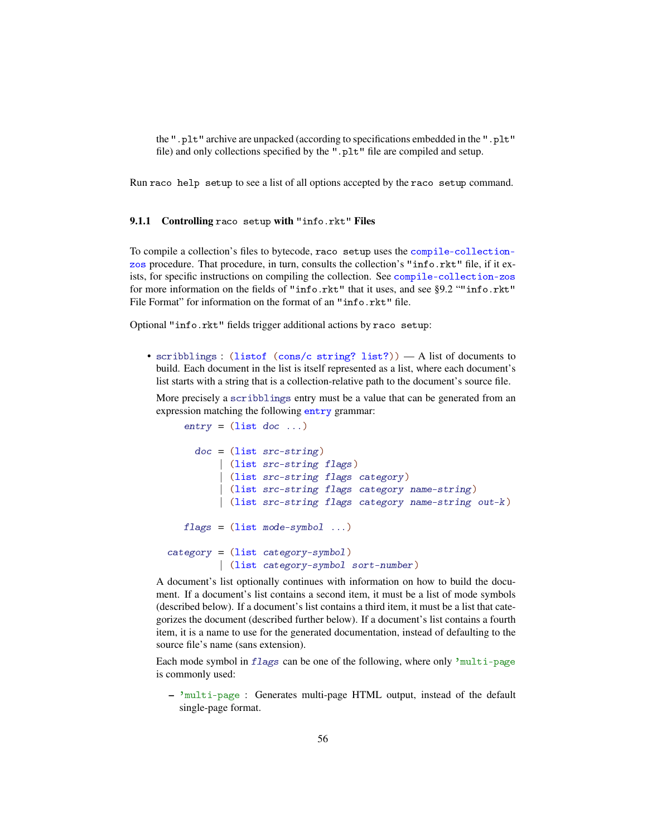the ".plt" archive are unpacked (according to specifications embedded in the ".plt" file) and only collections specified by the ".plt" file are compiled and setup.

Run raco help setup to see a list of all options accepted by the raco setup command.

## 9.1.1 Controlling raco setup with "info.rkt" Files

To compile a collection's files to bytecode, raco setup uses the compile-collectionzos procedure. That procedure, in turn, consults the collection's "info.rkt" file, if it exists, for specific instructions on compiling the collection. See compile-collection-zos for more information on the fields of "info.rkt" that it uses, and see §9.2 ""info.rkt" File Format" for information on the format of an "info.rkt" file.

Optional "info.rkt" fields trigger additional actions by raco setup:

• scribblings : (listof (cons/c string? list?)) — A list of documents to build. Each document in the list is itself represented as a list, where each document's list starts with a string that is a collection-relative path to the document's source file.

More precisely a scribblings entry must be a value that can be generated from an expression matching the following entry grammar:

```
entry = (list doc ...)doc = (list src-string)| (list src-string flags)
         | (list src-string flags category)
         | (list src-string flags category name-string)
         | (list src-string flags category name-string out-k)
   flags = (list mode-symbol ...)category = (list category-symbol)
         | (list category-symbol sort-number)
```
A document's list optionally continues with information on how to build the document. If a document's list contains a second item, it must be a list of mode symbols (described below). If a document's list contains a third item, it must be a list that categorizes the document (described further below). If a document's list contains a fourth item, it is a name to use for the generated documentation, instead of defaulting to the source file's name (sans extension).

Each mode symbol in flags can be one of the following, where only 'multi-page is commonly used:

– 'multi-page : Generates multi-page HTML output, instead of the default single-page format.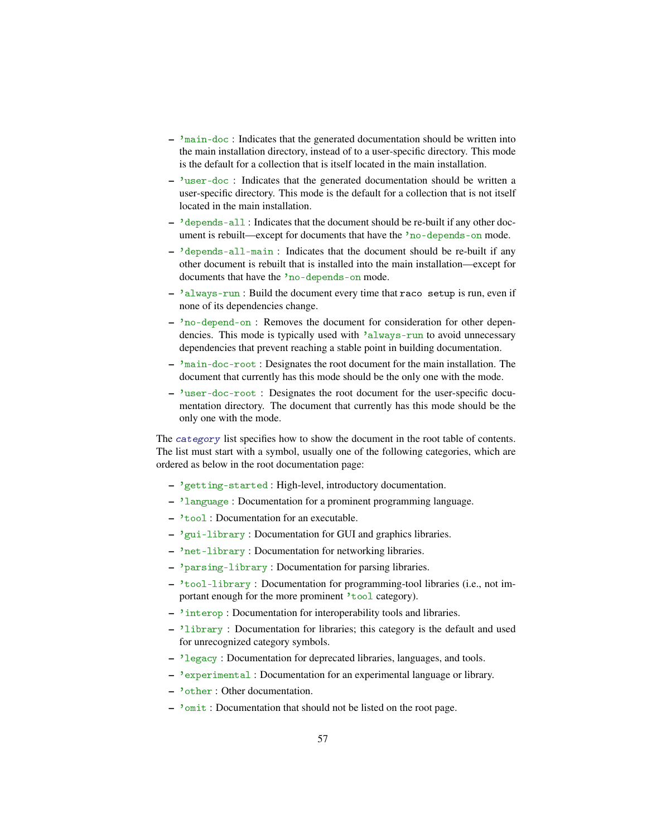- $-$  'main-doc : Indicates that the generated documentation should be written into the main installation directory, instead of to a user-specific directory. This mode is the default for a collection that is itself located in the main installation.
- 'user-doc : Indicates that the generated documentation should be written a user-specific directory. This mode is the default for a collection that is not itself located in the main installation.
- 'depends-all : Indicates that the document should be re-built if any other document is rebuilt—except for documents that have the 'no-depends-on mode.
- 'depends-all-main : Indicates that the document should be re-built if any other document is rebuilt that is installed into the main installation—except for documents that have the 'no-depends-on mode.
- 'always-run : Build the document every time that raco setup is run, even if none of its dependencies change.
- 'no-depend-on : Removes the document for consideration for other dependencies. This mode is typically used with 'always-run to avoid unnecessary dependencies that prevent reaching a stable point in building documentation.
- 'main-doc-root : Designates the root document for the main installation. The document that currently has this mode should be the only one with the mode.
- 'user-doc-root : Designates the root document for the user-specific documentation directory. The document that currently has this mode should be the only one with the mode.

The category list specifies how to show the document in the root table of contents. The list must start with a symbol, usually one of the following categories, which are ordered as below in the root documentation page:

- 'getting-started : High-level, introductory documentation.
- 'language : Documentation for a prominent programming language.
- 'tool : Documentation for an executable.
- 'gui-library : Documentation for GUI and graphics libraries.
- 'net-library : Documentation for networking libraries.
- 'parsing-library : Documentation for parsing libraries.
- 'tool-library : Documentation for programming-tool libraries (i.e., not important enough for the more prominent 'tool category).
- 'interop : Documentation for interoperability tools and libraries.
- 'library : Documentation for libraries; this category is the default and used for unrecognized category symbols.
- 'legacy : Documentation for deprecated libraries, languages, and tools.
- 'experimental : Documentation for an experimental language or library.
- 'other : Other documentation.
- 'omit : Documentation that should not be listed on the root page.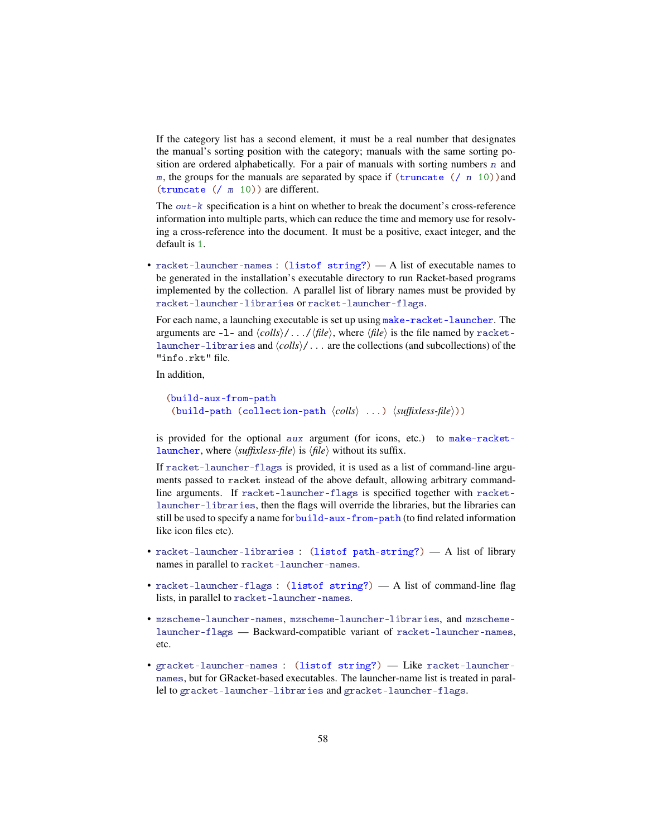If the category list has a second element, it must be a real number that designates the manual's sorting position with the category; manuals with the same sorting position are ordered alphabetically. For a pair of manuals with sorting numbers  $n$  and m, the groups for the manuals are separated by space if  $(\text{truncated } ()$  n 10)) and (truncate (/ m 10)) are different.

The out-k specification is a hint on whether to break the document's cross-reference information into multiple parts, which can reduce the time and memory use for resolving a cross-reference into the document. It must be a positive, exact integer, and the default is 1.

• racket-launcher-names : (listof string?) — A list of executable names to be generated in the installation's executable directory to run Racket-based programs implemented by the collection. A parallel list of library names must be provided by racket-launcher-libraries or racket-launcher-flags.

For each name, a launching executable is set up using make-racket-launcher. The arguments are  $-1$ - and  $\langle \text{cells} \rangle / \dots / \langle \text{file} \rangle$ , where  $\langle \text{file} \rangle$  is the file named by racketlauncher-libraries and  $\langle \text{cells}\rangle/\ldots$  are the collections (and subcollections) of the "info.rkt" file.

In addition,

```
(build-aux-from-path
 (build-path (collection-path \langle \text{cells} \rangle ...) \langle \text{suffixless-file} \rangle))
```
is provided for the optional aux argument (for icons, etc.) to make-racketlauncher, where  $\langle \textit{suffixless-file} \rangle$  is  $\langle \textit{file} \rangle$  without its suffix.

If racket-launcher-flags is provided, it is used as a list of command-line arguments passed to racket instead of the above default, allowing arbitrary commandline arguments. If racket-launcher-flags is specified together with racketlauncher-libraries, then the flags will override the libraries, but the libraries can still be used to specify a name for build-aux-from-path (to find related information like icon files etc).

- racket-launcher-libraries : (listof path-string?) A list of library names in parallel to racket-launcher-names.
- racket-launcher-flags : (listof string?) A list of command-line flag lists, in parallel to racket-launcher-names.
- mzscheme-launcher-names, mzscheme-launcher-libraries, and mzschemelauncher-flags — Backward-compatible variant of racket-launcher-names, etc.
- gracket-launcher-names : (listof string?) Like racket-launchernames, but for GRacket-based executables. The launcher-name list is treated in parallel to gracket-launcher-libraries and gracket-launcher-flags.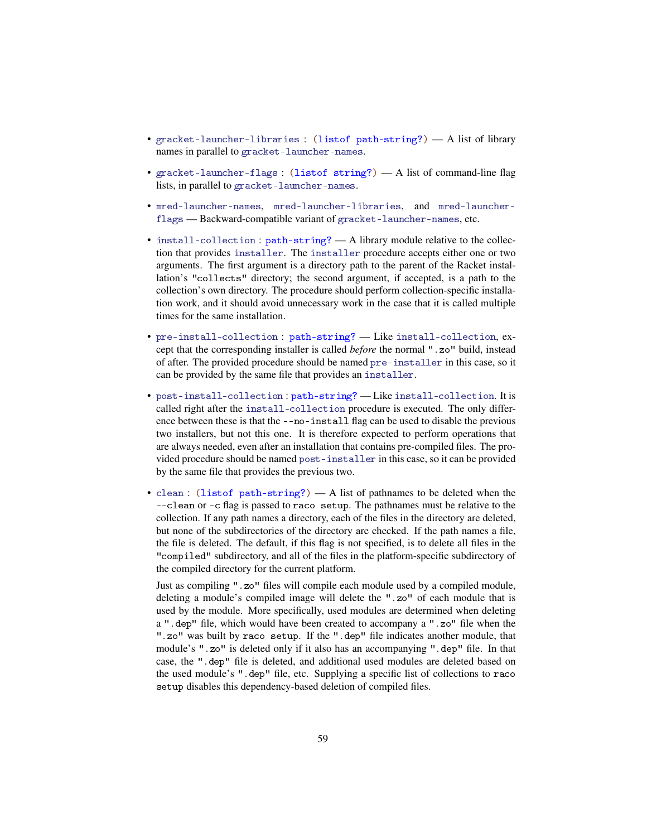- gracket-launcher-libraries : (listof path-string?) A list of library names in parallel to gracket-launcher-names.
- gracket-launcher-flags : (listof string?) A list of command-line flag lists, in parallel to gracket-launcher-names.
- mred-launcher-names, mred-launcher-libraries, and mred-launcherflags — Backward-compatible variant of gracket-launcher-names, etc.
- install-collection : path-string? A library module relative to the collection that provides installer. The installer procedure accepts either one or two arguments. The first argument is a directory path to the parent of the Racket installation's "collects" directory; the second argument, if accepted, is a path to the collection's own directory. The procedure should perform collection-specific installation work, and it should avoid unnecessary work in the case that it is called multiple times for the same installation.
- pre-install-collection : path-string? Like install-collection, except that the corresponding installer is called *before* the normal ".zo" build, instead of after. The provided procedure should be named pre-installer in this case, so it can be provided by the same file that provides an installer.
- post-install-collection : path-string? Like install-collection. It is called right after the install-collection procedure is executed. The only difference between these is that the --no-install flag can be used to disable the previous two installers, but not this one. It is therefore expected to perform operations that are always needed, even after an installation that contains pre-compiled files. The provided procedure should be named post-installer in this case, so it can be provided by the same file that provides the previous two.
- clean : (listof path-string?) A list of pathnames to be deleted when the --clean or -c flag is passed to raco setup. The pathnames must be relative to the collection. If any path names a directory, each of the files in the directory are deleted, but none of the subdirectories of the directory are checked. If the path names a file, the file is deleted. The default, if this flag is not specified, is to delete all files in the "compiled" subdirectory, and all of the files in the platform-specific subdirectory of the compiled directory for the current platform.

Just as compiling ".zo" files will compile each module used by a compiled module, deleting a module's compiled image will delete the ".zo" of each module that is used by the module. More specifically, used modules are determined when deleting a ".dep" file, which would have been created to accompany a ".zo" file when the ".zo" was built by raco setup. If the ".dep" file indicates another module, that module's ".zo" is deleted only if it also has an accompanying ".dep" file. In that case, the ".dep" file is deleted, and additional used modules are deleted based on the used module's ".dep" file, etc. Supplying a specific list of collections to raco setup disables this dependency-based deletion of compiled files.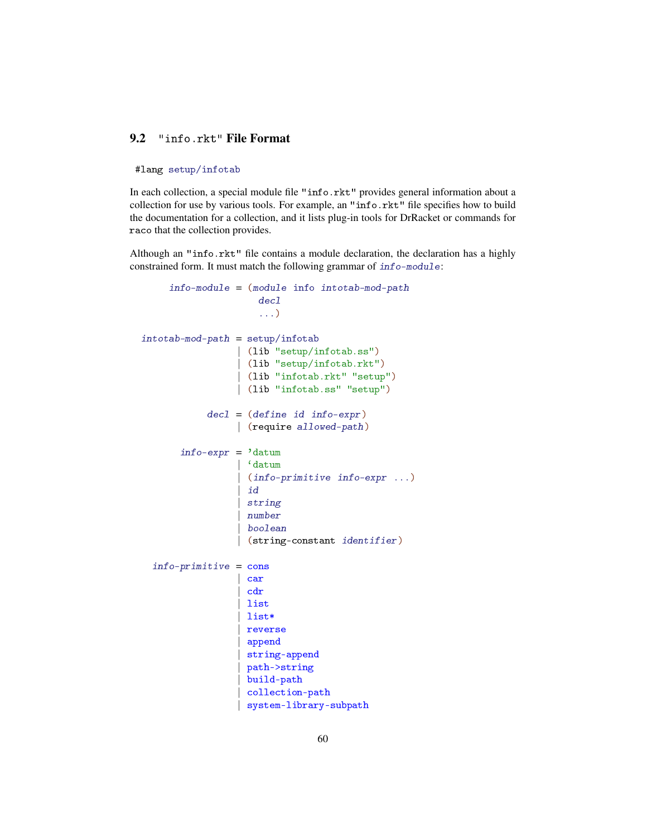# 9.2 "info.rkt" File Format

#### #lang setup/infotab

In each collection, a special module file "info.rkt" provides general information about a collection for use by various tools. For example, an "info.rkt" file specifies how to build the documentation for a collection, and it lists plug-in tools for DrRacket or commands for raco that the collection provides.

Although an "info.rkt" file contains a module declaration, the declaration has a highly constrained form. It must match the following grammar of info-module:

```
info-module = (module info intotab-mod-path
                      decl
                      ...)
intotab-mod-path = setup/infotab| (lib "setup/infotab.ss")
                  | (lib "setup/infotab.rkt")
                  | (lib "infotab.rkt" "setup")
                  | (lib "infotab.ss" "setup")
            dec1 = (define id info-expr)| (require allowed-path)
       info\text{-}expr = 'datum| `datum
                   | (info-primitive info-expr ...)
                   idstring
                   | number
                  | boolean
                  | (string-constant identifier)
  info-primitive = cons| car
                    cdr
                   | list
                   | list*
                   reverse
                   | append
                    | string-append
                    | path->string
                    | build-path
                    | collection-path
                    | system-library-subpath
```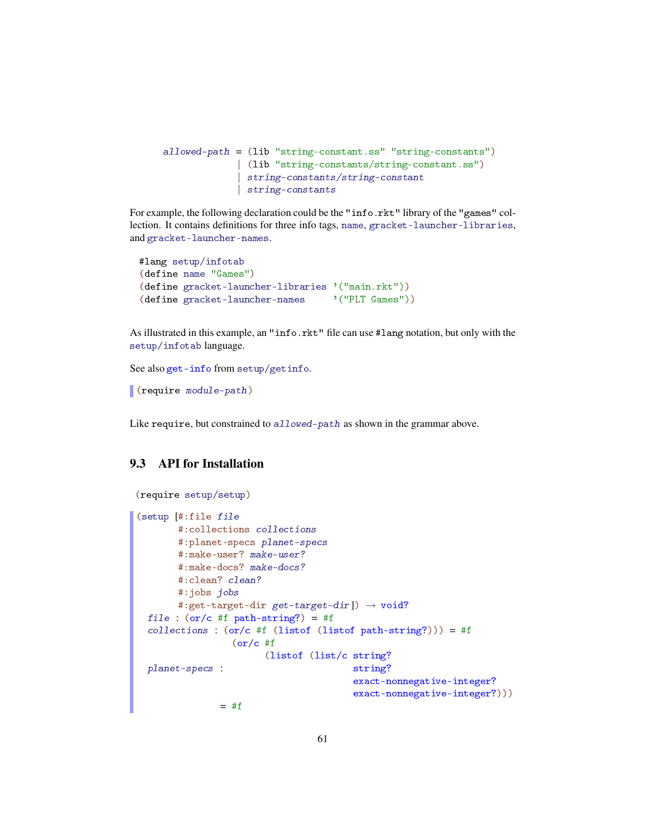```
allowed-path = (lib "string-constant.ss" "string-constants")
             | (lib "string-constants/string-constant.ss")
             | string-constants/string-constant
             | string-constants
```
For example, the following declaration could be the "info.rkt" library of the "games" collection. It contains definitions for three info tags, name, gracket-launcher-libraries, and gracket-launcher-names.

```
#lang setup/infotab
(define name "Games")
(define gracket-launcher-libraries '("main.rkt"))
(define gracket-launcher-names '("PLT Games"))
```
As illustrated in this example, an "info.rkt" file can use #lang notation, but only with the setup/infotab language.

See also get-info from setup/getinfo.

(require module-path)

Like require, but constrained to allowed-path as shown in the grammar above.

# 9.3 API for Installation

```
(require setup/setup)
(setup [#:file file
       #:collections collections
       #:planet-specs planet-specs
       #:make-user? make-user?
       #:make-docs? make-docs?
       #:clean? clean?
       #:jobs jobs
       #:get-target-dir get-target-dir]) \rightarrow void?
 file : (or/c #f path-string?) = #f
  collections : (or/c #f (listof (listof path-string?))) = #f
 planet-specs :
                  (or/c #f
                       (listof (list/c string?
                                        string?
                                        exact-nonnegative-integer?
                                        exact-nonnegative-integer?)))
               = #f
```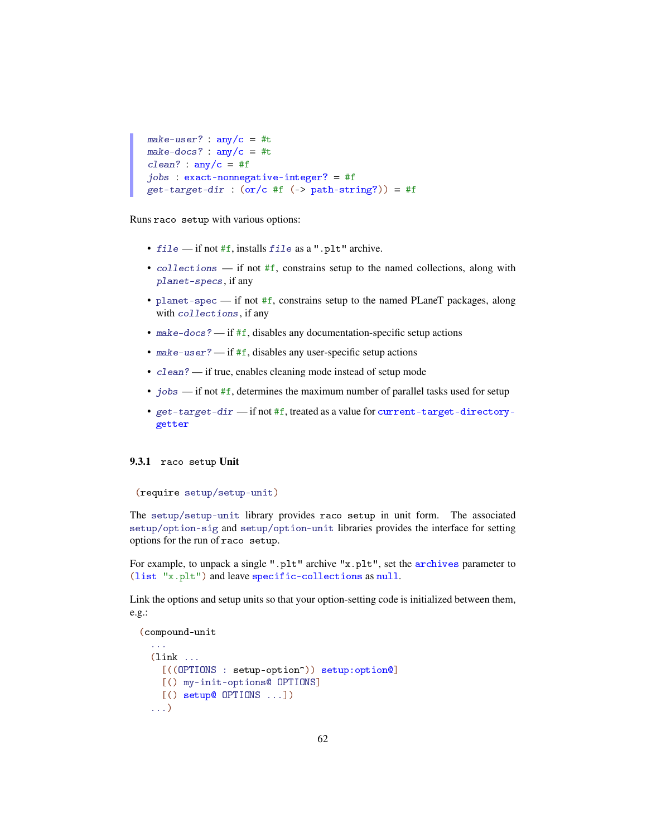```
make-user? : any/c = #tmake-docs? : \text{any/c} = #tclean? : any/c = #fjobs : exact-nonnegative-integer? = #f
get-target-dir : (or/c #f (-) path-string?)) = #f
```
Runs raco setup with various options:

- file if not #f, installs file as a ".plt" archive.
- collections if not #f, constrains setup to the named collections, along with planet-specs, if any
- planet-spec if not #f, constrains setup to the named PLaneT packages, along with collections, if any
- make-docs? if  $#f$ , disables any documentation-specific setup actions
- make-user? if  $#f$ , disables any user-specific setup actions
- clean? if true, enables cleaning mode instead of setup mode
- jobs  $-$  if not #f, determines the maximum number of parallel tasks used for setup
- get-target-dir if not #f, treated as a value for current-target-directorygetter

#### 9.3.1 raco setup Unit

```
(require setup/setup-unit)
```
The setup/setup-unit library provides raco setup in unit form. The associated setup/option-sig and setup/option-unit libraries provides the interface for setting options for the run of raco setup.

For example, to unpack a single ".plt" archive "x.plt", set the archives parameter to (list "x.plt") and leave specific-collections as null.

Link the options and setup units so that your option-setting code is initialized between them, e.g.:

```
(compound-unit
  ...
  (\mathtt{link} \dots[((OPTIONS : setup-option^)) setup:option@]
    [() my-init-options@ OPTIONS]
    [() setup@ OPTIONS ...])
  ...)
```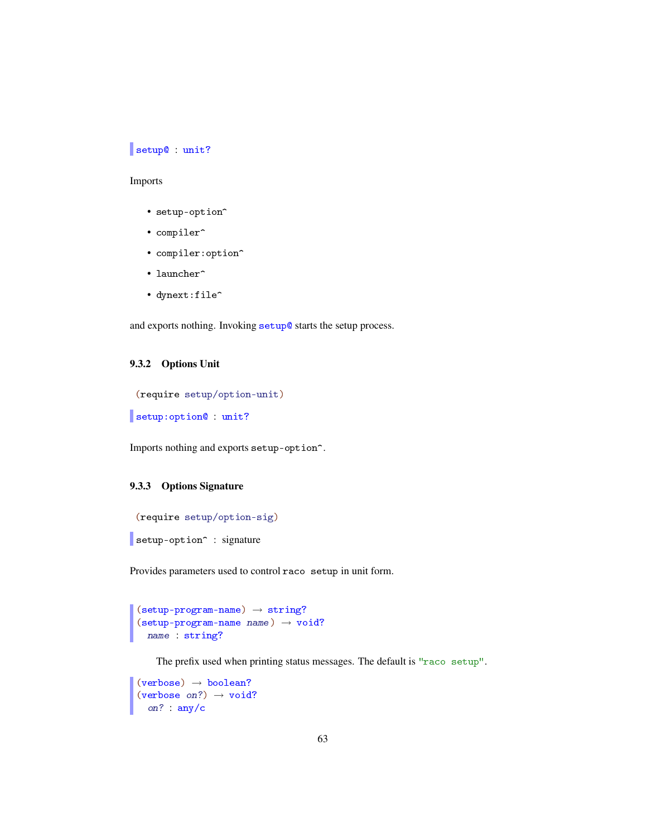# setup@ : unit?

## Imports

- setup-option^
- compiler^
- compiler:option^
- launcher<sup>^</sup>
- dynext:file^

and exports nothing. Invoking setup@ starts the setup process.

### 9.3.2 Options Unit

```
(require setup/option-unit)
```

```
setup:option@ : unit?
```
Imports nothing and exports setup-option<sup>^</sup>.

## 9.3.3 Options Signature

```
(require setup/option-sig)
setup-option<sup>^</sup> : signature
```
Provides parameters used to control raco setup in unit form.

```
(\verb|setup-program-name)| \rightarrow \verb|string|?(\text{setup-program-name name}) \rightarrow \text{void?}name : string?
```
The prefix used when printing status messages. The default is "raco setup".

```
(\text{verbose}) \rightarrow \text{boolean?}(verbose on?) \rightarrow void?
  on? : any/c
```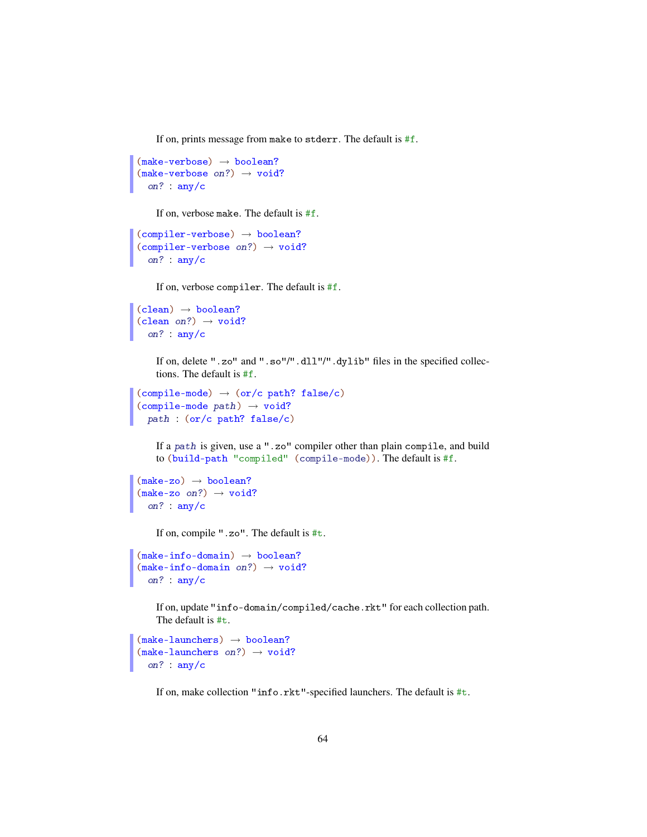If on, prints message from make to stderr. The default is #f.

```
(make-verbose) \rightarrow boolean?(make-verbose on?) \rightarrow void?on? : any/c
```
If on, verbose make. The default is #f.

```
(complier-verbose) \rightarrow boolean?(compiler-verbose on?) \rightarrow void?on? : any/c
```
If on, verbose compiler. The default is #f.

```
(clean) \rightarrow boolean?(clean on?) \rightarrow void?on? : any/c
```
If on, delete ".zo" and ".so"/".dll"/".dylib" files in the specified collections. The default is #f.

```
(compile-mode) \rightarrow (or/c path? false/c)(compile-mode path) \rightarrow void?path : (or/c path? false/c)
```
If a path is given, use a ".zo" compiler other than plain compile, and build to (build-path "compiled" (compile-mode)). The default is #f.

```
(make-zo) \rightarrow boolean?(make-zo \text{ on?}) \rightarrow \text{void?}on? : any/c
```
If on, compile ".zo". The default is #t.

```
(make-info-domain) \rightarrow boolean?(make-info-domain on?) \rightarrow void?on? : any/c
```
If on, update "info-domain/compiled/cache.rkt" for each collection path. The default is #t.

```
(make-launchers) \rightarrow boolean?(make-launchers on?) \rightarrow void?on? : any/c
```
If on, make collection "info.rkt"-specified launchers. The default is #t.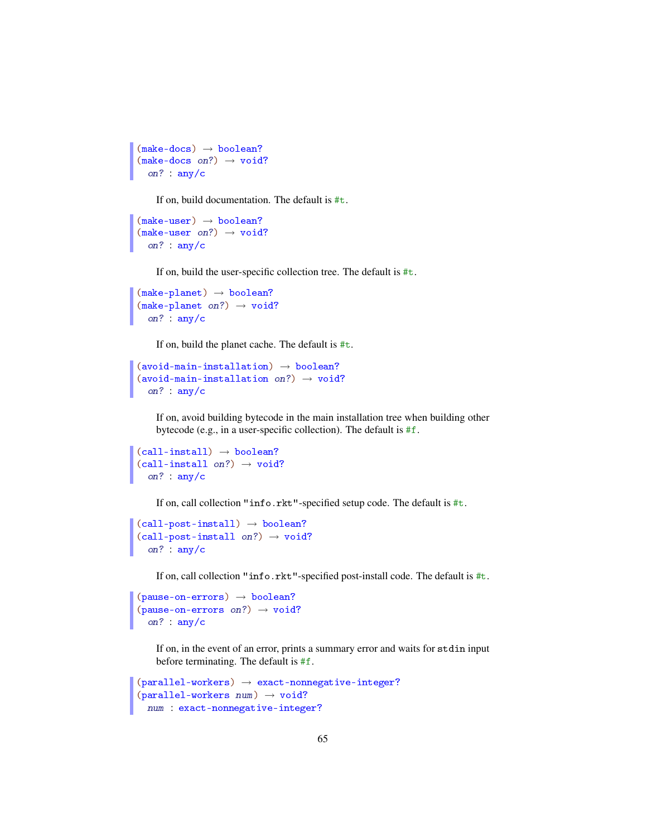```
(make-docs) \rightarrow boolean?(make-docs on?) \rightarrow void?on? : any/c
```
If on, build documentation. The default is #t.

```
(make-user) \rightarrow boolean?(make-user on?) \rightarrow void?on? : any/c
```
If on, build the user-specific collection tree. The default is #t.

```
(make-planet) \rightarrow boolean?(make-planet on?) \rightarrow void?on? : any/c
```
If on, build the planet cache. The default is #t.

```
(avoid-main-instation) \rightarrow boolean?(avoid-main-installation on?) \rightarrow void?
  on? : any/c
```
If on, avoid building bytecode in the main installation tree when building other bytecode (e.g., in a user-specific collection). The default is #f.

```
(call-install) \rightarrow boolean?(call-install on?) \rightarrow void?on? : any/c
```
If on, call collection "info.rkt"-specified setup code. The default is #t.

```
(call-post-install) \rightarrow boolean?(call-post-install on?) \rightarrow void?on? : any/c
```
If on, call collection "info.rkt"-specified post-install code. The default is #t.

```
(pause-on-errors) \rightarrow boolean?(\text{pause-on-errors on?}) \rightarrow \text{void?}on? : any/c
```
If on, in the event of an error, prints a summary error and waits for stdin input before terminating. The default is #f.

```
(parallel-workers) \rightarrow exact-nonnegative-inter?(parallel-workers num) \rightarrow void?num : exact-nonnegative-integer?
```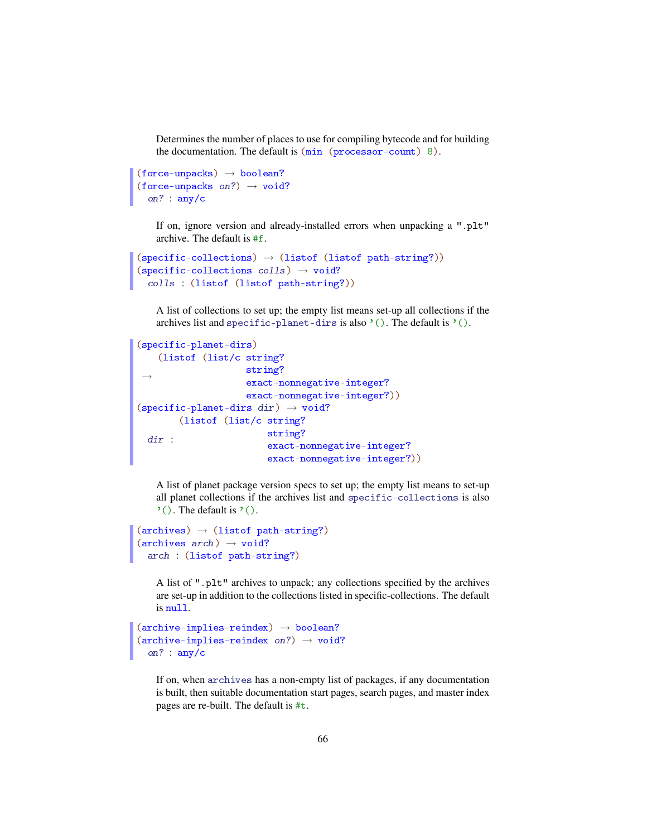Determines the number of places to use for compiling bytecode and for building the documentation. The default is (min (processor-count) 8).

```
(force-unpacks) \rightarrow boolean?(force-unpacks on?) \rightarrow void?
  on? : any/c
```
If on, ignore version and already-installed errors when unpacking a ".plt" archive. The default is #f.

```
(specific-colors) \rightarrow (listof (listof path-string?) )(specific-collections colls) \rightarrow void?
 colls : (listof (listof path-string?))
```
A list of collections to set up; the empty list means set-up all collections if the archives list and specific-planet-dirs is also  $'($ ). The default is  $'($ ).

```
(specific-planet-dirs)
 \rightarrow(listof (list/c string?
                     string?
                     exact-nonnegative-integer?
                     exact-nonnegative-integer?))
(specific-planet-dirs dir) \rightarrow void?dir :
        (listof (list/c string?
                         string?
                         exact-nonnegative-integer?
                         exact-nonnegative-integer?))
```
A list of planet package version specs to set up; the empty list means to set-up all planet collections if the archives list and specific-collections is also  $'$ (). The default is  $'($ ).

```
(archives) \rightarrow (listof path-string?)(\text{archives } arch) \rightarrow void?arch : (listof path-string?)
```
A list of ".plt" archives to unpack; any collections specified by the archives are set-up in addition to the collections listed in specific-collections. The default is null.

```
(\text{archive-implies-reindex}) \rightarrow \text{boolean?}(\text{archive-implies-reindex on?)}\rightarrow \text{void?}on? : any/c
```
If on, when archives has a non-empty list of packages, if any documentation is built, then suitable documentation start pages, search pages, and master index pages are re-built. The default is #t.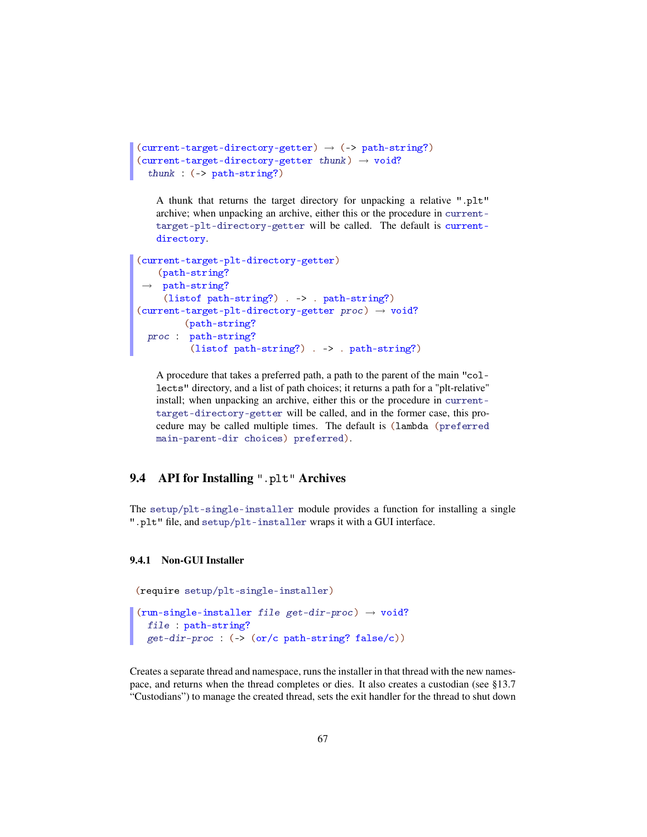```
(current-target-directory-getter) \rightarrow (-> path-string?)(current-target-directory-getter thunk) \rightarrow void?thunk : (-> path-string?)
```
A thunk that returns the target directory for unpacking a relative ".plt" archive; when unpacking an archive, either this or the procedure in currenttarget-plt-directory-getter will be called. The default is currentdirectory.

```
(current-target-plt-directory-getter)
 →
path-string?
   (path-string?
    (listof path-string?) . -> . path-string?)
(current-target-plt-directory-getter proc) \rightarrow void?proc :
path-string?
       (path-string?
         (listof path-string?) . -> . path-string?)
```
A procedure that takes a preferred path, a path to the parent of the main "collects" directory, and a list of path choices; it returns a path for a "plt-relative" install; when unpacking an archive, either this or the procedure in currenttarget-directory-getter will be called, and in the former case, this procedure may be called multiple times. The default is (lambda (preferred main-parent-dir choices) preferred).

# 9.4 API for Installing ".plt" Archives

The setup/plt-single-installer module provides a function for installing a single ".plt" file, and setup/plt-installer wraps it with a GUI interface.

#### 9.4.1 Non-GUI Installer

```
(require setup/plt-single-installer)
```

```
(run-single-installer file get-dir-proc) \rightarrow void?file : path-string?
  get-dir-proc : (-> (or/c path-string? false/c))
```
Creates a separate thread and namespace, runs the installer in that thread with the new namespace, and returns when the thread completes or dies. It also creates a custodian (see §13.7 "Custodians") to manage the created thread, sets the exit handler for the thread to shut down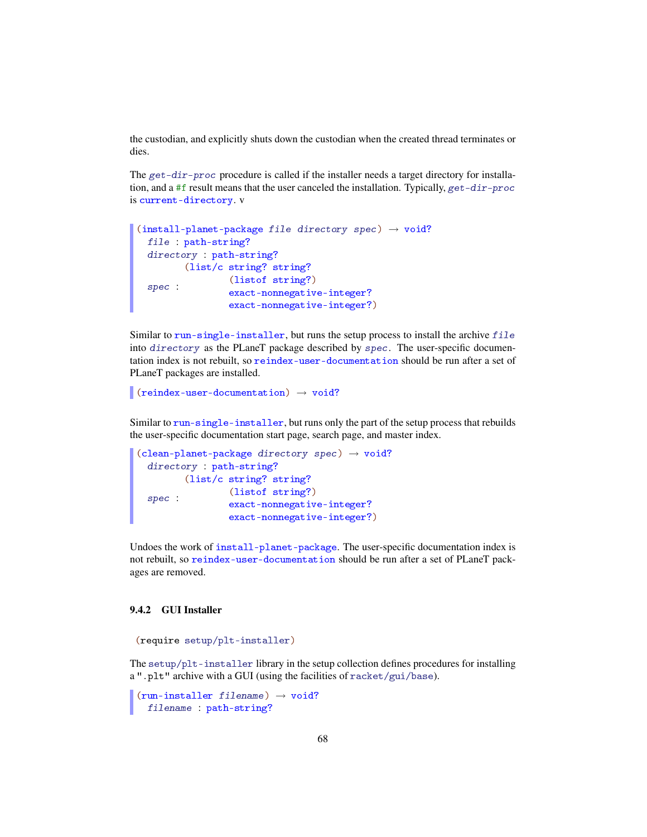the custodian, and explicitly shuts down the custodian when the created thread terminates or dies.

The get-dir-proc procedure is called if the installer needs a target directory for installation, and a #f result means that the user canceled the installation. Typically, get-dir-proc is current-directory. v

```
(install-planet-package file directory spec) \rightarrow void?
  file : path-string?
  directory : path-string?
  spec :
       (list/c string? string?
              (listof string?)
                 exact-nonnegative-integer?
                 exact-nonnegative-integer?)
```
Similar to run-single-installer, but runs the setup process to install the archive  $file$ into directory as the PLaneT package described by spec. The user-specific documentation index is not rebuilt, so reindex-user-documentation should be run after a set of PLaneT packages are installed.

```
(reindex-user-documentation) \rightarrow void?
```
Similar to run-single-installer, but runs only the part of the setup process that rebuilds the user-specific documentation start page, search page, and master index.

```
(clean-planet-package directory spec) \rightarrow void?
  directory : path-string?
  spec :
       (list/c string? string?
                (listof string?)
                 exact-nonnegative-integer?
                 exact-nonnegative-integer?)
```
Undoes the work of install-planet-package. The user-specific documentation index is not rebuilt, so reindex-user-documentation should be run after a set of PLaneT packages are removed.

## 9.4.2 GUI Installer

```
(require setup/plt-installer)
```
The setup/plt-installer library in the setup collection defines procedures for installing a ".plt" archive with a GUI (using the facilities of racket/gui/base).

```
(run-installer filename) \rightarrow void?filename : path-string?
```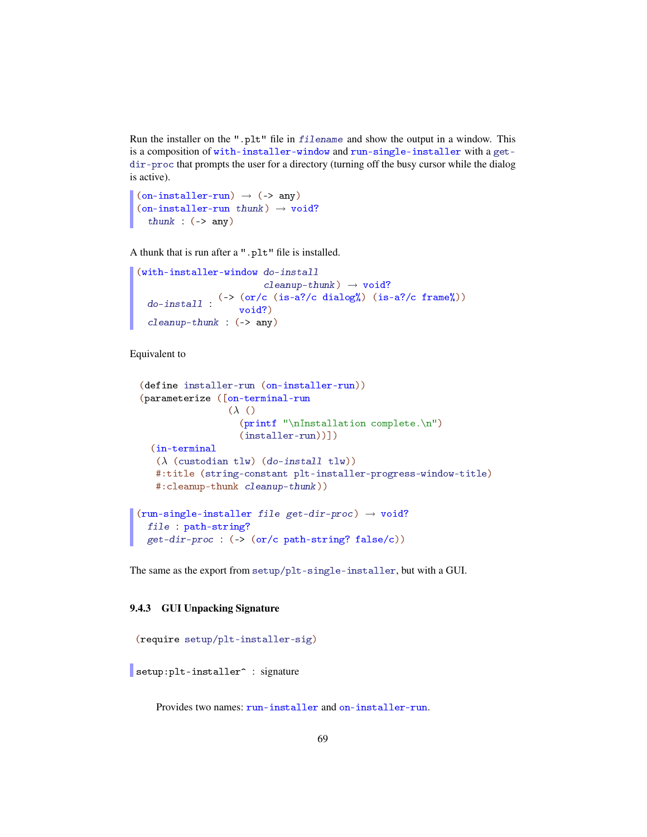Run the installer on the ".plt" file in filename and show the output in a window. This is a composition of with-installer-window and run-single-installer with a getdir-proc that prompts the user for a directory (turning off the busy cursor while the dialog is active).

```
(on-installer-run) \rightarrow (->any)(on-installer-run thunk) \rightarrow void?thunk : (-) any)
```
A thunk that is run after a ".plt" file is installed.

```
(with-installer-window do-install
                        cleanup-thunk) \rightarrow void?do-install :
               (-> (or/c (is-a?/c dialog%) (is-a?/c frame%))void?)
  cleanup-thunk : (-> any)
```
Equivalent to

```
(define installer-run (on-installer-run))
(parameterize ([on-terminal-run
                 (λ ()
                   (printf "\nInstallation complete.\n")
                   (installer-run))])
  (in-terminal
   (\lambda (custodian tlw) (do-install tlw))
   #:title (string-constant plt-installer-progress-window-title)
   #:cleanup-thunk cleanup-thunk))
(run-single-installer file get-dir-proc) \rightarrow void?file : path-string?
 get-dir-proc : (-> (or/c path-string? false/c))
```
The same as the export from setup/plt-single-installer, but with a GUI.

#### 9.4.3 GUI Unpacking Signature

```
(require setup/plt-installer-sig)
setup: plt-installer^ : signature
```
Provides two names: run-installer and on-installer-run.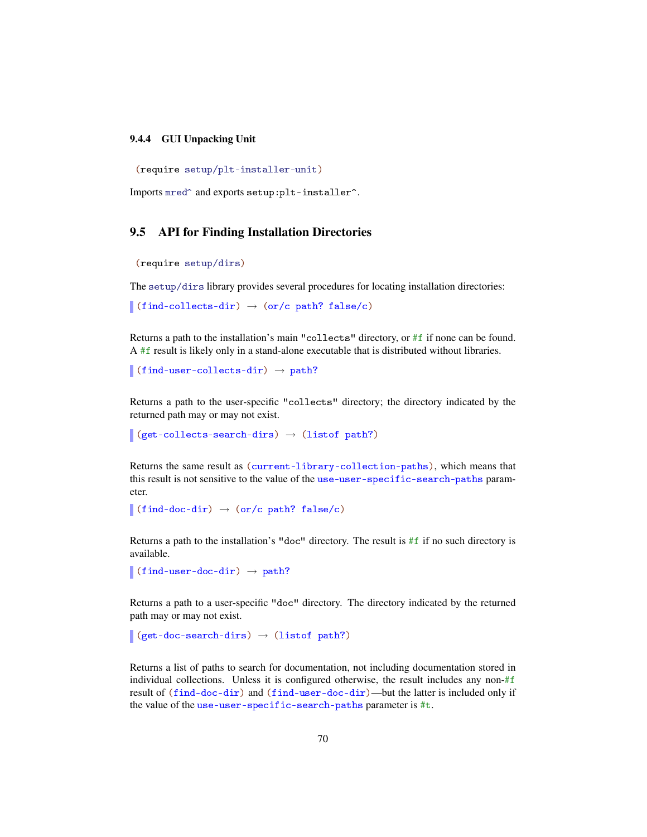#### 9.4.4 GUI Unpacking Unit

```
(require setup/plt-installer-unit)
```
Imports mred<sup>^</sup> and exports setup:plt-installer^.

# 9.5 API for Finding Installation Directories

```
(require setup/dirs)
```
The setup/dirs library provides several procedures for locating installation directories:

```
\vert (find-collects-dir) \rightarrow (or/c path? false/c)
```
Returns a path to the installation's main "collects" directory, or #f if none can be found. A #f result is likely only in a stand-alone executable that is distributed without libraries.

 $\vert$  (find-user-collects-dir)  $\rightarrow$  path?

Returns a path to the user-specific "collects" directory; the directory indicated by the returned path may or may not exist.

```
(get-collects-search-dirs) \rightarrow (listof path?)
```
Returns the same result as (current-library-collection-paths), which means that this result is not sensitive to the value of the use-user-specific-search-paths parameter.

```
\blacksquare (find-doc-dir) \rightarrow (or/c path? false/c)
```
Returns a path to the installation's "doc" directory. The result is #f if no such directory is available.

```
\vert (find-user-doc-dir) \rightarrow path?
```
Returns a path to a user-specific "doc" directory. The directory indicated by the returned path may or may not exist.

```
(get-doc-search-dirs) \rightarrow (listof path?)
```
Returns a list of paths to search for documentation, not including documentation stored in individual collections. Unless it is configured otherwise, the result includes any non- $#f$ result of (find-doc-dir) and (find-user-doc-dir)—but the latter is included only if the value of the use-user-specific-search-paths parameter is #t.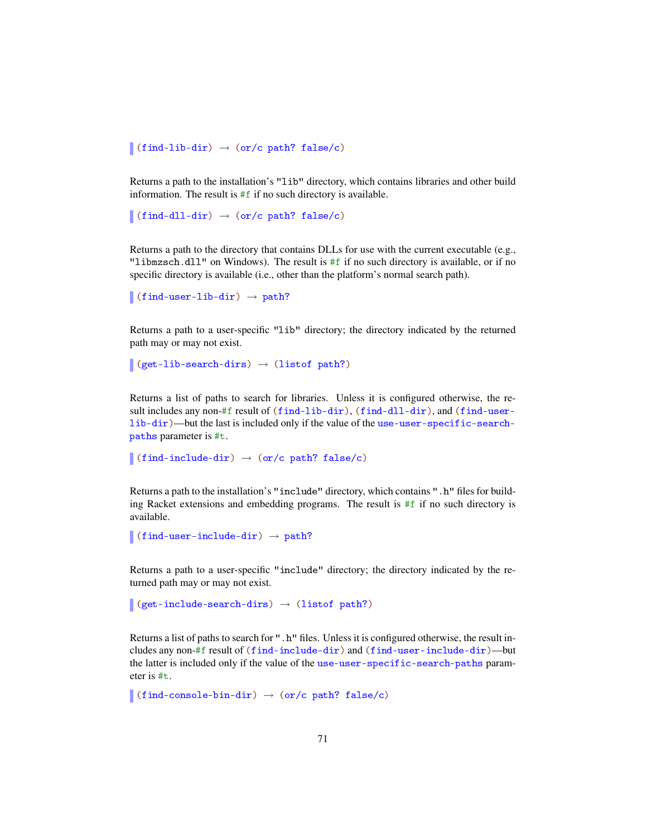$\blacksquare$ (find-lib-dir)  $\rightarrow$  (or/c path? false/c)

Returns a path to the installation's "lib" directory, which contains libraries and other build information. The result is  $#f$  if no such directory is available.

```
\vert (find-dll-dir) \rightarrow (or/c path? false/c)
```
Returns a path to the directory that contains DLLs for use with the current executable (e.g., "libmzsch.dll" on Windows). The result is #f if no such directory is available, or if no specific directory is available (i.e., other than the platform's normal search path).

 $\vert$  (find-user-lib-dir)  $\rightarrow$  path?

Returns a path to a user-specific "lib" directory; the directory indicated by the returned path may or may not exist.

```
\vert (get-lib-search-dirs) \rightarrow (listof path?)
```
Returns a list of paths to search for libraries. Unless it is configured otherwise, the result includes any non-#f result of (find-lib-dir), (find-dll-dir), and (find-userlib-dir)—but the last is included only if the value of the use-user-specific-searchpaths parameter is #t.

```
\vert (find-include-dir) \rightarrow (or/c path? false/c)
```
Returns a path to the installation's "include" directory, which contains ".h" files for building Racket extensions and embedding programs. The result is  $#f$  if no such directory is available.

```
\blacksquare (find-user-include-dir) \rightarrow path?
```
Returns a path to a user-specific "include" directory; the directory indicated by the returned path may or may not exist.

```
(get-include-search-dirs) \rightarrow (listof path?)
```
Returns a list of paths to search for ". h" files. Unless it is configured otherwise, the result includes any non-#f result of (find-include-dir) and (find-user-include-dir)—but the latter is included only if the value of the use-user-specific-search-paths parameter is #t.

```
(find-console-bin-dir) \rightarrow (or/c path? false/c)
```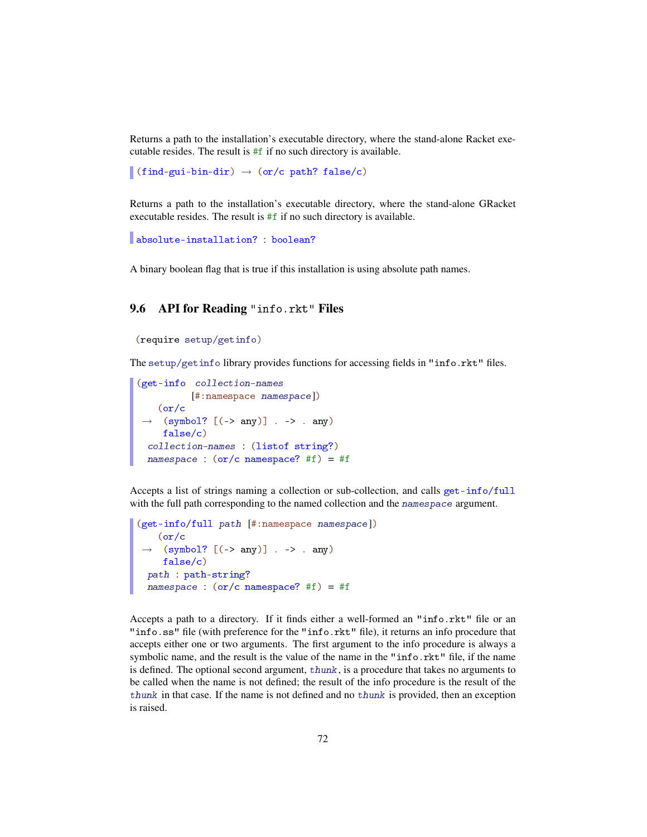Returns a path to the installation's executable directory, where the stand-alone Racket executable resides. The result is #f if no such directory is available.

 $\vert$  (find-gui-bin-dir)  $\rightarrow$  (or/c path? false/c)

Returns a path to the installation's executable directory, where the stand-alone GRacket executable resides. The result is #f if no such directory is available.

```
absolute-installation? : boolean?
```
A binary boolean flag that is true if this installation is using absolute path names.

# 9.6 API for Reading "info.rkt" Files

```
(require setup/getinfo)
```
The setup/getinfo library provides functions for accessing fields in "info.rkt" files.

```
(get-info collection-names
          [#:namespace namespace])
 \rightarrow (symbol? [(-> any)] . -> . any)
   (or/c
   false/c)
 collection-names : (listof string?)
 namespace : (or/c namespace? #f) = #f
```
Accepts a list of strings naming a collection or sub-collection, and calls get-info/full with the full path corresponding to the named collection and the namespace argument.

```
(get-info/full path [#:namespace namespace])
 \rightarrow (symbol? [(-> any)] . -> . any)
   (or/c
   false/c)
 path : path-string?
 namespace : (or/c namespace? #f) = #f
```
Accepts a path to a directory. If it finds either a well-formed an "info.rkt" file or an "info.ss" file (with preference for the "info.rkt" file), it returns an info procedure that accepts either one or two arguments. The first argument to the info procedure is always a symbolic name, and the result is the value of the name in the "info.rkt" file, if the name is defined. The optional second argument, thunk, is a procedure that takes no arguments to be called when the name is not defined; the result of the info procedure is the result of the thunk in that case. If the name is not defined and no thunk is provided, then an exception is raised.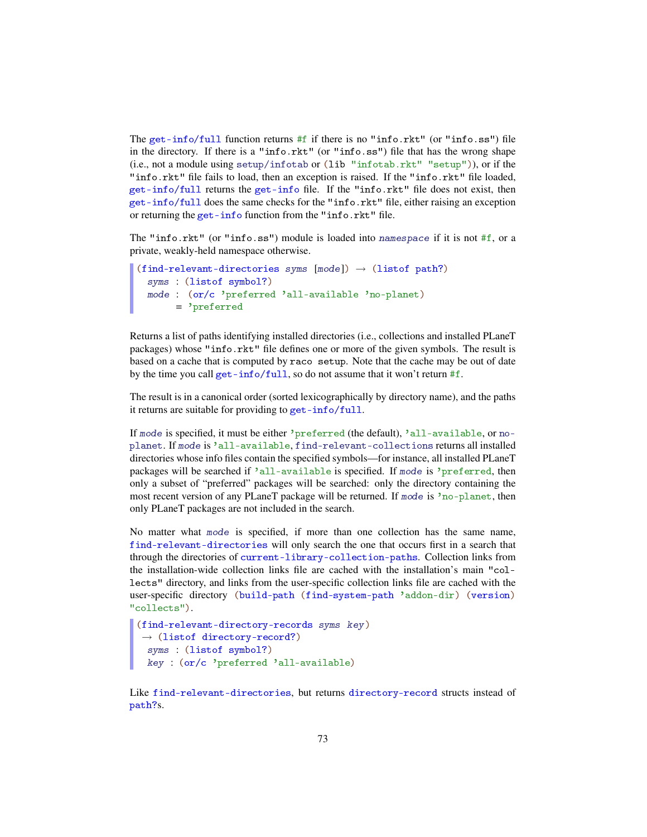The get-info/full function returns  $#f$  if there is no "info.rkt" (or "info.ss") file in the directory. If there is a "info.rkt" (or "info.ss") file that has the wrong shape (i.e., not a module using setup/infotab or (lib "infotab.rkt" "setup")), or if the "info.rkt" file fails to load, then an exception is raised. If the "info.rkt" file loaded, get-info/full returns the get-info file. If the "info.rkt" file does not exist, then get-info/full does the same checks for the "info.rkt" file, either raising an exception or returning the get-info function from the "info.rkt" file.

The "info.rkt" (or "info.ss") module is loaded into namespace if it is not #f, or a private, weakly-held namespace otherwise.

```
(find-relevant-directories syms (mod) \rightarrow (listof path?)syms : (listof symbol?)
 mode : (or/c 'preferred 'all-available 'no-planet)
       = 'preferred
```
Returns a list of paths identifying installed directories (i.e., collections and installed PLaneT packages) whose "info.rkt" file defines one or more of the given symbols. The result is based on a cache that is computed by raco setup. Note that the cache may be out of date by the time you call get-info/full, so do not assume that it won't return  $#f$ .

The result is in a canonical order (sorted lexicographically by directory name), and the paths it returns are suitable for providing to get-info/full.

If mode is specified, it must be either 'preferred (the default), 'all-available, or noplanet. If mode is 'all-available, find-relevant-collections returns all installed directories whose info files contain the specified symbols—for instance, all installed PLaneT packages will be searched if 'all-available is specified. If mode is 'preferred, then only a subset of "preferred" packages will be searched: only the directory containing the most recent version of any PLaneT package will be returned. If mode is 'no-planet, then only PLaneT packages are not included in the search.

No matter what mode is specified, if more than one collection has the same name, find-relevant-directories will only search the one that occurs first in a search that through the directories of current-library-collection-paths. Collection links from the installation-wide collection links file are cached with the installation's main "collects" directory, and links from the user-specific collection links file are cached with the user-specific directory (build-path (find-system-path 'addon-dir) (version) "collects").

```
(find-relevant-directory-records syms key)
\rightarrow (listof directory-record?)
 syms : (listof symbol?)
key : (or/c 'preferred 'all-available)
```
Like find-relevant-directories, but returns directory-record structs instead of path?s.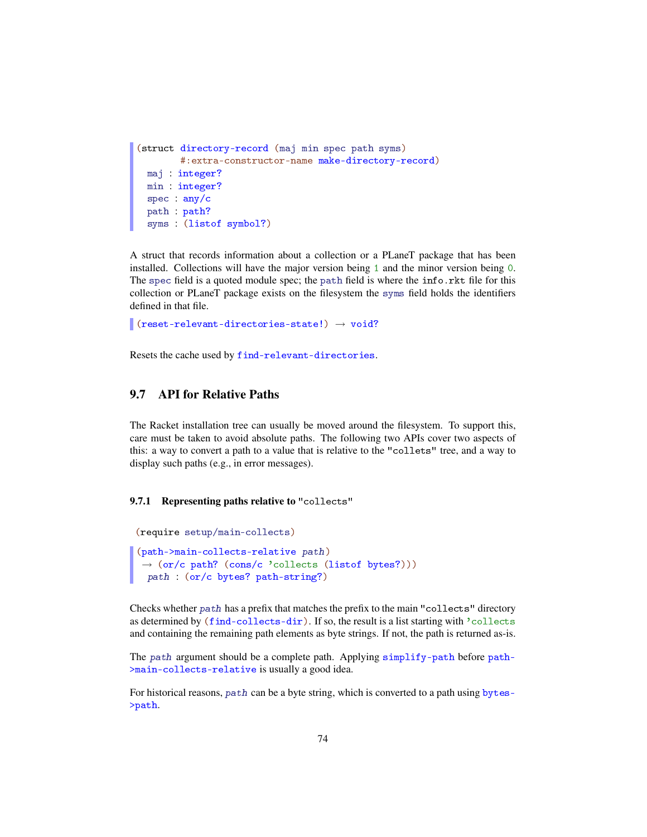```
(struct directory-record (maj min spec path syms)
        #:extra-constructor-name make-directory-record)
 maj : integer?
 min : integer?
 spec : any/c
 path : path?
 syms : (listof symbol?)
```
A struct that records information about a collection or a PLaneT package that has been installed. Collections will have the major version being 1 and the minor version being 0. The spec field is a quoted module spec; the path field is where the info.rkt file for this collection or PLaneT package exists on the filesystem the syms field holds the identifiers defined in that file.

```
(reset-relevant-directories-state!) \rightarrow void?
```
Resets the cache used by find-relevant-directories.

## 9.7 API for Relative Paths

The Racket installation tree can usually be moved around the filesystem. To support this, care must be taken to avoid absolute paths. The following two APIs cover two aspects of this: a way to convert a path to a value that is relative to the "collets" tree, and a way to display such paths (e.g., in error messages).

#### 9.7.1 Representing paths relative to "collects"

```
(require setup/main-collects)
(path->main-collects-relative path)
\rightarrow (or/c path? (cons/c 'collects (listof bytes?)))
 path : (or/c bytes? path-string?)
```
Checks whether path has a prefix that matches the prefix to the main "collects" directory as determined by (find-collects-dir). If so, the result is a list starting with 'collects and containing the remaining path elements as byte strings. If not, the path is returned as-is.

The path argument should be a complete path. Applying simplify-path before path- >main-collects-relative is usually a good idea.

For historical reasons, path can be a byte string, which is converted to a path using bytes->path.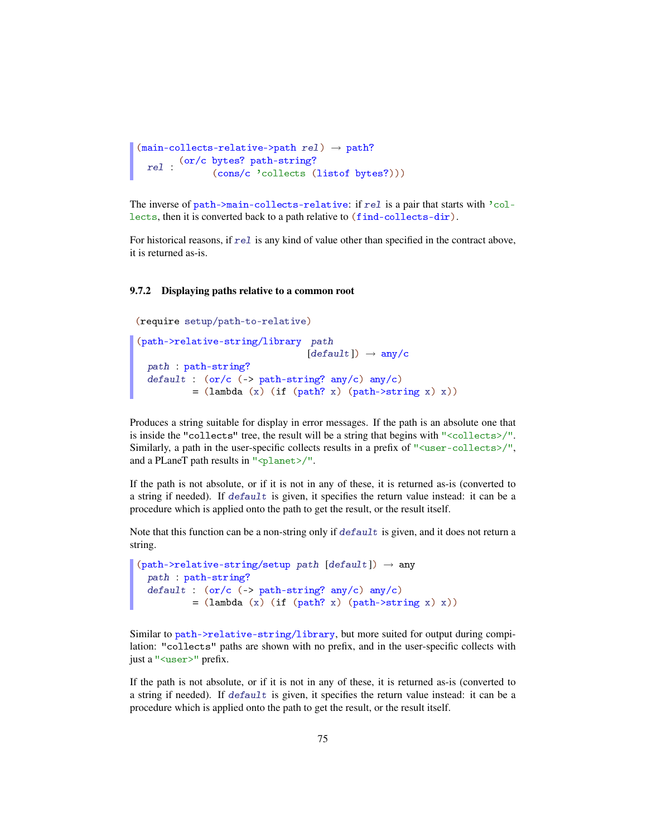```
(\text{main-collects-relative->path rel}) \rightarrow \text{path?}rel : <sup>(or/c</sup> bytes? path-string?)
                  (cons/c 'collects (listof bytes?)))
```
The inverse of path->main-collects-relative: if rel is a pair that starts with 'collects, then it is converted back to a path relative to (find-collects-dir).

For historical reasons, if  $rel$  is any kind of value other than specified in the contract above, it is returned as-is.

#### 9.7.2 Displaying paths relative to a common root

```
(require setup/path-to-relative)
(path->relative-string/library path
                            [default]) \rightarrow any/cpath : path-string?
  default : (or/c (-) path-string? any/c) any/c)= (lambda (x) (if (path? x) (path->string x) x))
```
Produces a string suitable for display in error messages. If the path is an absolute one that is inside the "collects" tree, the result will be a string that begins with "<collects>/". Similarly, a path in the user-specific collects results in a prefix of "<user-collects>/", and a PLaneT path results in "<planet>/".

If the path is not absolute, or if it is not in any of these, it is returned as-is (converted to a string if needed). If default is given, it specifies the return value instead: it can be a procedure which is applied onto the path to get the result, or the result itself.

Note that this function can be a non-string only if default is given, and it does not return a string.

```
(path->relative-string/setup path [default]) \rightarrow anypath : path-string?
 default : (or/c (-) path-string? any/c) any/c)= (lambda (x) (if (path? x) (path->string x) x))
```
Similar to path->relative-string/library, but more suited for output during compilation: "collects" paths are shown with no prefix, and in the user-specific collects with just a "<user>" prefix.

If the path is not absolute, or if it is not in any of these, it is returned as-is (converted to a string if needed). If default is given, it specifies the return value instead: it can be a procedure which is applied onto the path to get the result, or the result itself.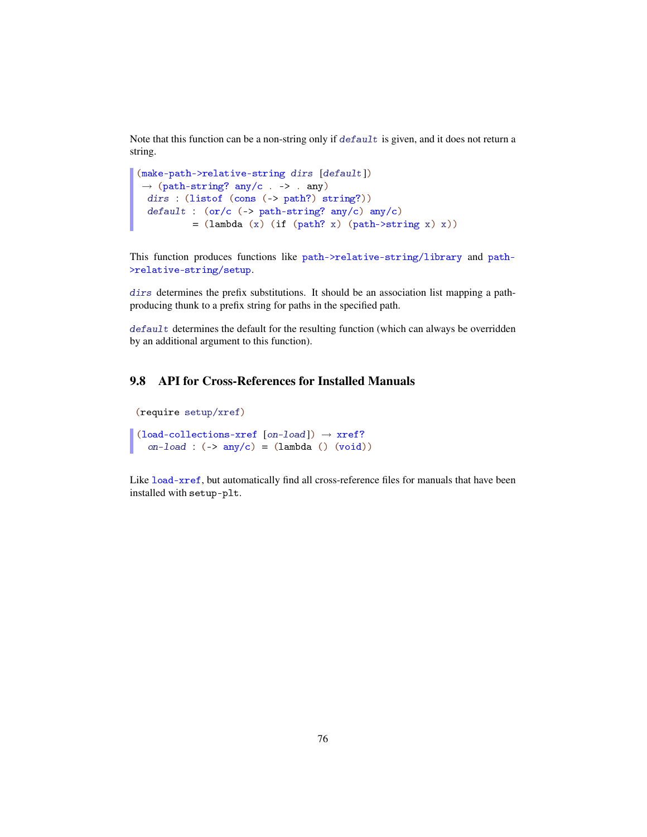Note that this function can be a non-string only if default is given, and it does not return a string.

```
(make-path->relative-string dirs [default])
\rightarrow (path-string? any/c . -> . any)
 dirs : (listof (cons (-> path?) string?))
 default : (or/c (-) path-string? any/c) any/c)= (lambda (x) (if (path? x) (path->string x) x))
```
This function produces functions like path->relative-string/library and path- >relative-string/setup.

dirs determines the prefix substitutions. It should be an association list mapping a pathproducing thunk to a prefix string for paths in the specified path.

default determines the default for the resulting function (which can always be overridden by an additional argument to this function).

## 9.8 API for Cross-References for Installed Manuals

```
(require setup/xref)
(load-co1lections-xref [on-load]) \rightarrow xref?
```
on-load :  $(-\rangle$  any/c) =  $(\text{lambda} () (\text{void}))$ 

Like load-xref, but automatically find all cross-reference files for manuals that have been installed with setup-plt.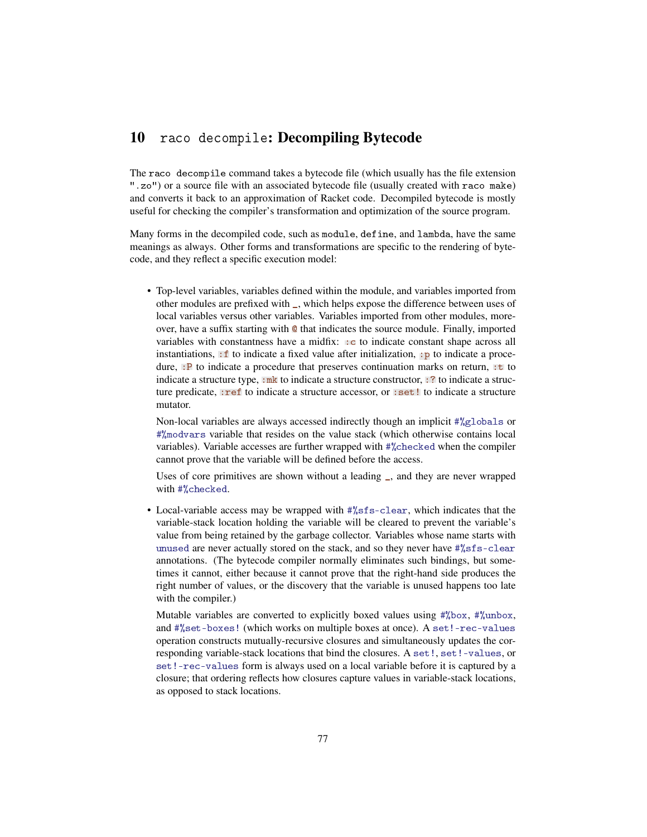## 10 raco decompile: Decompiling Bytecode

The raco decompile command takes a bytecode file (which usually has the file extension ".zo") or a source file with an associated bytecode file (usually created with raco make) and converts it back to an approximation of Racket code. Decompiled bytecode is mostly useful for checking the compiler's transformation and optimization of the source program.

Many forms in the decompiled code, such as module, define, and lambda, have the same meanings as always. Other forms and transformations are specific to the rendering of bytecode, and they reflect a specific execution model:

• Top-level variables, variables defined within the module, and variables imported from other modules are prefixed with \_, which helps expose the difference between uses of local variables versus other variables. Variables imported from other modules, moreover, have a suffix starting with @ that indicates the source module. Finally, imported variables with constantness have a midfix: : c to indicate constant shape across all instantiations,  $\cdot$  f to indicate a fixed value after initialization,  $\cdot$  p to indicate a procedure, : P to indicate a procedure that preserves continuation marks on return, : t to indicate a structure type,  $:\mathbf{mk}$  to indicate a structure constructor,  $: ?$  to indicate a structure predicate, : ref to indicate a structure accessor, or : set! to indicate a structure mutator.

Non-local variables are always accessed indirectly though an implicit #%globals or #%modvars variable that resides on the value stack (which otherwise contains local variables). Variable accesses are further wrapped with #%checked when the compiler cannot prove that the variable will be defined before the access.

Uses of core primitives are shown without a leading \_, and they are never wrapped with #%checked.

• Local-variable access may be wrapped with  $\frac{4}{55}$  s-clear, which indicates that the variable-stack location holding the variable will be cleared to prevent the variable's value from being retained by the garbage collector. Variables whose name starts with unused are never actually stored on the stack, and so they never have #%sfs-clear annotations. (The bytecode compiler normally eliminates such bindings, but sometimes it cannot, either because it cannot prove that the right-hand side produces the right number of values, or the discovery that the variable is unused happens too late with the compiler.)

Mutable variables are converted to explicitly boxed values using #%box, #%unbox, and #%set-boxes! (which works on multiple boxes at once). A set!-rec-values operation constructs mutually-recursive closures and simultaneously updates the corresponding variable-stack locations that bind the closures. A set!, set!-values, or set!-rec-values form is always used on a local variable before it is captured by a closure; that ordering reflects how closures capture values in variable-stack locations, as opposed to stack locations.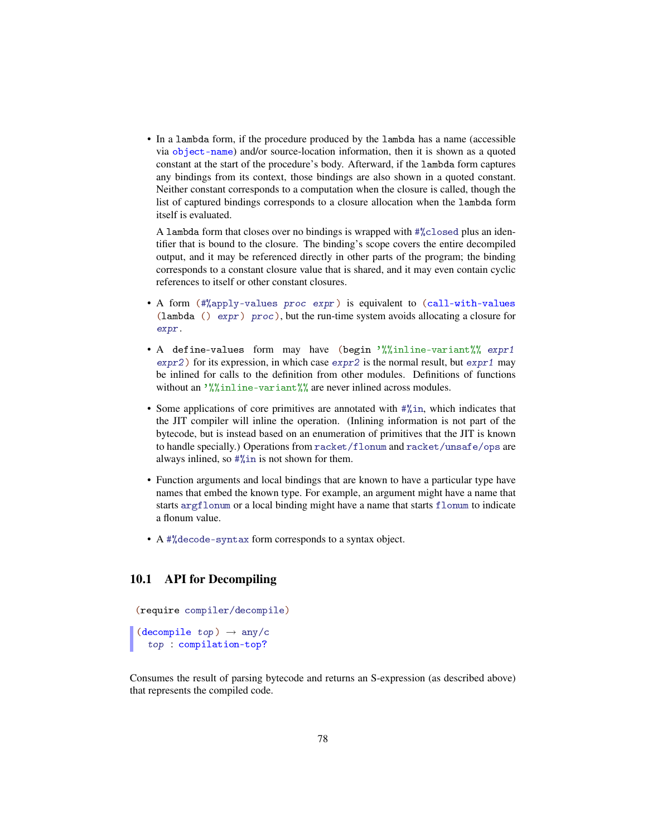• In a lambda form, if the procedure produced by the lambda has a name (accessible via object-name) and/or source-location information, then it is shown as a quoted constant at the start of the procedure's body. Afterward, if the lambda form captures any bindings from its context, those bindings are also shown in a quoted constant. Neither constant corresponds to a computation when the closure is called, though the list of captured bindings corresponds to a closure allocation when the lambda form itself is evaluated.

A lambda form that closes over no bindings is wrapped with #%closed plus an identifier that is bound to the closure. The binding's scope covers the entire decompiled output, and it may be referenced directly in other parts of the program; the binding corresponds to a constant closure value that is shared, and it may even contain cyclic references to itself or other constant closures.

- A form (#%apply-values proc expr) is equivalent to (call-with-values (lambda ()  $\exp r$ ) proc), but the run-time system avoids allocating a closure for expr.
- A define-values form may have (begin '%%inline-variant%% expr1  $\exp r2$ ) for its expression, in which case  $\exp r2$  is the normal result, but  $\exp r1$  may be inlined for calls to the definition from other modules. Definitions of functions without an  $\frac{1}{2}$  inline-variant %% are never inlined across modules.
- Some applications of core primitives are annotated with #%in, which indicates that the JIT compiler will inline the operation. (Inlining information is not part of the bytecode, but is instead based on an enumeration of primitives that the JIT is known to handle specially.) Operations from racket/flonum and racket/unsafe/ops are always inlined, so #%in is not shown for them.
- Function arguments and local bindings that are known to have a particular type have names that embed the known type. For example, an argument might have a name that starts argflonum or a local binding might have a name that starts flonum to indicate a flonum value.
- A #%decode-syntax form corresponds to a syntax object.

#### 10.1 API for Decompiling

(require compiler/decompile)

(decompile  $top$ )  $\rightarrow$  any/c top : compilation-top?

Consumes the result of parsing bytecode and returns an S-expression (as described above) that represents the compiled code.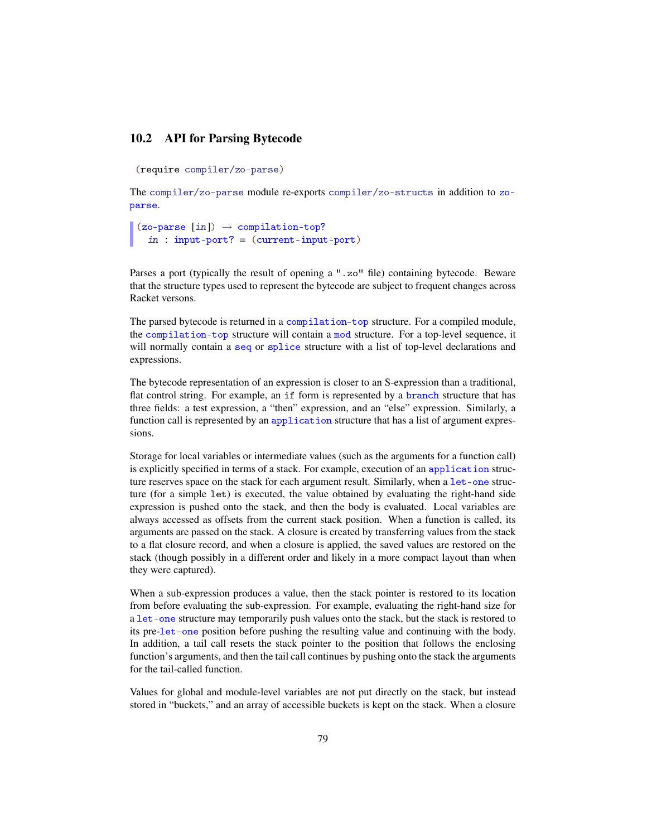#### 10.2 API for Parsing Bytecode

```
(require compiler/zo-parse)
```
The compiler/zo-parse module re-exports compiler/zo-structs in addition to zoparse.

```
(zo-parse [in]) \rightarrow compilation-top?in : input-port? = (current-input-port)
```
Parses a port (typically the result of opening a ".zo" file) containing bytecode. Beware that the structure types used to represent the bytecode are subject to frequent changes across Racket versons.

The parsed bytecode is returned in a compilation-top structure. For a compiled module, the compilation-top structure will contain a mod structure. For a top-level sequence, it will normally contain a seq or splice structure with a list of top-level declarations and expressions.

The bytecode representation of an expression is closer to an S-expression than a traditional, flat control string. For example, an if form is represented by a branch structure that has three fields: a test expression, a "then" expression, and an "else" expression. Similarly, a function call is represented by an application structure that has a list of argument expressions.

Storage for local variables or intermediate values (such as the arguments for a function call) is explicitly specified in terms of a stack. For example, execution of an application structure reserves space on the stack for each argument result. Similarly, when a let-one structure (for a simple let) is executed, the value obtained by evaluating the right-hand side expression is pushed onto the stack, and then the body is evaluated. Local variables are always accessed as offsets from the current stack position. When a function is called, its arguments are passed on the stack. A closure is created by transferring values from the stack to a flat closure record, and when a closure is applied, the saved values are restored on the stack (though possibly in a different order and likely in a more compact layout than when they were captured).

When a sub-expression produces a value, then the stack pointer is restored to its location from before evaluating the sub-expression. For example, evaluating the right-hand size for a let-one structure may temporarily push values onto the stack, but the stack is restored to its pre-let-one position before pushing the resulting value and continuing with the body. In addition, a tail call resets the stack pointer to the position that follows the enclosing function's arguments, and then the tail call continues by pushing onto the stack the arguments for the tail-called function.

Values for global and module-level variables are not put directly on the stack, but instead stored in "buckets," and an array of accessible buckets is kept on the stack. When a closure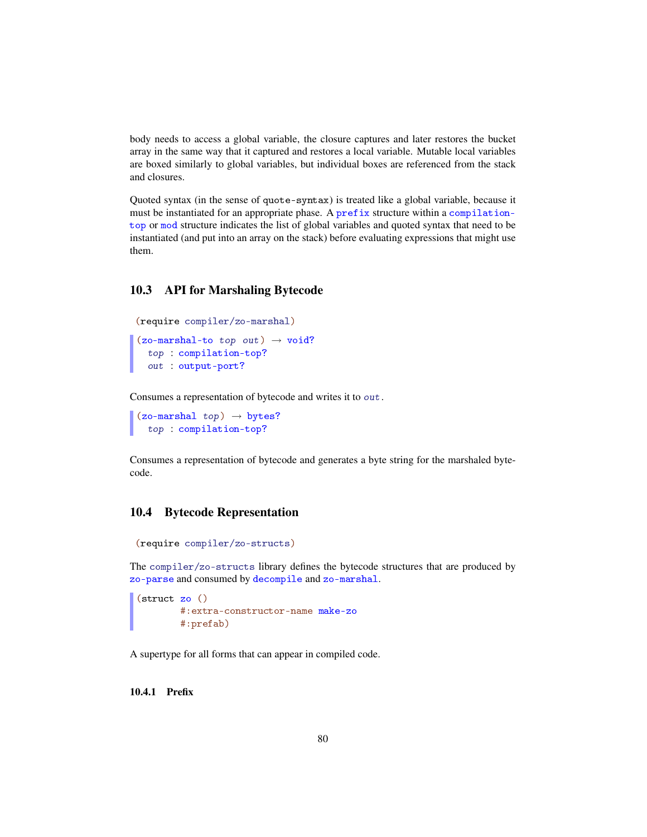body needs to access a global variable, the closure captures and later restores the bucket array in the same way that it captured and restores a local variable. Mutable local variables are boxed similarly to global variables, but individual boxes are referenced from the stack and closures.

Quoted syntax (in the sense of quote-syntax) is treated like a global variable, because it must be instantiated for an appropriate phase. A prefix structure within a compilationtop or mod structure indicates the list of global variables and quoted syntax that need to be instantiated (and put into an array on the stack) before evaluating expressions that might use them.

#### 10.3 API for Marshaling Bytecode

```
(require compiler/zo-marshal)
(zo-maxbal-to-top out) \rightarrow void?top : compilation-top?
  out : output-port?
```
Consumes a representation of bytecode and writes it to out.

```
(zo-maxhal top) \rightarrow bytes?top : compilation-top?
```
Consumes a representation of bytecode and generates a byte string for the marshaled bytecode.

### 10.4 Bytecode Representation

```
(require compiler/zo-structs)
```
The compiler/zo-structs library defines the bytecode structures that are produced by zo-parse and consumed by decompile and zo-marshal.

```
(struct zo ()
        #:extra-constructor-name make-zo
        #:prefab)
```
A supertype for all forms that can appear in compiled code.

10.4.1 Prefix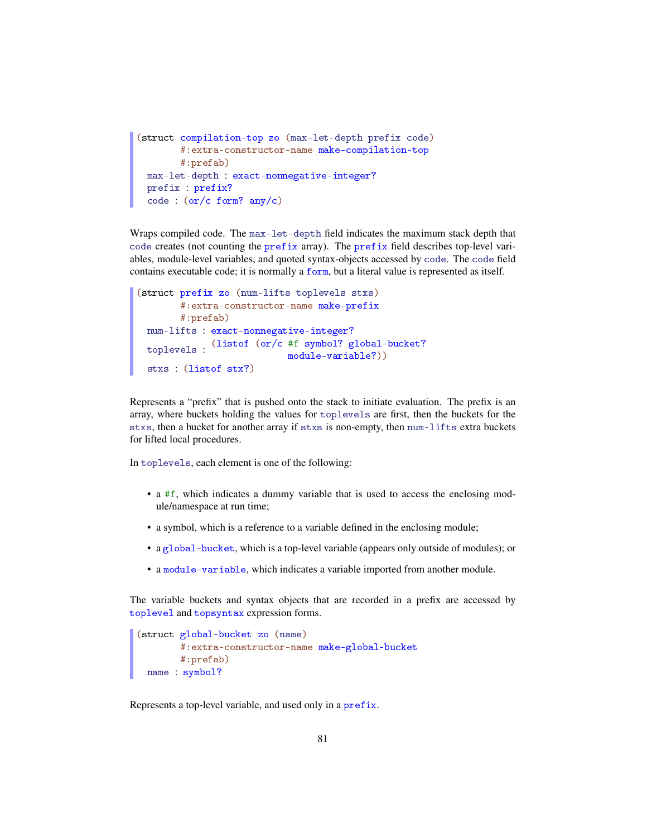```
(struct compilation-top zo (max-let-depth prefix code)
       #:extra-constructor-name make-compilation-top
       #:prefab)
 max-let-depth : exact-nonnegative-integer?
 prefix : prefix?
 code : (or/c form? any/c)
```
Wraps compiled code. The max-let-depth field indicates the maximum stack depth that code creates (not counting the prefix array). The prefix field describes top-level variables, module-level variables, and quoted syntax-objects accessed by code. The code field contains executable code; it is normally a form, but a literal value is represented as itself.

```
(struct prefix zo (num-lifts toplevels stxs)
       #:extra-constructor-name make-prefix
       #:prefab)
 num-lifts : exact-nonnegative-integer?
  toplevels :
(listof (or/c #f symbol? global-bucket?
                           module-variable?))
 stxs : (listof stx?)
```
Represents a "prefix" that is pushed onto the stack to initiate evaluation. The prefix is an array, where buckets holding the values for toplevels are first, then the buckets for the stxs, then a bucket for another array if stxs is non-empty, then num-lifts extra buckets for lifted local procedures.

In toplevels, each element is one of the following:

- a #f, which indicates a dummy variable that is used to access the enclosing module/namespace at run time;
- a symbol, which is a reference to a variable defined in the enclosing module;
- a global-bucket, which is a top-level variable (appears only outside of modules); or
- a module-variable, which indicates a variable imported from another module.

The variable buckets and syntax objects that are recorded in a prefix are accessed by toplevel and topsyntax expression forms.

```
(struct global-bucket zo (name)
       #:extra-constructor-name make-global-bucket
       #:prefab)
 name : symbol?
```
Represents a top-level variable, and used only in a prefix.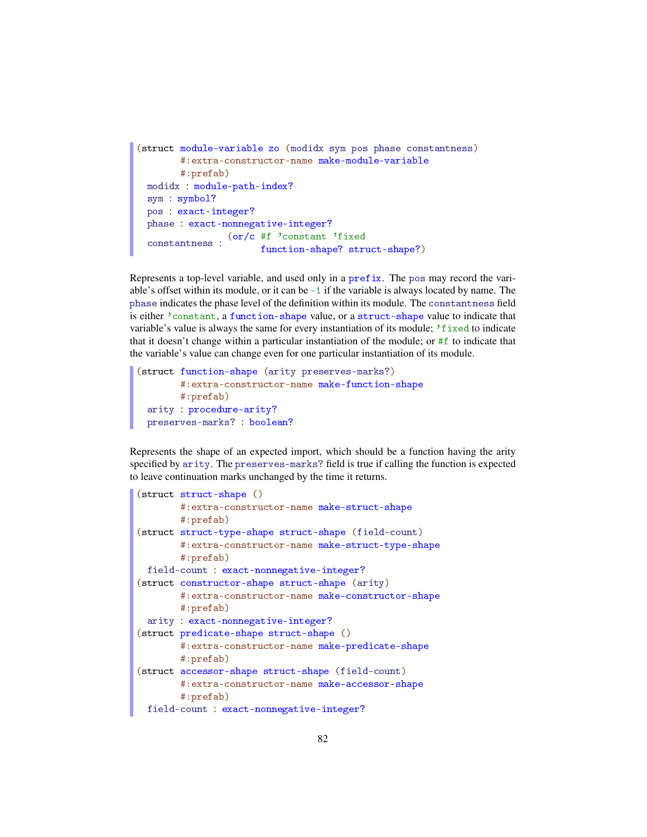```
(struct module-variable zo (modidx sym pos phase constantness)
        #:extra-constructor-name make-module-variable
        #:prefab)
 modidx : module-path-index?
  sym : symbol?
  pos : exact-integer?
  phase : exact-nonnegative-integer?
  \frac{\text{(or/c #f 'constant 'fixed}}{\text{function chosen?} \cdot \text{time}}function-shape? struct-shape?)
```
Represents a top-level variable, and used only in a prefix. The pos may record the variable's offset within its module, or it can be -1 if the variable is always located by name. The phase indicates the phase level of the definition within its module. The constantness field is either 'constant, a function-shape value, or a struct-shape value to indicate that variable's value is always the same for every instantiation of its module;  $i$  fixed to indicate that it doesn't change within a particular instantiation of the module; or #f to indicate that the variable's value can change even for one particular instantiation of its module.

```
(struct function-shape (arity preserves-marks?)
       #:extra-constructor-name make-function-shape
       #:prefab)
 arity : procedure-arity?
 preserves-marks? : boolean?
```
Represents the shape of an expected import, which should be a function having the arity specified by arity. The preserves-marks? field is true if calling the function is expected to leave continuation marks unchanged by the time it returns.

```
(struct struct-shape ()
       #:extra-constructor-name make-struct-shape
       #:prefab)
(struct struct-type-shape struct-shape (field-count)
       #:extra-constructor-name make-struct-type-shape
       #:prefab)
 field-count : exact-nonnegative-integer?
(struct constructor-shape struct-shape (arity)
       #:extra-constructor-name make-constructor-shape
       #:prefab)
 arity : exact-nonnegative-integer?
(struct predicate-shape struct-shape ()
       #:extra-constructor-name make-predicate-shape
       #:prefab)
(struct accessor-shape struct-shape (field-count)
       #:extra-constructor-name make-accessor-shape
       #:prefab)
 field-count : exact-nonnegative-integer?
```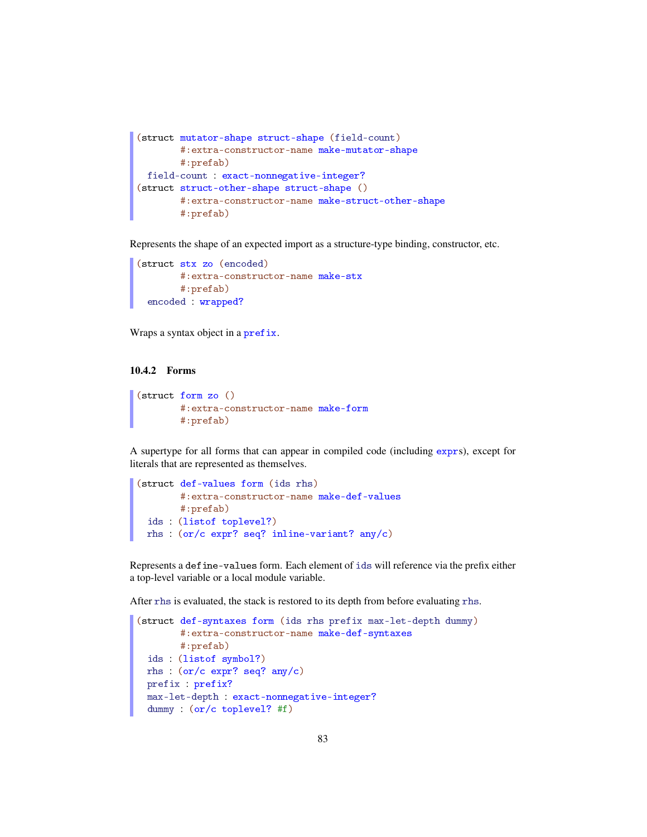```
(struct mutator-shape struct-shape (field-count)
       #:extra-constructor-name make-mutator-shape
       #:prefab)
 field-count : exact-nonnegative-integer?
(struct struct-other-shape struct-shape ()
       #:extra-constructor-name make-struct-other-shape
       #:prefab)
```
Represents the shape of an expected import as a structure-type binding, constructor, etc.

```
(struct stx zo (encoded)
      #:extra-constructor-name make-stx
       #:prefab)
 encoded : wrapped?
```
Wraps a syntax object in a prefix.

#### 10.4.2 Forms

```
(struct form zo ()
        #:extra-constructor-name make-form
        #:prefab)
```
A supertype for all forms that can appear in compiled code (including exprs), except for literals that are represented as themselves.

```
(struct def-values form (ids rhs)
       #:extra-constructor-name make-def-values
       #:prefab)
 ids : (listof toplevel?)
 rhs : (or/c expr? seq? inline-variant? any/c)
```
Represents a define-values form. Each element of ids will reference via the prefix either a top-level variable or a local module variable.

After rhs is evaluated, the stack is restored to its depth from before evaluating rhs.

```
(struct def-syntaxes form (ids rhs prefix max-let-depth dummy)
        #:extra-constructor-name make-def-syntaxes
       #:prefab)
 ids : (listof symbol?)
 rhs : (or/c expr? seq? any/c)
 prefix : prefix?
 max-let-depth : exact-nonnegative-integer?
 dummy : (or/c toplevel? #f)
```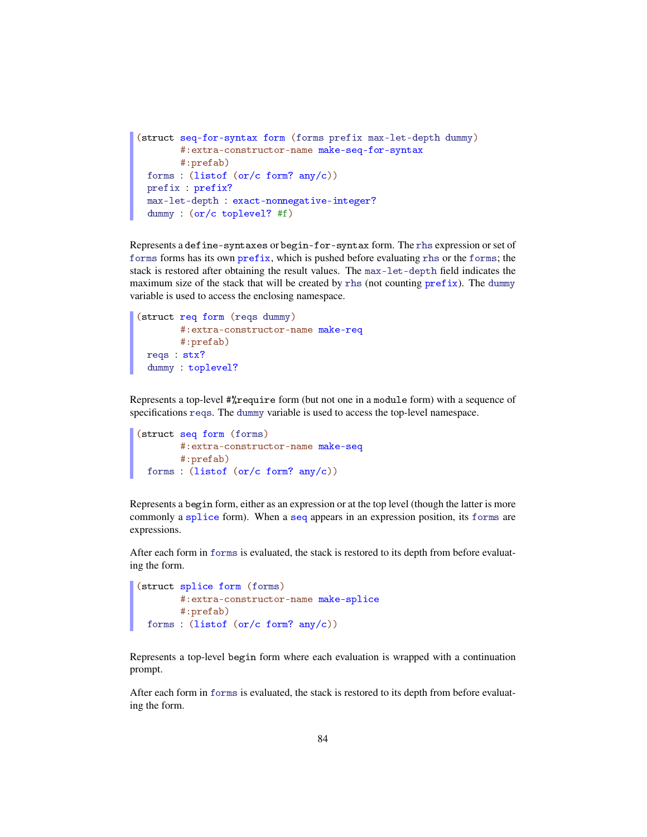```
(struct seq-for-syntax form (forms prefix max-let-depth dummy)
        #:extra-constructor-name make-seq-for-syntax
       #:prefab)
 forms : (listof (or/c form? any/c))
 prefix : prefix?
 max-let-depth : exact-nonnegative-integer?
 dummy : (or/c toplevel? #f)
```
Represents a define-syntaxes or begin-for-syntax form. The rhs expression or set of forms forms has its own prefix, which is pushed before evaluating rhs or the forms; the stack is restored after obtaining the result values. The max-let-depth field indicates the maximum size of the stack that will be created by rhs (not counting prefix). The dummy variable is used to access the enclosing namespace.

```
(struct req form (reqs dummy)
       #:extra-constructor-name make-req
       #:prefab)
 reqs : stx?
 dummy : toplevel?
```
Represents a top-level #%require form (but not one in a module form) with a sequence of specifications reqs. The dummy variable is used to access the top-level namespace.

```
(struct seq form (forms)
      #:extra-constructor-name make-seq
       #:prefab)
 forms : (listof (or/c form? any/c))
```
Represents a begin form, either as an expression or at the top level (though the latter is more commonly a splice form). When a seq appears in an expression position, its forms are expressions.

After each form in forms is evaluated, the stack is restored to its depth from before evaluating the form.

```
(struct splice form (forms)
    #:extra-constructor-name make-splice
      #:prefab)
 forms : (listof (or/c form? any/c))
```
Represents a top-level begin form where each evaluation is wrapped with a continuation prompt.

After each form in forms is evaluated, the stack is restored to its depth from before evaluating the form.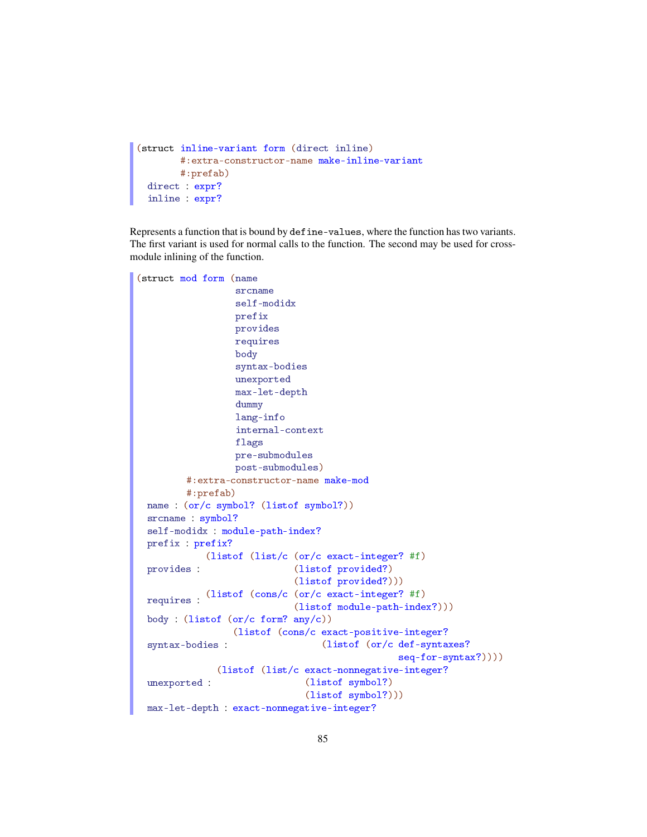```
(struct inline-variant form (direct inline)
       #:extra-constructor-name make-inline-variant
       #:prefab)
 direct : expr?
 inline : expr?
```
Represents a function that is bound by define-values, where the function has two variants. The first variant is used for normal calls to the function. The second may be used for crossmodule inlining of the function.

```
(struct mod form (name
                  srcname
                  self-modidx
                  prefix
                  provides
                  requires
                  body
                  syntax-bodies
                  unexported
                  max-let-depth
                  dummy
                  lang-info
                  internal-context
                  flags
                  pre-submodules
                  post-submodules)
         #:extra-constructor-name make-mod
         #:prefab)
 name : (or/c symbol? (listof symbol?))
 srcname : symbol?
 self-modidx : module-path-index?
 prefix : prefix?
 provides :
            (listof (list/c (or/c exact-integer? #f)
                             (listof provided?)
                             (listof provided?)))
  requires :
(listof (cons/c (or/c exact-integer? #f)
                             (listof module-path-index?)))
 body : (listof (or/c form? any/c))syntax-bodies :
                 (listof (cons/c exact-positive-integer?
                                  (listof (or/c def-syntaxes?
                                                seq-for-syntax?))))
 unexported :
              (listof (list/c exact-nonnegative-integer?
                               (listof symbol?)
                               (listof symbol?)))
 max-let-depth : exact-nonnegative-integer?
```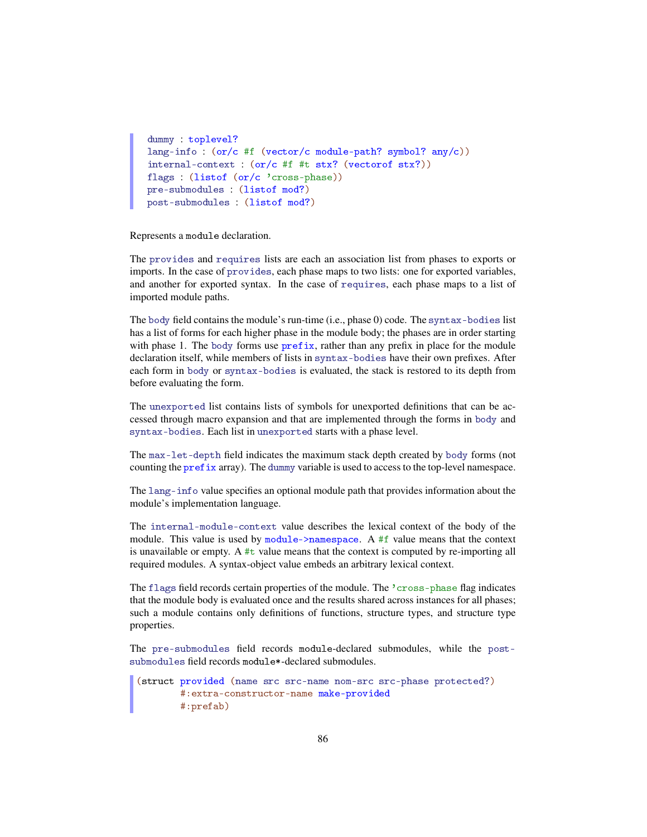```
dummy : toplevel?
lang-info : (or/c #f (vector/c module-path? symbol? any/c))
internal-context : (or/c #f #t stx? (vectorof stx?))
flags : (listof (or/c 'cross-phase))
pre-submodules : (listof mod?)
post-submodules : (listof mod?)
```
Represents a module declaration.

The provides and requires lists are each an association list from phases to exports or imports. In the case of provides, each phase maps to two lists: one for exported variables, and another for exported syntax. In the case of requires, each phase maps to a list of imported module paths.

The body field contains the module's run-time (i.e., phase 0) code. The syntax-bodies list has a list of forms for each higher phase in the module body; the phases are in order starting with phase 1. The body forms use prefix, rather than any prefix in place for the module declaration itself, while members of lists in syntax-bodies have their own prefixes. After each form in body or syntax-bodies is evaluated, the stack is restored to its depth from before evaluating the form.

The unexported list contains lists of symbols for unexported definitions that can be accessed through macro expansion and that are implemented through the forms in body and syntax-bodies. Each list in unexported starts with a phase level.

The max-let-depth field indicates the maximum stack depth created by body forms (not counting the prefix array). The dummy variable is used to access to the top-level namespace.

The lang-info value specifies an optional module path that provides information about the module's implementation language.

The internal-module-context value describes the lexical context of the body of the module. This value is used by module- $>$ namespace. A #f value means that the context is unavailable or empty. A  $#t$  value means that the context is computed by re-importing all required modules. A syntax-object value embeds an arbitrary lexical context.

The flags field records certain properties of the module. The 'cross-phase flag indicates that the module body is evaluated once and the results shared across instances for all phases; such a module contains only definitions of functions, structure types, and structure type properties.

The pre-submodules field records module-declared submodules, while the postsubmodules field records module\*-declared submodules.

```
(struct provided (name src src-name nom-src src-phase protected?)
       #:extra-constructor-name make-provided
       #:prefab)
```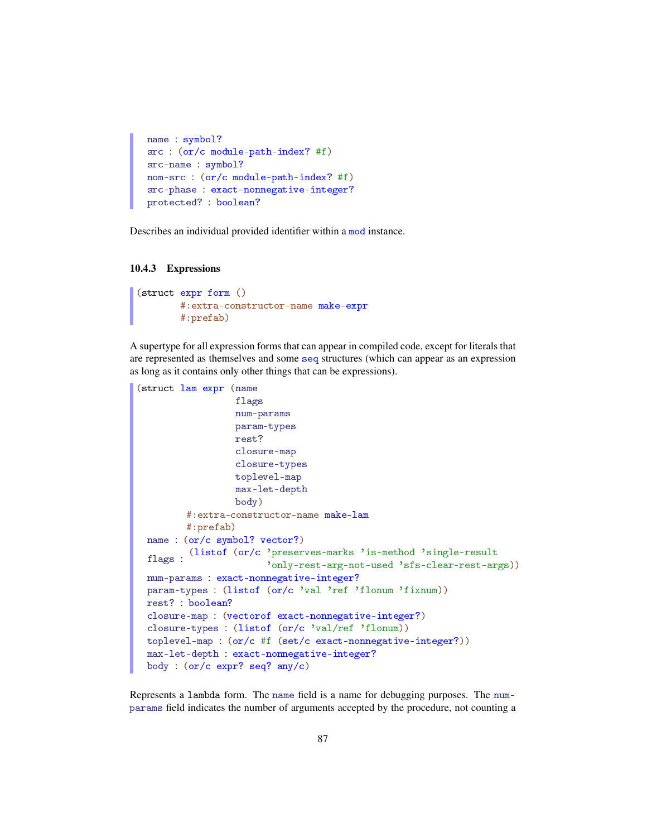```
name : symbol?
src : (or/c module-path-index? #f)
src-name : symbol?
nom-src : (or/c module-path-index? #f)
src-phase : exact-nonnegative-integer?
protected? : boolean?
```
Describes an individual provided identifier within a mod instance.

#### 10.4.3 Expressions

```
(struct expr form ()
        #:extra-constructor-name make-expr
        #:prefab)
```
A supertype for all expression forms that can appear in compiled code, except for literals that are represented as themselves and some seq structures (which can appear as an expression as long as it contains only other things that can be expressions).

```
(struct lam expr (name
                  flags
                 num-params
                 param-types
                 rest?
                 closure-map
                 closure-types
                 toplevel-map
                 max-let-depth
                 body)
         #:extra-constructor-name make-lam
         #:prefab)
 name : (or/c symbol? vector?)
  flags :
(listof (or/c 'preserves-marks 'is-method 'single-result
                       'only-rest-arg-not-used 'sfs-clear-rest-args))
 num-params : exact-nonnegative-integer?
 param-types : (listof (or/c 'val 'ref 'flonum 'fixnum))
 rest? : boolean?
 closure-map : (vectorof exact-nonnegative-integer?)
 closure-types : (listof (or/c 'val/ref 'flonum))
 toplevel-map : (or/c #f (set/c exact-nonnegative-integer?))
 max-let-depth : exact-nonnegative-integer?
 body : (or/c expr? seq? any/c)
```
Represents a lambda form. The name field is a name for debugging purposes. The numparams field indicates the number of arguments accepted by the procedure, not counting a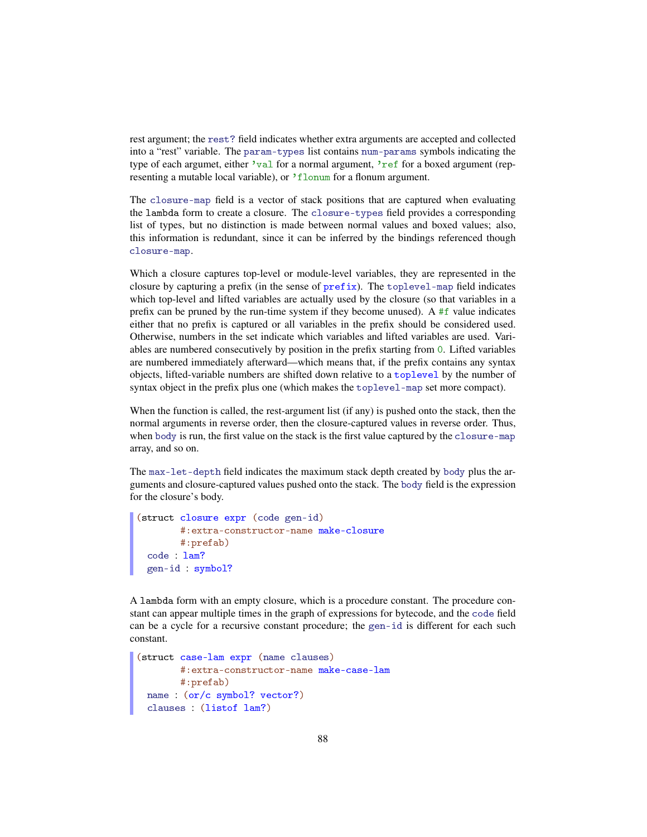rest argument; the rest? field indicates whether extra arguments are accepted and collected into a "rest" variable. The param-types list contains num-params symbols indicating the type of each argumet, either 'val for a normal argument, 'ref for a boxed argument (representing a mutable local variable), or 'flonum for a flonum argument.

The closure-map field is a vector of stack positions that are captured when evaluating the lambda form to create a closure. The closure-types field provides a corresponding list of types, but no distinction is made between normal values and boxed values; also, this information is redundant, since it can be inferred by the bindings referenced though closure-map.

Which a closure captures top-level or module-level variables, they are represented in the closure by capturing a prefix (in the sense of prefix). The toplevel-map field indicates which top-level and lifted variables are actually used by the closure (so that variables in a prefix can be pruned by the run-time system if they become unused). A  $#f$  value indicates either that no prefix is captured or all variables in the prefix should be considered used. Otherwise, numbers in the set indicate which variables and lifted variables are used. Variables are numbered consecutively by position in the prefix starting from 0. Lifted variables are numbered immediately afterward—which means that, if the prefix contains any syntax objects, lifted-variable numbers are shifted down relative to a toplevel by the number of syntax object in the prefix plus one (which makes the toplevel-map set more compact).

When the function is called, the rest-argument list (if any) is pushed onto the stack, then the normal arguments in reverse order, then the closure-captured values in reverse order. Thus, when body is run, the first value on the stack is the first value captured by the closure-map array, and so on.

The max-let-depth field indicates the maximum stack depth created by body plus the arguments and closure-captured values pushed onto the stack. The body field is the expression for the closure's body.

```
(struct closure expr (code gen-id)
        #:extra-constructor-name make-closure
        #:prefab)
 code : lam?
 gen-id : symbol?
```
A lambda form with an empty closure, which is a procedure constant. The procedure constant can appear multiple times in the graph of expressions for bytecode, and the code field can be a cycle for a recursive constant procedure; the gen-id is different for each such constant.

```
(struct case-lam expr (name clauses)
       #:extra-constructor-name make-case-lam
       #:prefab)
 name : (or/c symbol? vector?)
 clauses : (listof lam?)
```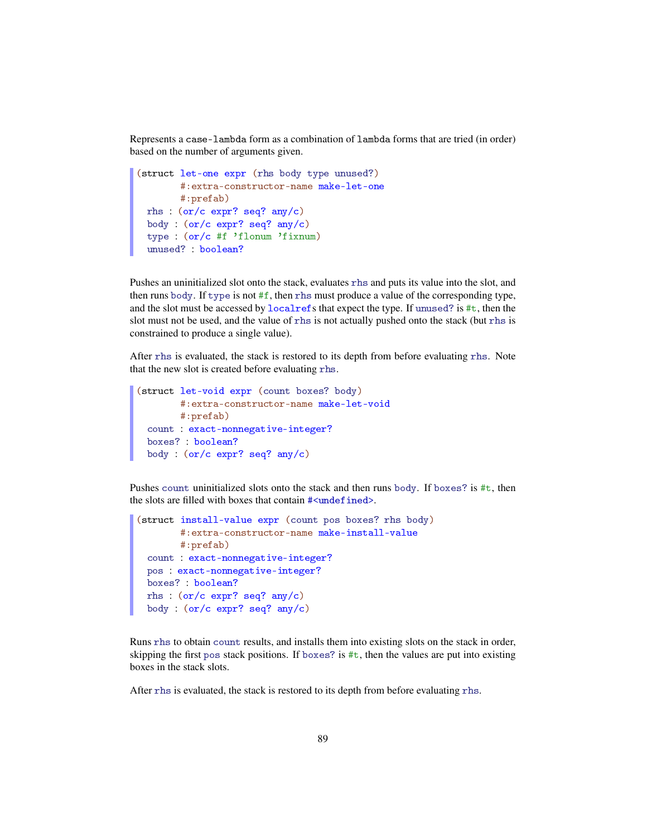Represents a case-lambda form as a combination of lambda forms that are tried (in order) based on the number of arguments given.

```
(struct let-one expr (rhs body type unused?)
       #:extra-constructor-name make-let-one
       #:prefab)
 rhs : (or/c expr? seq? any/c)
 body : (or/c expr? seq? any/c)
 type : (or/c #f 'flonum 'fixnum)
 unused? : boolean?
```
Pushes an uninitialized slot onto the stack, evaluates rhs and puts its value into the slot, and then runs body. If type is not  $#f$ , then rhs must produce a value of the corresponding type, and the slot must be accessed by localrefs that expect the type. If unused? is #t, then the slot must not be used, and the value of rhs is not actually pushed onto the stack (but rhs is constrained to produce a single value).

After rhs is evaluated, the stack is restored to its depth from before evaluating rhs. Note that the new slot is created before evaluating rhs.

```
(struct let-void expr (count boxes? body)
       #:extra-constructor-name make-let-void
       #:prefab)
 count : exact-nonnegative-integer?
 boxes? : boolean?
 body : (or/c expr? seq? any/c)
```
Pushes count uninitialized slots onto the stack and then runs body. If boxes? is #t, then the slots are filled with boxes that contain #<undefined>.

```
(struct install-value expr (count pos boxes? rhs body)
       #:extra-constructor-name make-install-value
       #:prefab)
 count : exact-nonnegative-integer?
 pos : exact-nonnegative-integer?
 boxes? : boolean?
 rhs : (or/c expr? seq? any/c)
 body : (or/c expr? seq? any/c)
```
Runs rhs to obtain count results, and installs them into existing slots on the stack in order, skipping the first pos stack positions. If boxes? is  $\#t$ , then the values are put into existing boxes in the stack slots.

After rhs is evaluated, the stack is restored to its depth from before evaluating rhs.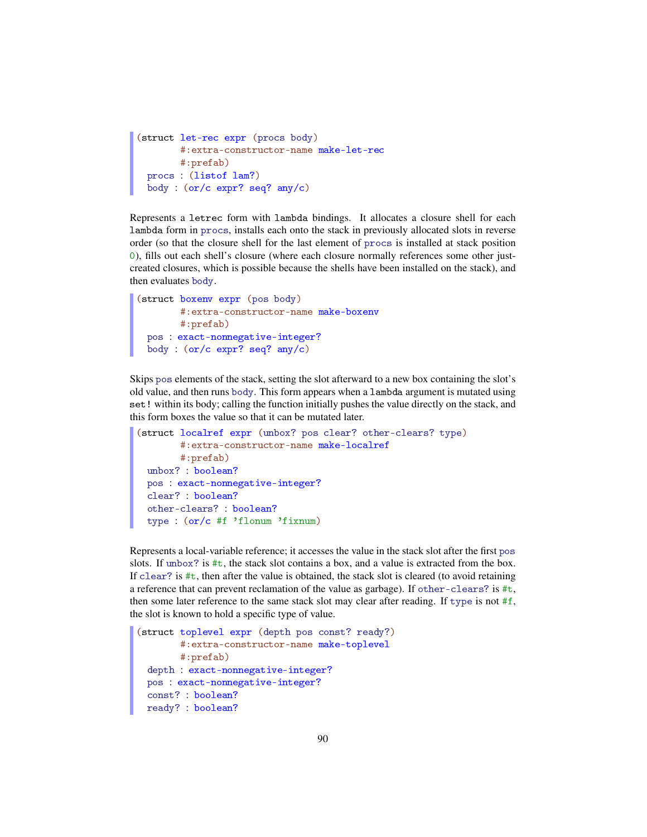```
(struct let-rec expr (procs body)
        #:extra-constructor-name make-let-rec
       #:prefab)
 procs : (listof lam?)
 body : (or/c expr? seq? any/c)
```
Represents a letrec form with lambda bindings. It allocates a closure shell for each lambda form in procs, installs each onto the stack in previously allocated slots in reverse order (so that the closure shell for the last element of procs is installed at stack position 0), fills out each shell's closure (where each closure normally references some other justcreated closures, which is possible because the shells have been installed on the stack), and then evaluates body.

```
(struct boxenv expr (pos body)
       #:extra-constructor-name make-boxenv
       #:prefab)
 pos : exact-nonnegative-integer?
 body : (or/c expr? seq? any/c)
```
Skips pos elements of the stack, setting the slot afterward to a new box containing the slot's old value, and then runs body. This form appears when a lambda argument is mutated using set! within its body; calling the function initially pushes the value directly on the stack, and this form boxes the value so that it can be mutated later.

```
(struct localref expr (unbox? pos clear? other-clears? type)
       #:extra-constructor-name make-localref
       #:prefab)
 unbox? : boolean?
 pos : exact-nonnegative-integer?
 clear? : boolean?
 other-clears? : boolean?
 type : (or/c #f 'flonum 'fixnum)
```
Represents a local-variable reference; it accesses the value in the stack slot after the first pos slots. If unbox? is  $\#t$ , the stack slot contains a box, and a value is extracted from the box. If clear? is  $\#t$ , then after the value is obtained, the stack slot is cleared (to avoid retaining a reference that can prevent reclamation of the value as garbage). If other-clears? is  $\#t$ , then some later reference to the same stack slot may clear after reading. If type is not #f, the slot is known to hold a specific type of value.

```
(struct toplevel expr (depth pos const? ready?)
       #:extra-constructor-name make-toplevel
       #:prefab)
 depth : exact-nonnegative-integer?
 pos : exact-nonnegative-integer?
 const? : boolean?
 ready? : boolean?
```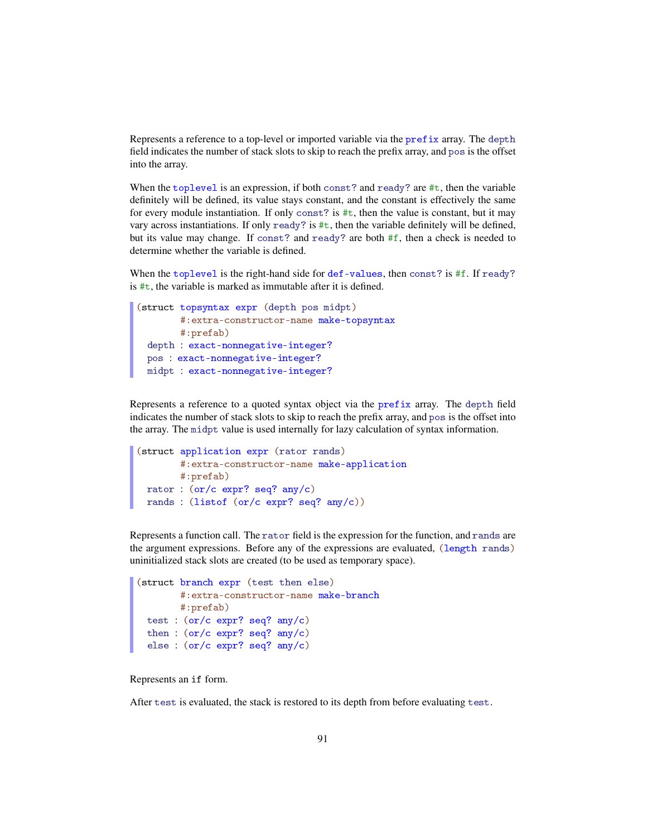Represents a reference to a top-level or imported variable via the prefix array. The depth field indicates the number of stack slots to skip to reach the prefix array, and pos is the offset into the array.

When the toplevel is an expression, if both const? and ready? are #t, then the variable definitely will be defined, its value stays constant, and the constant is effectively the same for every module instantiation. If only const? is  $\#t$ , then the value is constant, but it may vary across instantiations. If only ready? is  $\#t$ , then the variable definitely will be defined, but its value may change. If const? and ready? are both #f, then a check is needed to determine whether the variable is defined.

When the toplevel is the right-hand side for def-values, then const? is #f. If ready? is  $\#t$ , the variable is marked as immutable after it is defined.

```
(struct topsyntax expr (depth pos midpt)
       #:extra-constructor-name make-topsyntax
       #:prefab)
 depth : exact-nonnegative-integer?
 pos : exact-nonnegative-integer?
 midpt : exact-nonnegative-integer?
```
Represents a reference to a quoted syntax object via the prefix array. The depth field indicates the number of stack slots to skip to reach the prefix array, and pos is the offset into the array. The midpt value is used internally for lazy calculation of syntax information.

```
(struct application expr (rator rands)
       #:extra-constructor-name make-application
       #:prefab)
 rator : (or/c expr? seq? any/c)
 rands : (listof (or/c expr? seq? any/c))
```
Represents a function call. The rator field is the expression for the function, and rands are the argument expressions. Before any of the expressions are evaluated, (length rands) uninitialized stack slots are created (to be used as temporary space).

```
(struct branch expr (test then else)
       #:extra-constructor-name make-branch
       #:prefab)
 test : (or/c expr? seq? any/c)
 then : (or/c expr? seq? any/c)
  else : (or/c expr? seq? any/c)
```
Represents an if form.

After test is evaluated, the stack is restored to its depth from before evaluating test.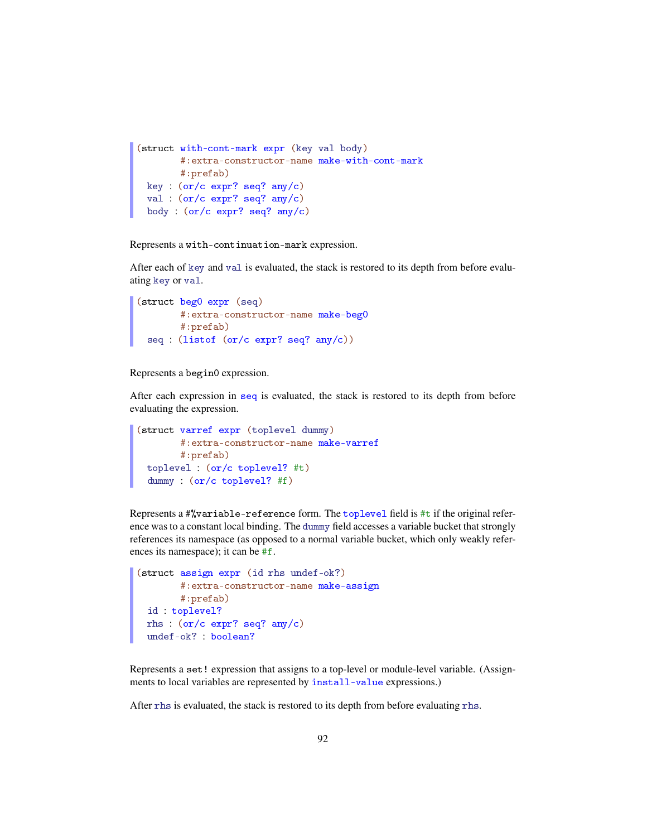```
(struct with-cont-mark expr (key val body)
       #:extra-constructor-name make-with-cont-mark
       #:prefab)
 key : (or/c expr? seq? any/c)
 val : (or/c expr? seq? any/c)
 body : (or/c expr? seq? any/c)
```
Represents a with-continuation-mark expression.

After each of key and val is evaluated, the stack is restored to its depth from before evaluating key or val.

```
(struct beg0 expr (seq)
       #:extra-constructor-name make-beg0
       #:prefab)
 seq : (listof (or/c expr? seq? any/c))
```
Represents a begin0 expression.

After each expression in seq is evaluated, the stack is restored to its depth from before evaluating the expression.

```
(struct varref expr (toplevel dummy)
       #:extra-constructor-name make-varref
      #:prefab)
 toplevel : (or/c toplevel? #t)
 dummy : (or/c toplevel? #f)
```
Represents a  $\frac{4}{3}$ variable-reference form. The toplevel field is  $\pm$ t if the original reference was to a constant local binding. The dummy field accesses a variable bucket that strongly references its namespace (as opposed to a normal variable bucket, which only weakly references its namespace); it can be #f.

```
(struct assign expr (id rhs undef-ok?)
        #:extra-constructor-name make-assign
       #:prefab)
 id : toplevel?
 rhs : (or/c expr? seq? any/c)
 undef-ok? : boolean?
```
Represents a set! expression that assigns to a top-level or module-level variable. (Assignments to local variables are represented by install-value expressions.)

After rhs is evaluated, the stack is restored to its depth from before evaluating rhs.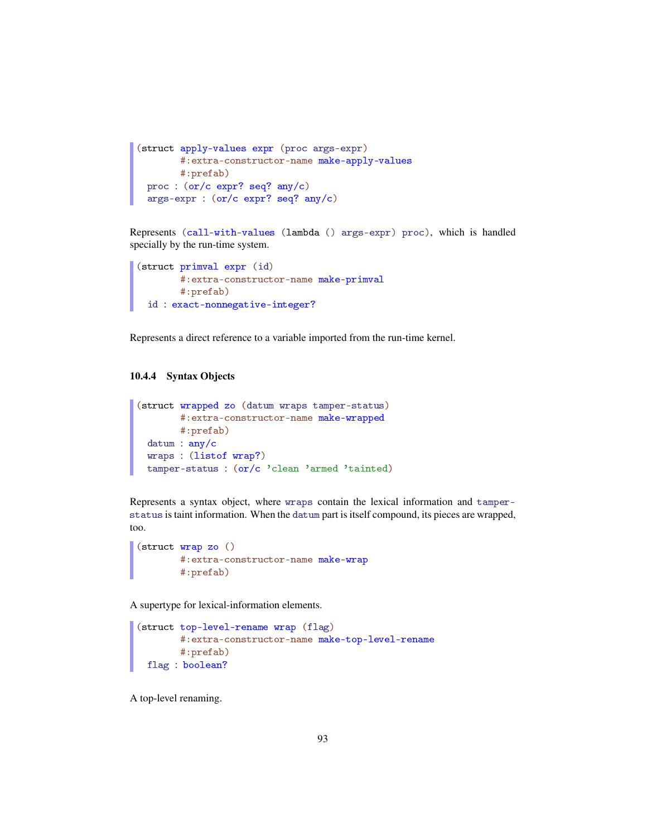```
(struct apply-values expr (proc args-expr)
       #:extra-constructor-name make-apply-values
      #:prefab)
 proc : (or/c expr? seq? any/c)
 args-expr : (or/c expr? seq? any/c)
```
Represents (call-with-values (lambda () args-expr) proc), which is handled specially by the run-time system.

```
(struct primval expr (id)
       #:extra-constructor-name make-primval
      #:prefab)
 id : exact-nonnegative-integer?
```
Represents a direct reference to a variable imported from the run-time kernel.

#### 10.4.4 Syntax Objects

```
(struct wrapped zo (datum wraps tamper-status)
       #:extra-constructor-name make-wrapped
       #:prefab)
 datum : any/c
 wraps : (listof wrap?)
 tamper-status : (or/c 'clean 'armed 'tainted)
```
Represents a syntax object, where wraps contain the lexical information and tamperstatus is taint information. When the datum part is itself compound, its pieces are wrapped, too.

```
(struct wrap zo ()
       #:extra-constructor-name make-wrap
        #:prefab)
```
A supertype for lexical-information elements.

```
(struct top-level-rename wrap (flag)
       #:extra-constructor-name make-top-level-rename
       #:prefab)
 flag : boolean?
```
A top-level renaming.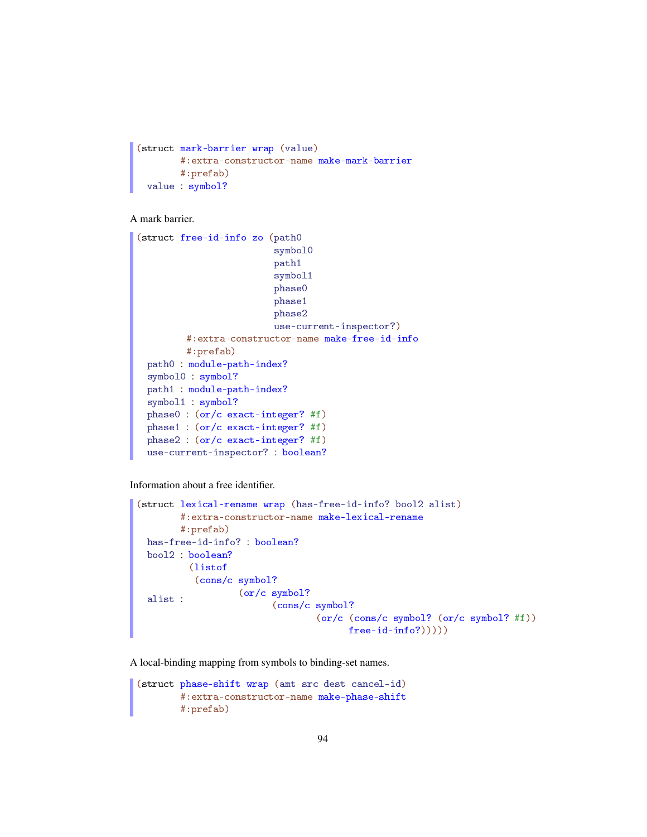```
(struct mark-barrier wrap (value)
        #:extra-constructor-name make-mark-barrier
        #:prefab)
 value : symbol?
```
A mark barrier.

```
(struct free-id-info zo (path0
                         symbol0
                         path1
                         symbol1
                         phase0
                         phase1
                         phase2
                         use-current-inspector?)
         #:extra-constructor-name make-free-id-info
         #:prefab)
 path0 : module-path-index?
 symbol0 : symbol?
 path1 : module-path-index?
 symbol1 : symbol?
 phase0 : (or/c exact-integer? #f)
 phase1 : (or/c exact-integer? #f)
 phase2 : (or/c exact-integer? #f)
 use-current-inspector? : boolean?
```
Information about a free identifier.

```
(struct lexical-rename wrap (has-free-id-info? bool2 alist)
       #:extra-constructor-name make-lexical-rename
       #:prefab)
 has-free-id-info? : boolean?
 bool2 : boolean?
 alist :
         (listof
          (cons/c symbol?
                  (or/c symbol?
                         (cons/c symbol?
                                 (or/c (cons/c symbol? (or/c symbol? #f))
                                       free-id-info?)))))
```
A local-binding mapping from symbols to binding-set names.

```
(struct phase-shift wrap (amt src dest cancel-id)
        #:extra-constructor-name make-phase-shift
        #:prefab)
```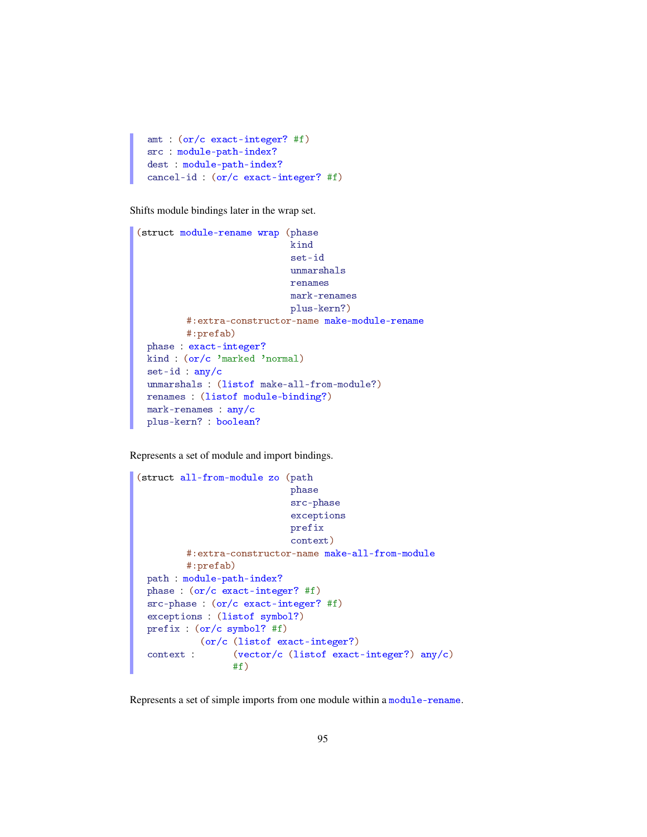```
amt : (or/c exact-integer? #f)
src : module-path-index?
dest : module-path-index?
cancel-id : (or/c exact-integer? #f)
```
Shifts module bindings later in the wrap set.

```
(struct module-rename wrap (phase
                            kind
                            set-id
                            unmarshals
                            renames
                            mark-renames
                            plus-kern?)
         #:extra-constructor-name make-module-rename
         #:prefab)
 phase : exact-integer?
 kind : (or/c 'marked 'normal)
 set-id : any/c
 unmarshals : (listof make-all-from-module?)
 renames : (listof module-binding?)
 mark-renames : any/c
 plus-kern? : boolean?
```
Represents a set of module and import bindings.

```
(struct all-from-module zo (path
                            phase
                            src-phase
                            exceptions
                            prefix
                            context)
         #:extra-constructor-name make-all-from-module
         #:prefab)
 path : module-path-index?
 phase : (or/c exact-integer? #f)
 src-phase : (or/c exact-integer? #f)
 exceptions : (listof symbol?)
 prefix : (or/c symbol? #f)
 context :
           (or/c (listof exact-integer?)
                 (vector/c (listof exact-integer?) any/c)
                 #f)
```
Represents a set of simple imports from one module within a module-rename.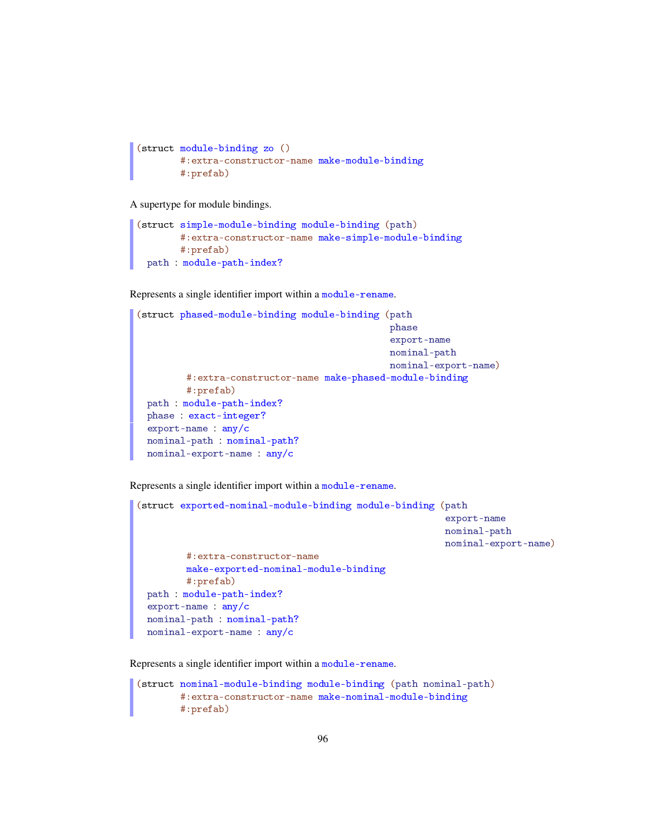```
(struct module-binding zo ()
        #:extra-constructor-name make-module-binding
        #:prefab)
```
A supertype for module bindings.

```
(struct simple-module-binding module-binding (path)
        #:extra-constructor-name make-simple-module-binding
        #:prefab)
 path : module-path-index?
```
Represents a single identifier import within a module-rename.

```
(struct phased-module-binding module-binding (path
                                              phase
                                               export-name
                                              nominal-path
                                              nominal-export-name)
         #:extra-constructor-name make-phased-module-binding
         #:prefab)
 path : module-path-index?
 phase : exact-integer?
 export-name : any/c
 nominal-path : nominal-path?
 nominal-export-name : any/c
```
Represents a single identifier import within a module-rename.

```
(struct exported-nominal-module-binding module-binding (path
                                                         export-name
                                                         nominal-path
                                                         nominal-export-name)
         #:extra-constructor-name
         make-exported-nominal-module-binding
         #:prefab)
 path : module-path-index?
  export-name : any/c
 nominal-path : nominal-path?
 nominal-export-name : any/c
```
Represents a single identifier import within a module-rename.

```
(struct nominal-module-binding module-binding (path nominal-path)
       #:extra-constructor-name make-nominal-module-binding
       #:prefab)
```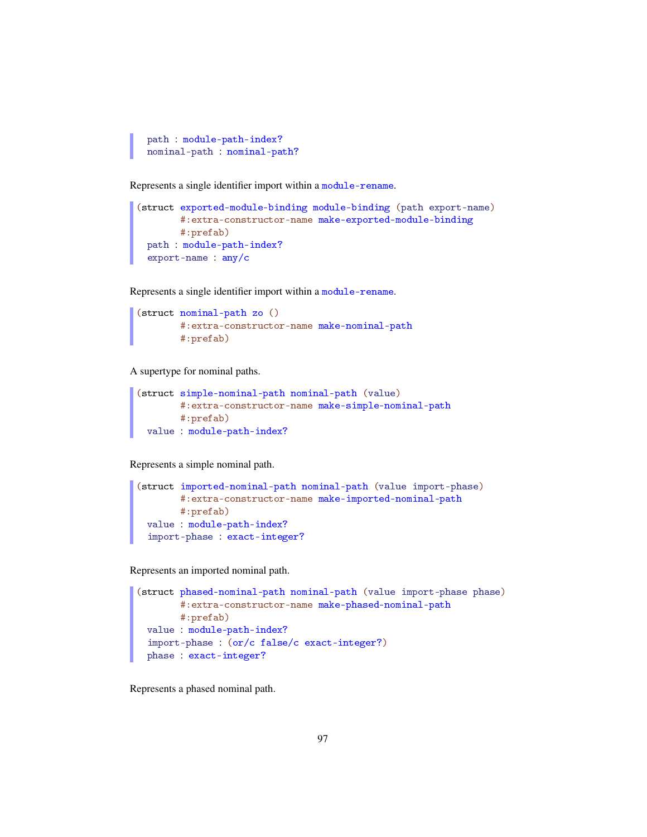```
path : module-path-index?
nominal-path : nominal-path?
```
Represents a single identifier import within a module-rename.

```
(struct exported-module-binding module-binding (path export-name)
       #:extra-constructor-name make-exported-module-binding
       #:prefab)
 path : module-path-index?
 export-name : any/c
```
Represents a single identifier import within a module-rename.

```
(struct nominal-path zo ()
        #:extra-constructor-name make-nominal-path
        #:prefab)
```
A supertype for nominal paths.

```
(struct simple-nominal-path nominal-path (value)
        #:extra-constructor-name make-simple-nominal-path
        #:prefab)
 value : module-path-index?
```
Represents a simple nominal path.

```
(struct imported-nominal-path nominal-path (value import-phase)
       #:extra-constructor-name make-imported-nominal-path
       #:prefab)
 value : module-path-index?
 import-phase : exact-integer?
```
Represents an imported nominal path.

```
(struct phased-nominal-path nominal-path (value import-phase phase)
       #:extra-constructor-name make-phased-nominal-path
       #:prefab)
 value : module-path-index?
 import-phase : (or/c false/c exact-integer?)
 phase : exact-integer?
```
Represents a phased nominal path.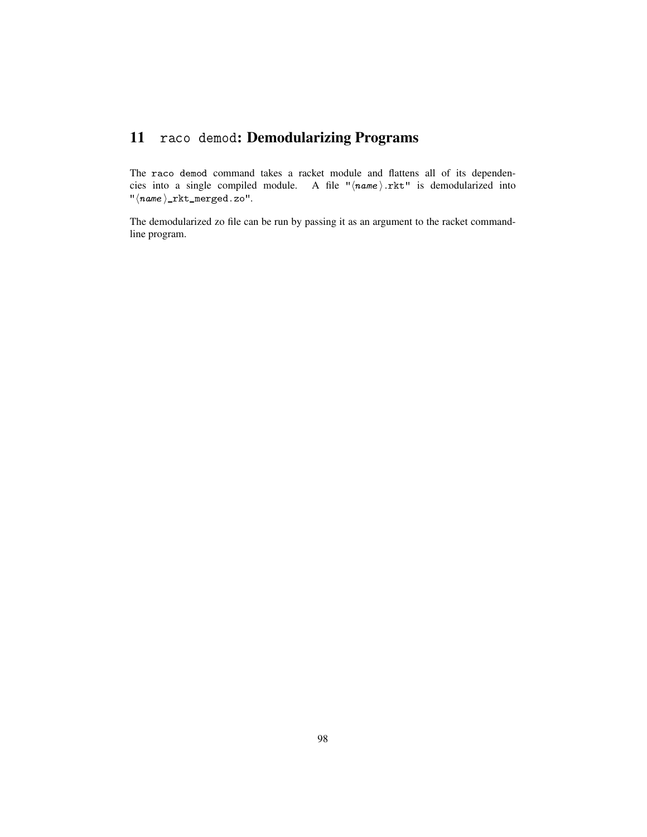## 11 raco demod: Demodularizing Programs

The raco demod command takes a racket module and flattens all of its dependencies into a single compiled module. A file " $\langle name \rangle$ .rkt" is demodularized into  $"\langle name \rangle _{\texttt{\_rkt\_merged.zo''}}.$ 

The demodularized zo file can be run by passing it as an argument to the racket commandline program.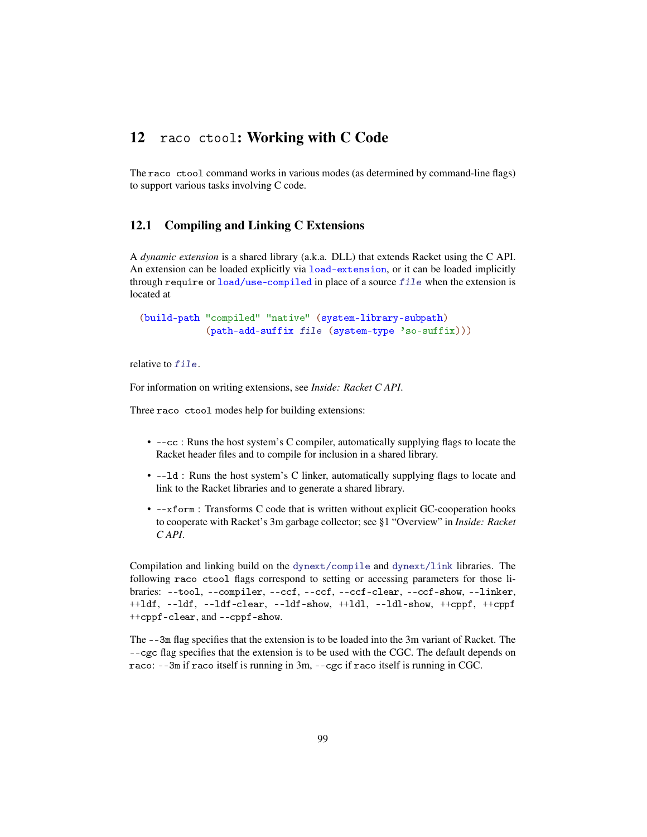## 12 raco ctool: Working with C Code

The raco ctool command works in various modes (as determined by command-line flags) to support various tasks involving C code.

### 12.1 Compiling and Linking C Extensions

A *dynamic extension* is a shared library (a.k.a. DLL) that extends Racket using the C API. An extension can be loaded explicitly via load-extension, or it can be loaded implicitly through require or load/use-compiled in place of a source  $file$  when the extension is located at

(build-path "compiled" "native" (system-library-subpath) (path-add-suffix file (system-type 'so-suffix)))

relative to  $file$ .

For information on writing extensions, see *Inside: Racket C API*.

Three raco ctool modes help for building extensions:

- --cc : Runs the host system's C compiler, automatically supplying flags to locate the Racket header files and to compile for inclusion in a shared library.
- --ld : Runs the host system's C linker, automatically supplying flags to locate and link to the Racket libraries and to generate a shared library.
- --xform : Transforms C code that is written without explicit GC-cooperation hooks to cooperate with Racket's 3m garbage collector; see §1 "Overview" in *Inside: Racket C API*.

Compilation and linking build on the dynext/compile and dynext/link libraries. The following raco ctool flags correspond to setting or accessing parameters for those libraries: --tool, --compiler, --ccf, --ccf, --ccf-clear, --ccf-show, --linker, ++ldf, --ldf, --ldf-clear, --ldf-show, ++ldl, --ldl-show, ++cppf, ++cppf ++cppf-clear, and --cppf-show.

The --3m flag specifies that the extension is to be loaded into the 3m variant of Racket. The --cgc flag specifies that the extension is to be used with the CGC. The default depends on raco: --3m if raco itself is running in 3m, --cgc if raco itself is running in CGC.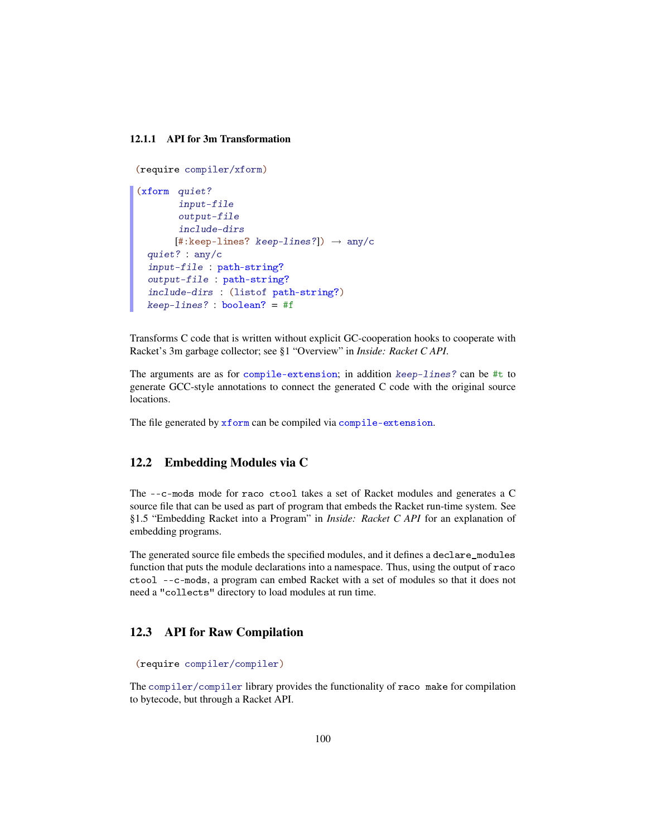#### 12.1.1 API for 3m Transformation

```
(require compiler/xform)
(xform quiet?
       input-file
       output-file
       include-dirs
       [#:keep-lines? keep-lines?] \rightarrow any/c
 quiet? : any/c
 input-file : path-string?
 output-file : path-string?
 include-dirs : (listof path-string?)
 keep-lines? : boolean? = #f
```
Transforms C code that is written without explicit GC-cooperation hooks to cooperate with Racket's 3m garbage collector; see §1 "Overview" in *Inside: Racket C API*.

The arguments are as for compile-extension; in addition keep-lines? can be #t to generate GCC-style annotations to connect the generated C code with the original source locations.

The file generated by xform can be compiled via compile-extension.

#### 12.2 Embedding Modules via C

The --c-mods mode for raco ctool takes a set of Racket modules and generates a C source file that can be used as part of program that embeds the Racket run-time system. See §1.5 "Embedding Racket into a Program" in *Inside: Racket C API* for an explanation of embedding programs.

The generated source file embeds the specified modules, and it defines a declare\_modules function that puts the module declarations into a namespace. Thus, using the output of raco ctool --c-mods, a program can embed Racket with a set of modules so that it does not need a "collects" directory to load modules at run time.

#### 12.3 API for Raw Compilation

```
(require compiler/compiler)
```
The compiler/compiler library provides the functionality of raco make for compilation to bytecode, but through a Racket API.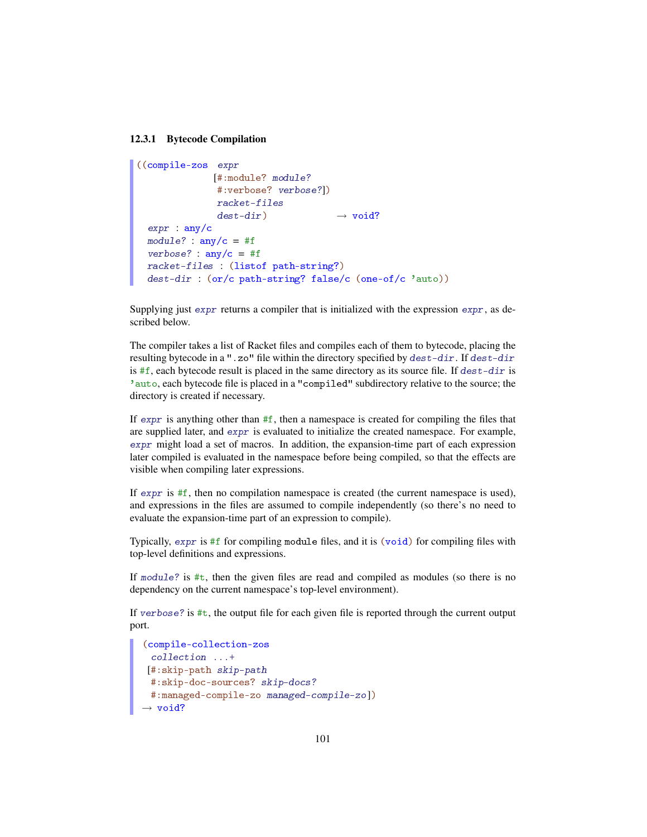#### 12.3.1 Bytecode Compilation

```
((compile-zos expr
              [#:module? module?
               #:verbose? verbose?])
               racket-files
               dest-dir \longrightarrow void?
 \exp r : \frac{any}{c}module? : \text{any/c} = #fverbose? : any/c = #fracket-files : (listof path-string?)
 dest-dir : (or/c path-string? false/c (one-of/c 'auto))
```
Supplying just expr returns a compiler that is initialized with the expression expr, as described below.

The compiler takes a list of Racket files and compiles each of them to bytecode, placing the resulting bytecode in a ".zo" file within the directory specified by dest-dir. If dest-dir is  $#f$ , each bytecode result is placed in the same directory as its source file. If  $dest-dir$  is 'auto, each bytecode file is placed in a "compiled" subdirectory relative to the source; the directory is created if necessary.

If expr is anything other than  $#f$ , then a namespace is created for compiling the files that are supplied later, and expr is evaluated to initialize the created namespace. For example, expr might load a set of macros. In addition, the expansion-time part of each expression later compiled is evaluated in the namespace before being compiled, so that the effects are visible when compiling later expressions.

If  $\epsilon$ *xpr* is  $\#f$ , then no compilation namespace is created (the current namespace is used), and expressions in the files are assumed to compile independently (so there's no need to evaluate the expansion-time part of an expression to compile).

Typically, expr is #f for compiling module files, and it is (void) for compiling files with top-level definitions and expressions.

If module? is #t, then the given files are read and compiled as modules (so there is no dependency on the current namespace's top-level environment).

If verbose? is  $\#t$ , the output file for each given file is reported through the current output port.

```
(compile-collection-zos
 collection ...+
[#:skip-path skip-path
#:skip-doc-sources? skip-docs?
 #:managed-compile-zo managed-compile-zo])
\rightarrow void?
```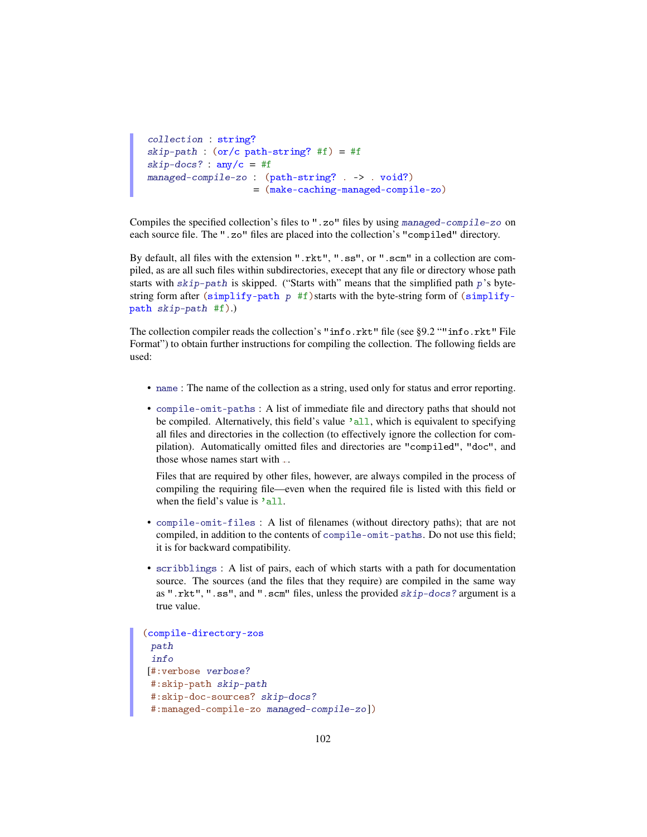```
collection : string?
skip-path : (or/c path-string? #f) = #f
skip-docs? : \text{any/c} = #fmanaged-compile-zo : (path-string? . -> . void?)
                    = (make-caching-managed-compile-zo)
```
Compiles the specified collection's files to ".zo" files by using managed-compile-zo on each source file. The ".zo" files are placed into the collection's "compiled" directory.

By default, all files with the extension ".rkt", ".ss", or ".scm" in a collection are compiled, as are all such files within subdirectories, execept that any file or directory whose path starts with  $skip-path$  is skipped. ("Starts with" means that the simplified path  $p$ 's bytestring form after (simplify-path  $p$  #f) starts with the byte-string form of (simplifypath skip-path #f).)

The collection compiler reads the collection's "info.rkt" file (see §9.2 ""info.rkt" File Format") to obtain further instructions for compiling the collection. The following fields are used:

- name : The name of the collection as a string, used only for status and error reporting.
- compile-omit-paths : A list of immediate file and directory paths that should not be compiled. Alternatively, this field's value 'all, which is equivalent to specifying all files and directories in the collection (to effectively ignore the collection for compilation). Automatically omitted files and directories are "compiled", "doc", and those whose names start with ..

Files that are required by other files, however, are always compiled in the process of compiling the requiring file—even when the required file is listed with this field or when the field's value is 'all.

- compile-omit-files : A list of filenames (without directory paths); that are not compiled, in addition to the contents of compile-omit-paths. Do not use this field; it is for backward compatibility.
- scribblings : A list of pairs, each of which starts with a path for documentation source. The sources (and the files that they require) are compiled in the same way as ".rkt", ".ss", and ".scm" files, unless the provided skip-docs? argument is a true value.

```
(compile-directory-zos
 path
 info
[#:verbose verbose?
#:skip-path skip-path
 #:skip-doc-sources? skip-docs?
 #:managed-compile-zo managed-compile-zo])
```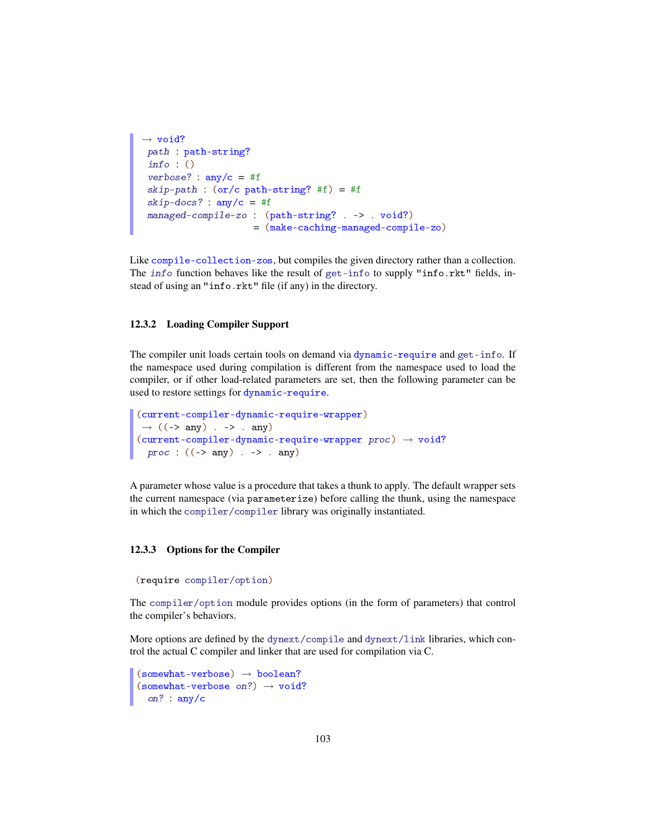```
\rightarrow void?
path : path-string?
info : ()
verbose? : \text{any/c} = #fskip-path : (or/c path-string? #f) = #f
skip-docs? : \text{any/c} = #fmanaged-compile-zo : (path-string? . -> . void?)
                      = (make-caching-managed-compile-zo)
```
Like compile-collection-zos, but compiles the given directory rather than a collection. The info function behaves like the result of get-info to supply "info.rkt" fields, instead of using an "info.rkt" file (if any) in the directory.

#### 12.3.2 Loading Compiler Support

The compiler unit loads certain tools on demand via dynamic-require and get-info. If the namespace used during compilation is different from the namespace used to load the compiler, or if other load-related parameters are set, then the following parameter can be used to restore settings for dynamic-require.

```
(current-compiler-dynamic-require-wrapper)
\rightarrow ((-> any) . -> . any)
(current-complier-dynamic-require-wrapper proc) \rightarrow void?proc : ((-> any) . -> . any)
```
A parameter whose value is a procedure that takes a thunk to apply. The default wrapper sets the current namespace (via parameterize) before calling the thunk, using the namespace in which the compiler/compiler library was originally instantiated.

#### 12.3.3 Options for the Compiler

```
(require compiler/option)
```
The compiler/option module provides options (in the form of parameters) that control the compiler's behaviors.

More options are defined by the dynext/compile and dynext/link libraries, which control the actual C compiler and linker that are used for compilation via C.

```
(somewhat-vertices) \rightarrow boolean?(somewhat-vertices on?) \rightarrow void?on? : any/c
```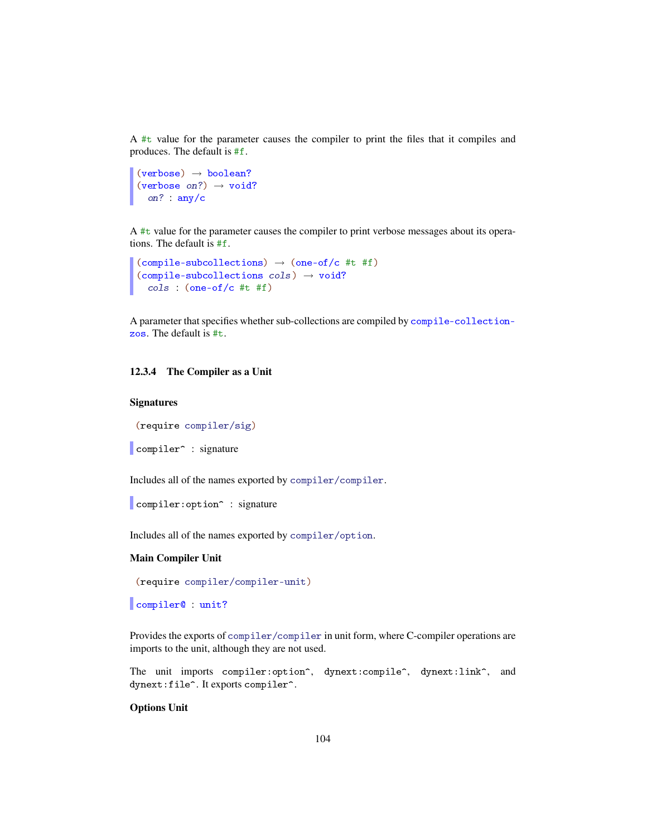A #t value for the parameter causes the compiler to print the files that it compiles and produces. The default is #f.

```
(verbose) \rightarrow boolean?
(verbose on?) \rightarrow void?
  on? : any/c
```
A #t value for the parameter causes the compiler to print verbose messages about its operations. The default is #f.

```
(compile-subcollections) \rightarrow (one-of/c #t #f)(compile-subcollections cols) \rightarrow void?cols : (one-of/c #t #f)
```
A parameter that specifies whether sub-collections are compiled by compile-collectionzos. The default is #t.

#### 12.3.4 The Compiler as a Unit

#### **Signatures**

(require compiler/sig)

```
compiler<sup>o</sup> : signature
```
Includes all of the names exported by compiler/compiler.

compiler: option<sup>^</sup> : signature

Includes all of the names exported by compiler/option.

#### Main Compiler Unit

(require compiler/compiler-unit)

compiler@ : unit?

Provides the exports of compiler/compiler in unit form, where C-compiler operations are imports to the unit, although they are not used.

The unit imports compiler: option^, dynext: compile^, dynext:link^, and dynext:file^. It exports compiler^.

#### Options Unit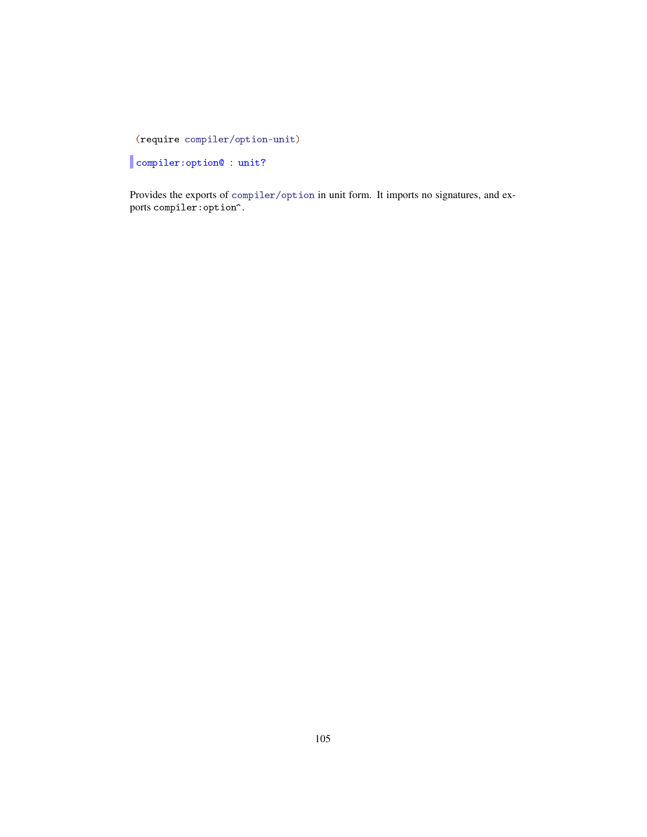(require compiler/option-unit)

compiler:option@ : unit?

Provides the exports of compiler/option in unit form. It imports no signatures, and exports compiler:option^.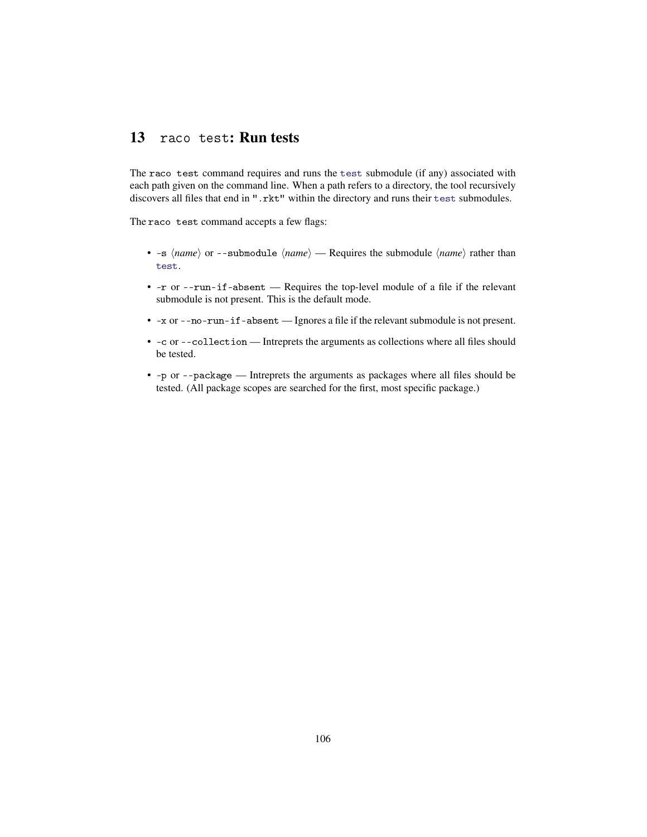## 13 raco test: Run tests

The raco test command requires and runs the test submodule (if any) associated with each path given on the command line. When a path refers to a directory, the tool recursively discovers all files that end in ".rkt" within the directory and runs their test submodules.

The raco test command accepts a few flags:

- $\sim$  -s  $\langle name \rangle$  or  $\sim$ -submodule  $\langle name \rangle$  Requires the submodule  $\langle name \rangle$  rather than test.
- -r or --run-if-absent Requires the top-level module of a file if the relevant submodule is not present. This is the default mode.
- -x or --no-run-if-absent Ignores a file if the relevant submodule is not present.
- -c or --collection Intreprets the arguments as collections where all files should be tested.
- -p or --package Intreprets the arguments as packages where all files should be tested. (All package scopes are searched for the first, most specific package.)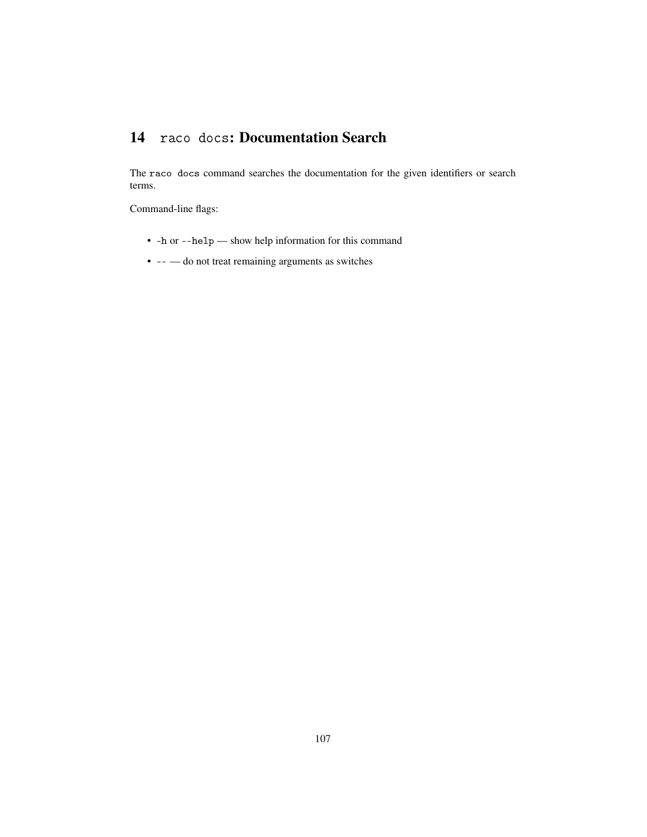# 14 raco docs: Documentation Search

The raco docs command searches the documentation for the given identifiers or search terms.

Command-line flags:

- -h or --help show help information for this command
- -- do not treat remaining arguments as switches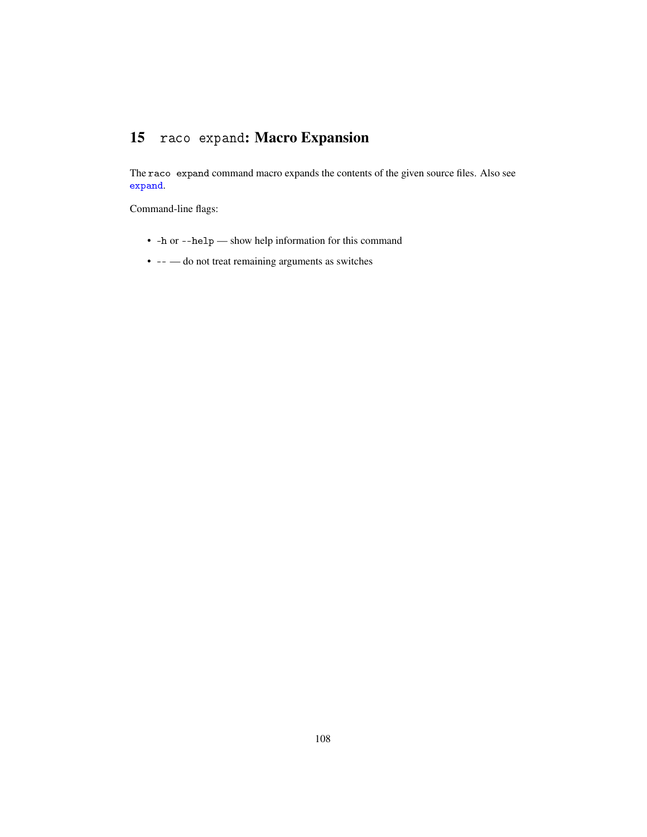# 15 raco expand: Macro Expansion

The raco expand command macro expands the contents of the given source files. Also see expand.

Command-line flags:

- -h or --help show help information for this command
- -- do not treat remaining arguments as switches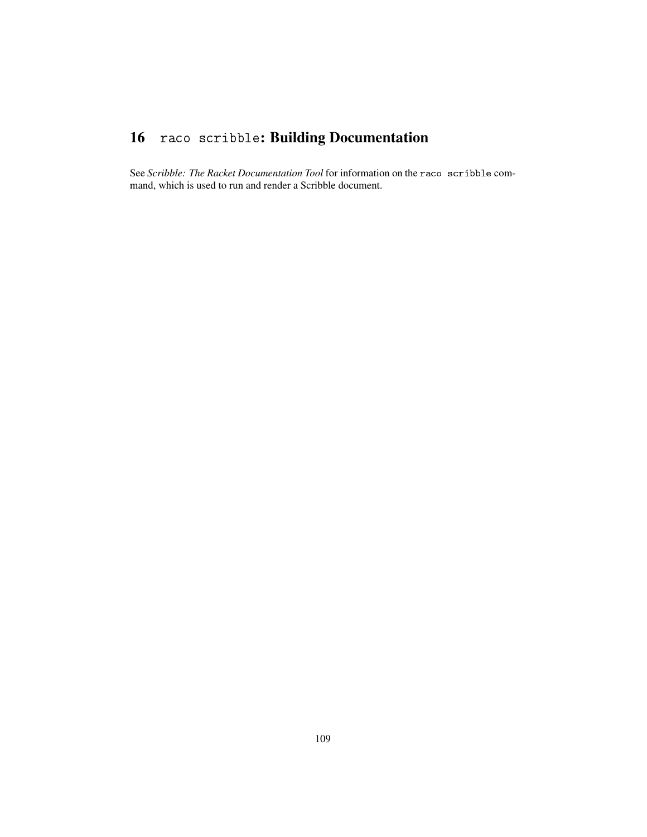## 16 raco scribble: Building Documentation

See *Scribble: The Racket Documentation Tool* for information on the raco scribble command, which is used to run and render a Scribble document.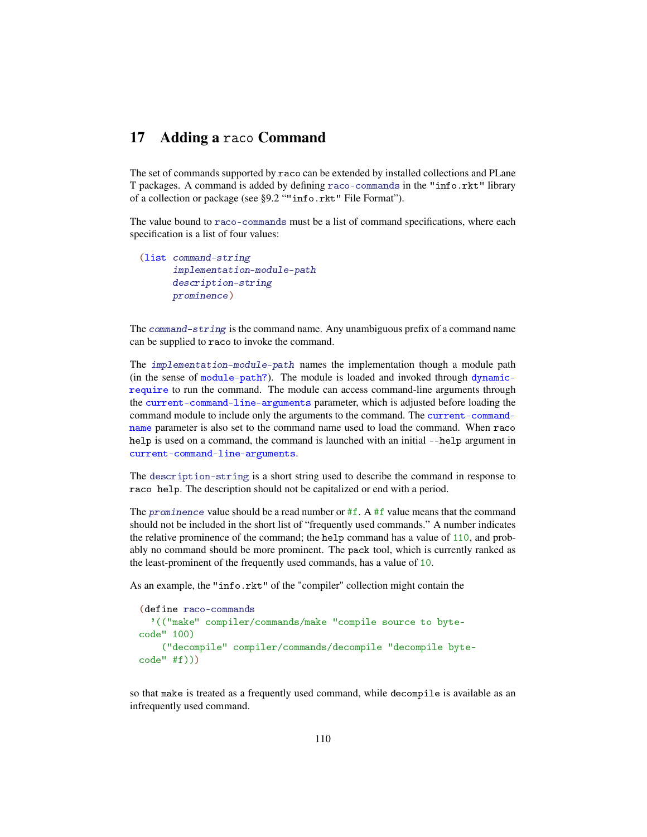## 17 Adding a raco Command

The set of commands supported by raco can be extended by installed collections and PLane T packages. A command is added by defining raco-commands in the "info.rkt" library of a collection or package (see §9.2 ""info.rkt" File Format").

The value bound to raco-commands must be a list of command specifications, where each specification is a list of four values:

```
(list command-string
     implementation-module-path
     description-string
     prominence)
```
The command-string is the command name. Any unambiguous prefix of a command name can be supplied to raco to invoke the command.

The implementation-module-path names the implementation though a module path (in the sense of module-path?). The module is loaded and invoked through dynamicrequire to run the command. The module can access command-line arguments through the current-command-line-arguments parameter, which is adjusted before loading the command module to include only the arguments to the command. The current-commandname parameter is also set to the command name used to load the command. When raco help is used on a command, the command is launched with an initial --help argument in current-command-line-arguments.

The description-string is a short string used to describe the command in response to raco help. The description should not be capitalized or end with a period.

The prominence value should be a read number or  $#f$ . A  $#f$  value means that the command should not be included in the short list of "frequently used commands." A number indicates the relative prominence of the command; the help command has a value of 110, and probably no command should be more prominent. The pack tool, which is currently ranked as the least-prominent of the frequently used commands, has a value of 10.

As an example, the "info.rkt" of the "compiler" collection might contain the

```
(define raco-commands
  '(("make" compiler/commands/make "compile source to byte-
code" 100)
    ("decompile" compiler/commands/decompile "decompile byte-
code" #f)))
```
so that make is treated as a frequently used command, while decompile is available as an infrequently used command.